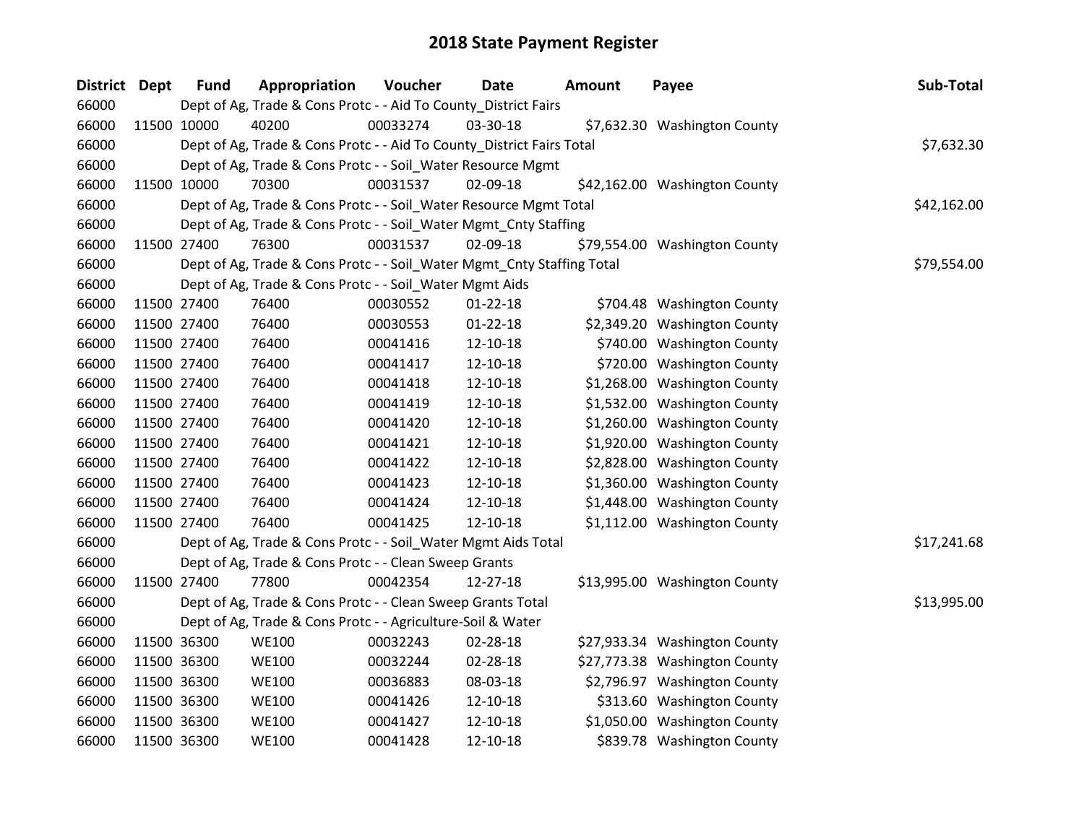| District Dept | <b>Fund</b> | Appropriation                                                          | Voucher  | Date           | <b>Amount</b> | Payee                         | Sub-Total   |
|---------------|-------------|------------------------------------------------------------------------|----------|----------------|---------------|-------------------------------|-------------|
| 66000         |             | Dept of Ag, Trade & Cons Protc - - Aid To County_District Fairs        |          |                |               |                               |             |
| 66000         | 11500 10000 | 40200                                                                  | 00033274 | 03-30-18       |               | \$7,632.30 Washington County  |             |
| 66000         |             | Dept of Ag, Trade & Cons Protc - - Aid To County_District Fairs Total  |          |                |               |                               | \$7,632.30  |
| 66000         |             | Dept of Ag, Trade & Cons Protc - - Soil_Water Resource Mgmt            |          |                |               |                               |             |
| 66000         | 11500 10000 | 70300                                                                  | 00031537 | 02-09-18       |               | \$42,162.00 Washington County |             |
| 66000         |             | Dept of Ag, Trade & Cons Protc - - Soil_Water Resource Mgmt Total      |          |                |               |                               | \$42,162.00 |
| 66000         |             | Dept of Ag, Trade & Cons Protc - - Soil_Water Mgmt_Cnty Staffing       |          |                |               |                               |             |
| 66000         | 11500 27400 | 76300                                                                  | 00031537 | 02-09-18       |               | \$79,554.00 Washington County |             |
| 66000         |             | Dept of Ag, Trade & Cons Protc - - Soil_Water Mgmt_Cnty Staffing Total |          |                |               |                               | \$79,554.00 |
| 66000         |             | Dept of Ag, Trade & Cons Protc - - Soil_Water Mgmt Aids                |          |                |               |                               |             |
| 66000         | 11500 27400 | 76400                                                                  | 00030552 | 01-22-18       |               | \$704.48 Washington County    |             |
| 66000         | 11500 27400 | 76400                                                                  | 00030553 | $01 - 22 - 18$ |               | \$2,349.20 Washington County  |             |
| 66000         | 11500 27400 | 76400                                                                  | 00041416 | 12-10-18       |               | \$740.00 Washington County    |             |
| 66000         | 11500 27400 | 76400                                                                  | 00041417 | 12-10-18       |               | \$720.00 Washington County    |             |
| 66000         | 11500 27400 | 76400                                                                  | 00041418 | 12-10-18       |               | \$1,268.00 Washington County  |             |
| 66000         | 11500 27400 | 76400                                                                  | 00041419 | 12-10-18       |               | \$1,532.00 Washington County  |             |
| 66000         | 11500 27400 | 76400                                                                  | 00041420 | 12-10-18       |               | \$1,260.00 Washington County  |             |
| 66000         | 11500 27400 | 76400                                                                  | 00041421 | 12-10-18       |               | \$1,920.00 Washington County  |             |
| 66000         | 11500 27400 | 76400                                                                  | 00041422 | 12-10-18       |               | \$2,828.00 Washington County  |             |
| 66000         | 11500 27400 | 76400                                                                  | 00041423 | 12-10-18       |               | \$1,360.00 Washington County  |             |
| 66000         | 11500 27400 | 76400                                                                  | 00041424 | 12-10-18       |               | \$1,448.00 Washington County  |             |
| 66000         | 11500 27400 | 76400                                                                  | 00041425 | 12-10-18       |               | \$1,112.00 Washington County  |             |
| 66000         |             | Dept of Ag, Trade & Cons Protc - - Soil_Water Mgmt Aids Total          |          |                |               |                               | \$17,241.68 |
| 66000         |             | Dept of Ag, Trade & Cons Protc - - Clean Sweep Grants                  |          |                |               |                               |             |
| 66000         | 11500 27400 | 77800                                                                  | 00042354 | 12-27-18       |               | \$13,995.00 Washington County |             |
| 66000         |             | Dept of Ag, Trade & Cons Protc - - Clean Sweep Grants Total            |          |                |               |                               | \$13,995.00 |
| 66000         |             | Dept of Ag, Trade & Cons Protc - - Agriculture-Soil & Water            |          |                |               |                               |             |
| 66000         | 11500 36300 | <b>WE100</b>                                                           | 00032243 | 02-28-18       |               | \$27,933.34 Washington County |             |
| 66000         | 11500 36300 | <b>WE100</b>                                                           | 00032244 | 02-28-18       |               | \$27,773.38 Washington County |             |
| 66000         | 11500 36300 | <b>WE100</b>                                                           | 00036883 | 08-03-18       |               | \$2,796.97 Washington County  |             |
| 66000         | 11500 36300 | <b>WE100</b>                                                           | 00041426 | $12 - 10 - 18$ |               | \$313.60 Washington County    |             |
| 66000         | 11500 36300 | <b>WE100</b>                                                           | 00041427 | 12-10-18       |               | \$1,050.00 Washington County  |             |
| 66000         | 11500 36300 | <b>WE100</b>                                                           | 00041428 | 12-10-18       |               | \$839.78 Washington County    |             |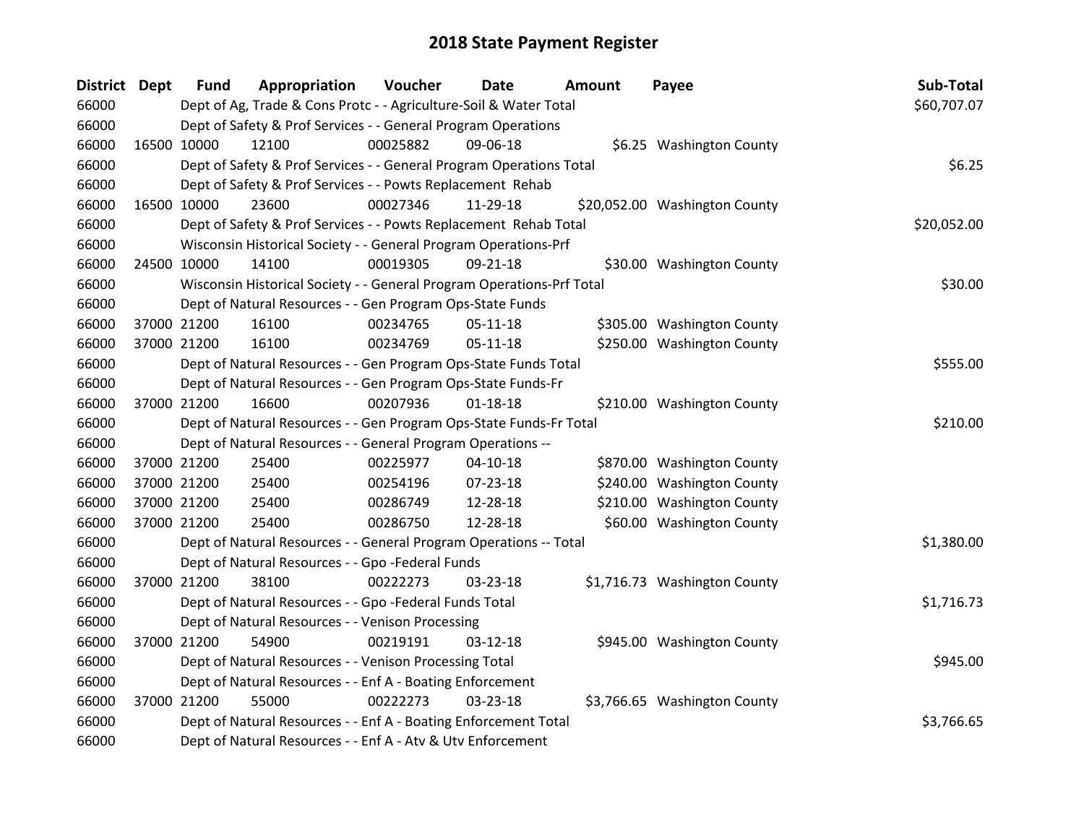| District Dept |             | <b>Fund</b> | Appropriation                                                         | Voucher  | Date           | Amount | Payee                         | Sub-Total   |
|---------------|-------------|-------------|-----------------------------------------------------------------------|----------|----------------|--------|-------------------------------|-------------|
| 66000         |             |             | Dept of Ag, Trade & Cons Protc - - Agriculture-Soil & Water Total     |          |                |        |                               | \$60,707.07 |
| 66000         |             |             | Dept of Safety & Prof Services - - General Program Operations         |          |                |        |                               |             |
| 66000         | 16500 10000 |             | 12100                                                                 | 00025882 | 09-06-18       |        | \$6.25 Washington County      |             |
| 66000         |             |             | Dept of Safety & Prof Services - - General Program Operations Total   |          |                |        |                               | \$6.25      |
| 66000         |             |             | Dept of Safety & Prof Services - - Powts Replacement Rehab            |          |                |        |                               |             |
| 66000         | 16500 10000 |             | 23600                                                                 | 00027346 | 11-29-18       |        | \$20,052.00 Washington County |             |
| 66000         |             |             | Dept of Safety & Prof Services - - Powts Replacement Rehab Total      |          |                |        |                               | \$20,052.00 |
| 66000         |             |             | Wisconsin Historical Society - - General Program Operations-Prf       |          |                |        |                               |             |
| 66000         | 24500 10000 |             | 14100                                                                 | 00019305 | 09-21-18       |        | \$30.00 Washington County     |             |
| 66000         |             |             | Wisconsin Historical Society - - General Program Operations-Prf Total |          |                |        |                               | \$30.00     |
| 66000         |             |             | Dept of Natural Resources - - Gen Program Ops-State Funds             |          |                |        |                               |             |
| 66000         | 37000 21200 |             | 16100                                                                 | 00234765 | 05-11-18       |        | \$305.00 Washington County    |             |
| 66000         |             | 37000 21200 | 16100                                                                 | 00234769 | $05-11-18$     |        | \$250.00 Washington County    |             |
| 66000         |             |             | Dept of Natural Resources - - Gen Program Ops-State Funds Total       |          |                |        |                               | \$555.00    |
| 66000         |             |             | Dept of Natural Resources - - Gen Program Ops-State Funds-Fr          |          |                |        |                               |             |
| 66000         |             | 37000 21200 | 16600                                                                 | 00207936 | $01 - 18 - 18$ |        | \$210.00 Washington County    |             |
| 66000         |             |             | Dept of Natural Resources - - Gen Program Ops-State Funds-Fr Total    |          |                |        |                               | \$210.00    |
| 66000         |             |             | Dept of Natural Resources - - General Program Operations --           |          |                |        |                               |             |
| 66000         |             | 37000 21200 | 25400                                                                 | 00225977 | $04 - 10 - 18$ |        | \$870.00 Washington County    |             |
| 66000         |             | 37000 21200 | 25400                                                                 | 00254196 | 07-23-18       |        | \$240.00 Washington County    |             |
| 66000         |             | 37000 21200 | 25400                                                                 | 00286749 | 12-28-18       |        | \$210.00 Washington County    |             |
| 66000         | 37000 21200 |             | 25400                                                                 | 00286750 | 12-28-18       |        | \$60.00 Washington County     |             |
| 66000         |             |             | Dept of Natural Resources - - General Program Operations -- Total     |          |                |        |                               | \$1,380.00  |
| 66000         |             |             | Dept of Natural Resources - - Gpo -Federal Funds                      |          |                |        |                               |             |
| 66000         |             | 37000 21200 | 38100                                                                 | 00222273 | 03-23-18       |        | \$1,716.73 Washington County  |             |
| 66000         |             |             | Dept of Natural Resources - - Gpo -Federal Funds Total                |          |                |        |                               | \$1,716.73  |
| 66000         |             |             | Dept of Natural Resources - - Venison Processing                      |          |                |        |                               |             |
| 66000         |             | 37000 21200 | 54900                                                                 | 00219191 | 03-12-18       |        | \$945.00 Washington County    |             |
| 66000         |             |             | Dept of Natural Resources - - Venison Processing Total                |          |                |        |                               | \$945.00    |
| 66000         |             |             | Dept of Natural Resources - - Enf A - Boating Enforcement             |          |                |        |                               |             |
| 66000         |             | 37000 21200 | 55000                                                                 | 00222273 | 03-23-18       |        | \$3,766.65 Washington County  |             |
| 66000         |             |             | Dept of Natural Resources - - Enf A - Boating Enforcement Total       |          |                |        |                               | \$3,766.65  |
| 66000         |             |             | Dept of Natural Resources - - Enf A - Atv & Utv Enforcement           |          |                |        |                               |             |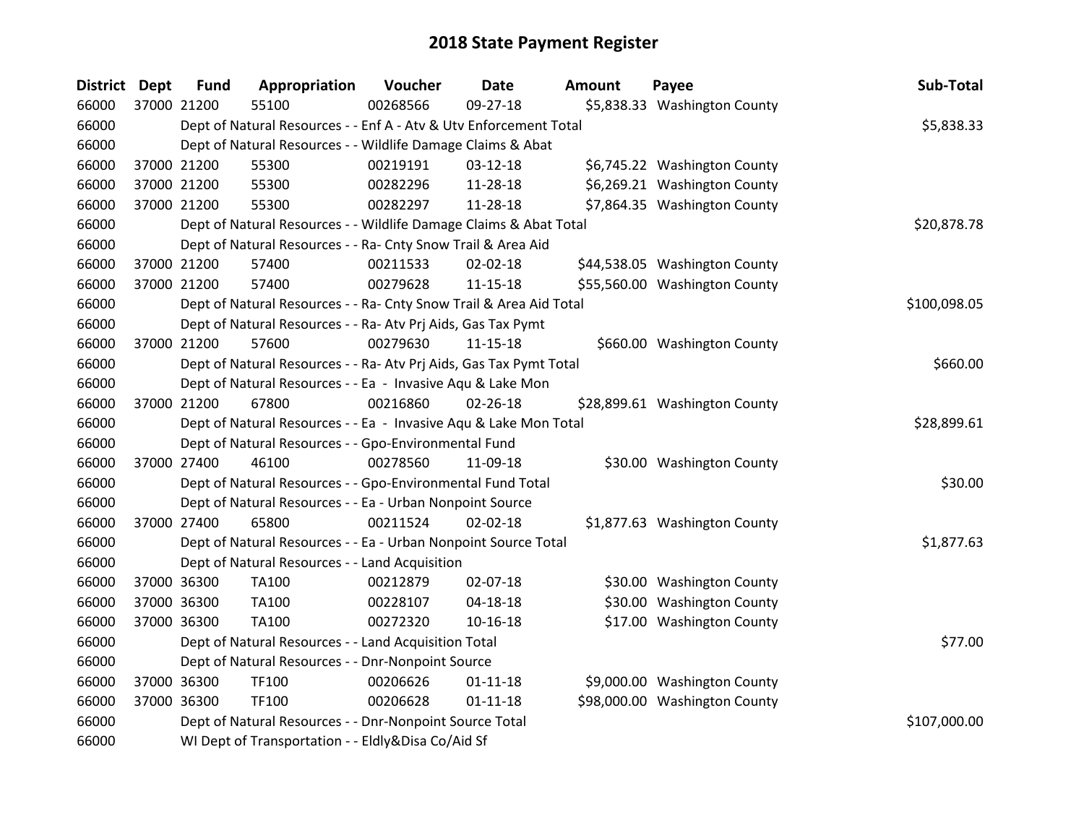| <b>District</b> | <b>Dept</b> | <b>Fund</b> | Appropriation                                                      | Voucher  | Date           | <b>Amount</b> | Payee                         | Sub-Total    |
|-----------------|-------------|-------------|--------------------------------------------------------------------|----------|----------------|---------------|-------------------------------|--------------|
| 66000           |             | 37000 21200 | 55100                                                              | 00268566 | 09-27-18       |               | \$5,838.33 Washington County  |              |
| 66000           |             |             | Dept of Natural Resources - - Enf A - Atv & Utv Enforcement Total  |          |                |               |                               | \$5,838.33   |
| 66000           |             |             | Dept of Natural Resources - - Wildlife Damage Claims & Abat        |          |                |               |                               |              |
| 66000           |             | 37000 21200 | 55300                                                              | 00219191 | 03-12-18       |               | \$6,745.22 Washington County  |              |
| 66000           |             | 37000 21200 | 55300                                                              | 00282296 | 11-28-18       |               | \$6,269.21 Washington County  |              |
| 66000           |             | 37000 21200 | 55300                                                              | 00282297 | 11-28-18       |               | \$7,864.35 Washington County  |              |
| 66000           |             |             | Dept of Natural Resources - - Wildlife Damage Claims & Abat Total  |          |                |               |                               | \$20,878.78  |
| 66000           |             |             | Dept of Natural Resources - - Ra- Cnty Snow Trail & Area Aid       |          |                |               |                               |              |
| 66000           |             | 37000 21200 | 57400                                                              | 00211533 | 02-02-18       |               | \$44,538.05 Washington County |              |
| 66000           |             | 37000 21200 | 57400                                                              | 00279628 | 11-15-18       |               | \$55,560.00 Washington County |              |
| 66000           |             |             | Dept of Natural Resources - - Ra- Cnty Snow Trail & Area Aid Total |          |                |               |                               | \$100,098.05 |
| 66000           |             |             | Dept of Natural Resources - - Ra- Atv Prj Aids, Gas Tax Pymt       |          |                |               |                               |              |
| 66000           |             | 37000 21200 | 57600                                                              | 00279630 | $11 - 15 - 18$ |               | \$660.00 Washington County    |              |
| 66000           |             |             | Dept of Natural Resources - - Ra- Atv Prj Aids, Gas Tax Pymt Total |          |                |               |                               | \$660.00     |
| 66000           |             |             | Dept of Natural Resources - - Ea - Invasive Aqu & Lake Mon         |          |                |               |                               |              |
| 66000           |             | 37000 21200 | 67800                                                              | 00216860 | 02-26-18       |               | \$28,899.61 Washington County |              |
| 66000           |             |             | Dept of Natural Resources - - Ea - Invasive Aqu & Lake Mon Total   |          |                |               |                               | \$28,899.61  |
| 66000           |             |             | Dept of Natural Resources - - Gpo-Environmental Fund               |          |                |               |                               |              |
| 66000           |             | 37000 27400 | 46100                                                              | 00278560 | 11-09-18       |               | \$30.00 Washington County     |              |
| 66000           |             |             | Dept of Natural Resources - - Gpo-Environmental Fund Total         |          |                |               |                               | \$30.00      |
| 66000           |             |             | Dept of Natural Resources - - Ea - Urban Nonpoint Source           |          |                |               |                               |              |
| 66000           |             | 37000 27400 | 65800                                                              | 00211524 | 02-02-18       |               | \$1,877.63 Washington County  |              |
| 66000           |             |             | Dept of Natural Resources - - Ea - Urban Nonpoint Source Total     |          |                |               |                               | \$1,877.63   |
| 66000           |             |             | Dept of Natural Resources - - Land Acquisition                     |          |                |               |                               |              |
| 66000           |             | 37000 36300 | TA100                                                              | 00212879 | 02-07-18       |               | \$30.00 Washington County     |              |
| 66000           |             | 37000 36300 | TA100                                                              | 00228107 | $04 - 18 - 18$ |               | \$30.00 Washington County     |              |
| 66000           |             | 37000 36300 | TA100                                                              | 00272320 | $10 - 16 - 18$ |               | \$17.00 Washington County     |              |
| 66000           |             |             | Dept of Natural Resources - - Land Acquisition Total               |          |                |               |                               | \$77.00      |
| 66000           |             |             | Dept of Natural Resources - - Dnr-Nonpoint Source                  |          |                |               |                               |              |
| 66000           |             | 37000 36300 | TF100                                                              | 00206626 | $01 - 11 - 18$ |               | \$9,000.00 Washington County  |              |
| 66000           |             | 37000 36300 | TF100                                                              | 00206628 | $01 - 11 - 18$ |               | \$98,000.00 Washington County |              |
| 66000           |             |             | Dept of Natural Resources - - Dnr-Nonpoint Source Total            |          |                |               |                               | \$107,000.00 |
| 66000           |             |             | WI Dept of Transportation - - Eldly&Disa Co/Aid Sf                 |          |                |               |                               |              |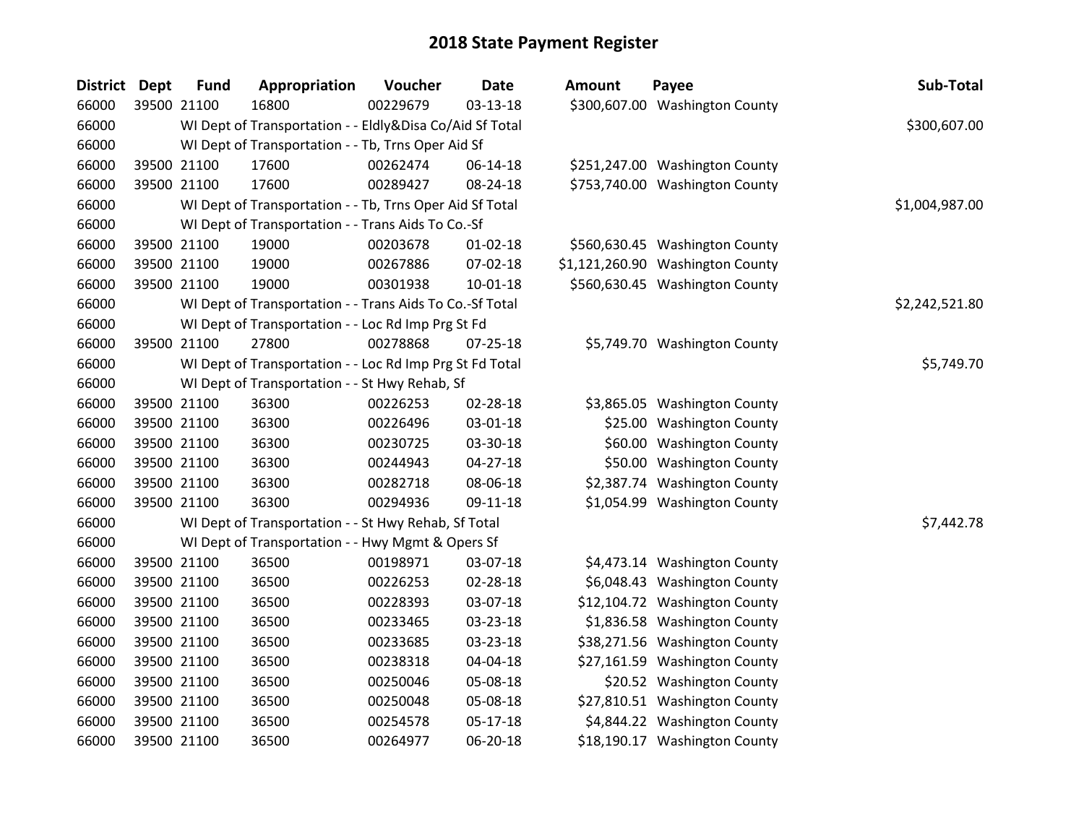| District | <b>Dept</b> | <b>Fund</b> | Appropriation                                            | Voucher  | Date           | Amount | Payee                            | Sub-Total      |
|----------|-------------|-------------|----------------------------------------------------------|----------|----------------|--------|----------------------------------|----------------|
| 66000    |             | 39500 21100 | 16800                                                    | 00229679 | 03-13-18       |        | \$300,607.00 Washington County   |                |
| 66000    |             |             | WI Dept of Transportation - - Eldly&Disa Co/Aid Sf Total |          |                |        |                                  | \$300,607.00   |
| 66000    |             |             | WI Dept of Transportation - - Tb, Trns Oper Aid Sf       |          |                |        |                                  |                |
| 66000    |             | 39500 21100 | 17600                                                    | 00262474 | 06-14-18       |        | \$251,247.00 Washington County   |                |
| 66000    |             | 39500 21100 | 17600                                                    | 00289427 | 08-24-18       |        | \$753,740.00 Washington County   |                |
| 66000    |             |             | WI Dept of Transportation - - Tb, Trns Oper Aid Sf Total |          |                |        |                                  | \$1,004,987.00 |
| 66000    |             |             | WI Dept of Transportation - - Trans Aids To Co.-Sf       |          |                |        |                                  |                |
| 66000    |             | 39500 21100 | 19000                                                    | 00203678 | 01-02-18       |        | \$560,630.45 Washington County   |                |
| 66000    |             | 39500 21100 | 19000                                                    | 00267886 | 07-02-18       |        | \$1,121,260.90 Washington County |                |
| 66000    |             | 39500 21100 | 19000                                                    | 00301938 | $10 - 01 - 18$ |        | \$560,630.45 Washington County   |                |
| 66000    |             |             | WI Dept of Transportation - - Trans Aids To Co.-Sf Total |          |                |        |                                  | \$2,242,521.80 |
| 66000    |             |             | WI Dept of Transportation - - Loc Rd Imp Prg St Fd       |          |                |        |                                  |                |
| 66000    |             | 39500 21100 | 27800                                                    | 00278868 | 07-25-18       |        | \$5,749.70 Washington County     |                |
| 66000    |             |             | WI Dept of Transportation - - Loc Rd Imp Prg St Fd Total |          |                |        |                                  | \$5,749.70     |
| 66000    |             |             | WI Dept of Transportation - - St Hwy Rehab, Sf           |          |                |        |                                  |                |
| 66000    |             | 39500 21100 | 36300                                                    | 00226253 | 02-28-18       |        | \$3,865.05 Washington County     |                |
| 66000    |             | 39500 21100 | 36300                                                    | 00226496 | 03-01-18       |        | \$25.00 Washington County        |                |
| 66000    |             | 39500 21100 | 36300                                                    | 00230725 | 03-30-18       |        | \$60.00 Washington County        |                |
| 66000    |             | 39500 21100 | 36300                                                    | 00244943 | $04 - 27 - 18$ |        | \$50.00 Washington County        |                |
| 66000    |             | 39500 21100 | 36300                                                    | 00282718 | 08-06-18       |        | \$2,387.74 Washington County     |                |
| 66000    |             | 39500 21100 | 36300                                                    | 00294936 | 09-11-18       |        | \$1,054.99 Washington County     |                |
| 66000    |             |             | WI Dept of Transportation - - St Hwy Rehab, Sf Total     |          |                |        |                                  | \$7,442.78     |
| 66000    |             |             | WI Dept of Transportation - - Hwy Mgmt & Opers Sf        |          |                |        |                                  |                |
| 66000    |             | 39500 21100 | 36500                                                    | 00198971 | 03-07-18       |        | \$4,473.14 Washington County     |                |
| 66000    |             | 39500 21100 | 36500                                                    | 00226253 | 02-28-18       |        | \$6,048.43 Washington County     |                |
| 66000    |             | 39500 21100 | 36500                                                    | 00228393 | 03-07-18       |        | \$12,104.72 Washington County    |                |
| 66000    |             | 39500 21100 | 36500                                                    | 00233465 | 03-23-18       |        | \$1,836.58 Washington County     |                |
| 66000    |             | 39500 21100 | 36500                                                    | 00233685 | 03-23-18       |        | \$38,271.56 Washington County    |                |
| 66000    |             | 39500 21100 | 36500                                                    | 00238318 | 04-04-18       |        | \$27,161.59 Washington County    |                |
| 66000    |             | 39500 21100 | 36500                                                    | 00250046 | 05-08-18       |        | \$20.52 Washington County        |                |
| 66000    |             | 39500 21100 | 36500                                                    | 00250048 | 05-08-18       |        | \$27,810.51 Washington County    |                |
| 66000    |             | 39500 21100 | 36500                                                    | 00254578 | $05-17-18$     |        | \$4,844.22 Washington County     |                |
| 66000    |             | 39500 21100 | 36500                                                    | 00264977 | 06-20-18       |        | \$18,190.17 Washington County    |                |

| ount      | Payee                        | Sub-Total      |
|-----------|------------------------------|----------------|
|           | 0,607.00 Washington County   |                |
|           |                              | \$300,607.00   |
|           | 1,247.00 Washington County   |                |
|           | 3,740.00 Washington County   |                |
|           |                              | \$1,004,987.00 |
|           | 60,630.45 Washington County  |                |
|           | 1,260.90 Washington County   |                |
|           | 60,630.45 Washington County  |                |
|           |                              | \$2,242,521.80 |
|           | 5,749.70 Washington County   |                |
|           |                              | \$5,749.70     |
|           | 3,865.05 Washington County   |                |
|           | \$25.00 Washington County    |                |
|           | \$60.00 Washington County    |                |
|           | \$50.00 Washington County    |                |
|           | 2,387.74 Washington County   |                |
|           | \$1,054.99 Washington County |                |
|           |                              | \$7,442.78     |
|           | 4,473.14 Washington County   |                |
| 6,048.43  | <b>Washington County</b>     |                |
| 2,104.72  | <b>Washington County</b>     |                |
|           | 1,836.58 Washington County   |                |
| 8,271.56  | <b>Washington County</b>     |                |
| 17,161.59 | <b>Washington County</b>     |                |
| \$20.52   | <b>Washington County</b>     |                |
| 7,810.51  | <b>Washington County</b>     |                |
| 4,844.22، | <b>Washington County</b>     |                |
|           | 8,190.17 Washington County   |                |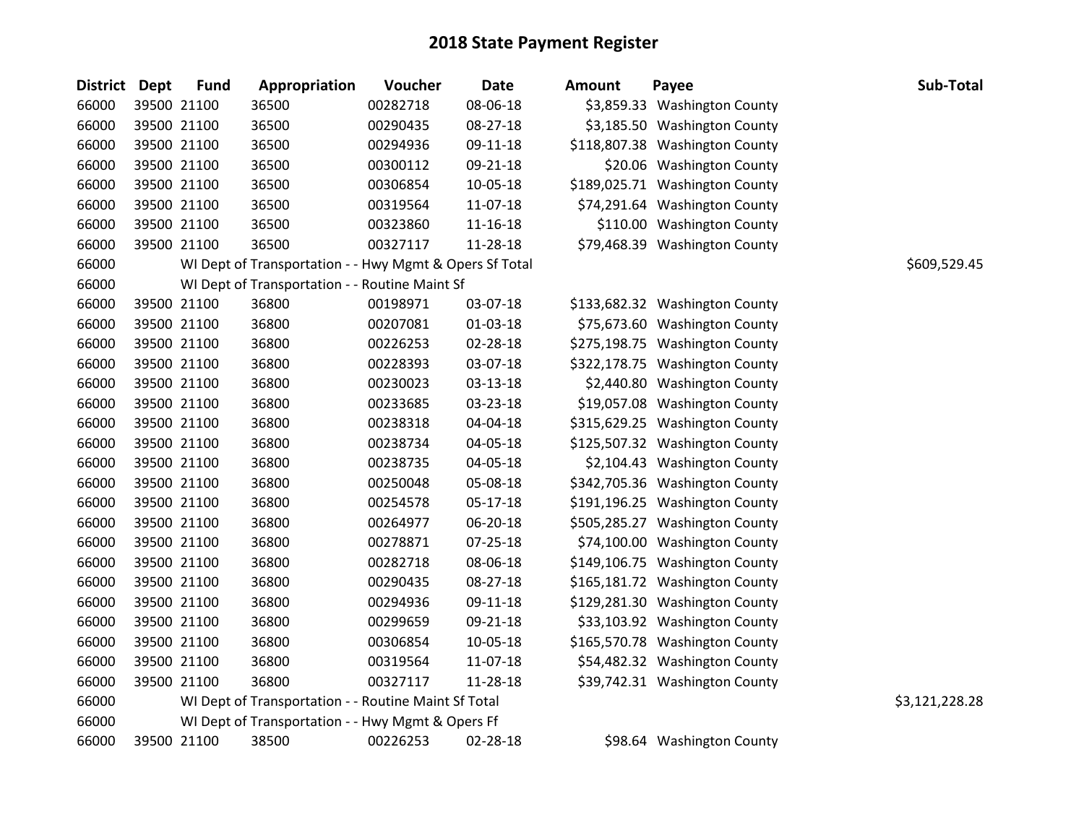| <b>District</b> | <b>Dept</b> | <b>Fund</b> | Appropriation                                           | Voucher  | <b>Date</b> | <b>Amount</b> | Payee                          | Sub-Total      |
|-----------------|-------------|-------------|---------------------------------------------------------|----------|-------------|---------------|--------------------------------|----------------|
| 66000           |             | 39500 21100 | 36500                                                   | 00282718 | 08-06-18    |               | \$3,859.33 Washington County   |                |
| 66000           |             | 39500 21100 | 36500                                                   | 00290435 | 08-27-18    |               | \$3,185.50 Washington County   |                |
| 66000           |             | 39500 21100 | 36500                                                   | 00294936 | 09-11-18    |               | \$118,807.38 Washington County |                |
| 66000           |             | 39500 21100 | 36500                                                   | 00300112 | 09-21-18    |               | \$20.06 Washington County      |                |
| 66000           |             | 39500 21100 | 36500                                                   | 00306854 | 10-05-18    |               | \$189,025.71 Washington County |                |
| 66000           |             | 39500 21100 | 36500                                                   | 00319564 | 11-07-18    |               | \$74,291.64 Washington County  |                |
| 66000           |             | 39500 21100 | 36500                                                   | 00323860 | 11-16-18    |               | \$110.00 Washington County     |                |
| 66000           |             | 39500 21100 | 36500                                                   | 00327117 | 11-28-18    |               | \$79,468.39 Washington County  |                |
| 66000           |             |             | WI Dept of Transportation - - Hwy Mgmt & Opers Sf Total |          |             |               |                                | \$609,529.45   |
| 66000           |             |             | WI Dept of Transportation - - Routine Maint Sf          |          |             |               |                                |                |
| 66000           |             | 39500 21100 | 36800                                                   | 00198971 | 03-07-18    |               | \$133,682.32 Washington County |                |
| 66000           |             | 39500 21100 | 36800                                                   | 00207081 | 01-03-18    |               | \$75,673.60 Washington County  |                |
| 66000           |             | 39500 21100 | 36800                                                   | 00226253 | 02-28-18    |               | \$275,198.75 Washington County |                |
| 66000           |             | 39500 21100 | 36800                                                   | 00228393 | 03-07-18    |               | \$322,178.75 Washington County |                |
| 66000           |             | 39500 21100 | 36800                                                   | 00230023 | 03-13-18    |               | \$2,440.80 Washington County   |                |
| 66000           |             | 39500 21100 | 36800                                                   | 00233685 | 03-23-18    |               | \$19,057.08 Washington County  |                |
| 66000           |             | 39500 21100 | 36800                                                   | 00238318 | 04-04-18    |               | \$315,629.25 Washington County |                |
| 66000           |             | 39500 21100 | 36800                                                   | 00238734 | 04-05-18    |               | \$125,507.32 Washington County |                |
| 66000           |             | 39500 21100 | 36800                                                   | 00238735 | 04-05-18    |               | \$2,104.43 Washington County   |                |
| 66000           |             | 39500 21100 | 36800                                                   | 00250048 | 05-08-18    |               | \$342,705.36 Washington County |                |
| 66000           |             | 39500 21100 | 36800                                                   | 00254578 | 05-17-18    |               | \$191,196.25 Washington County |                |
| 66000           |             | 39500 21100 | 36800                                                   | 00264977 | 06-20-18    |               | \$505,285.27 Washington County |                |
| 66000           |             | 39500 21100 | 36800                                                   | 00278871 | 07-25-18    |               | \$74,100.00 Washington County  |                |
| 66000           |             | 39500 21100 | 36800                                                   | 00282718 | 08-06-18    |               | \$149,106.75 Washington County |                |
| 66000           |             | 39500 21100 | 36800                                                   | 00290435 | 08-27-18    |               | \$165,181.72 Washington County |                |
| 66000           |             | 39500 21100 | 36800                                                   | 00294936 | 09-11-18    |               | \$129,281.30 Washington County |                |
| 66000           |             | 39500 21100 | 36800                                                   | 00299659 | 09-21-18    |               | \$33,103.92 Washington County  |                |
| 66000           |             | 39500 21100 | 36800                                                   | 00306854 | 10-05-18    |               | \$165,570.78 Washington County |                |
| 66000           |             | 39500 21100 | 36800                                                   | 00319564 | 11-07-18    |               | \$54,482.32 Washington County  |                |
| 66000           |             | 39500 21100 | 36800                                                   | 00327117 | 11-28-18    |               | \$39,742.31 Washington County  |                |
| 66000           |             |             | WI Dept of Transportation - - Routine Maint Sf Total    |          |             |               |                                | \$3,121,228.28 |
| 66000           |             |             | WI Dept of Transportation - - Hwy Mgmt & Opers Ff       |          |             |               |                                |                |
| 66000           |             | 39500 21100 | 38500                                                   | 00226253 | 02-28-18    |               | \$98.64 Washington County      |                |

\$98.64 Washington County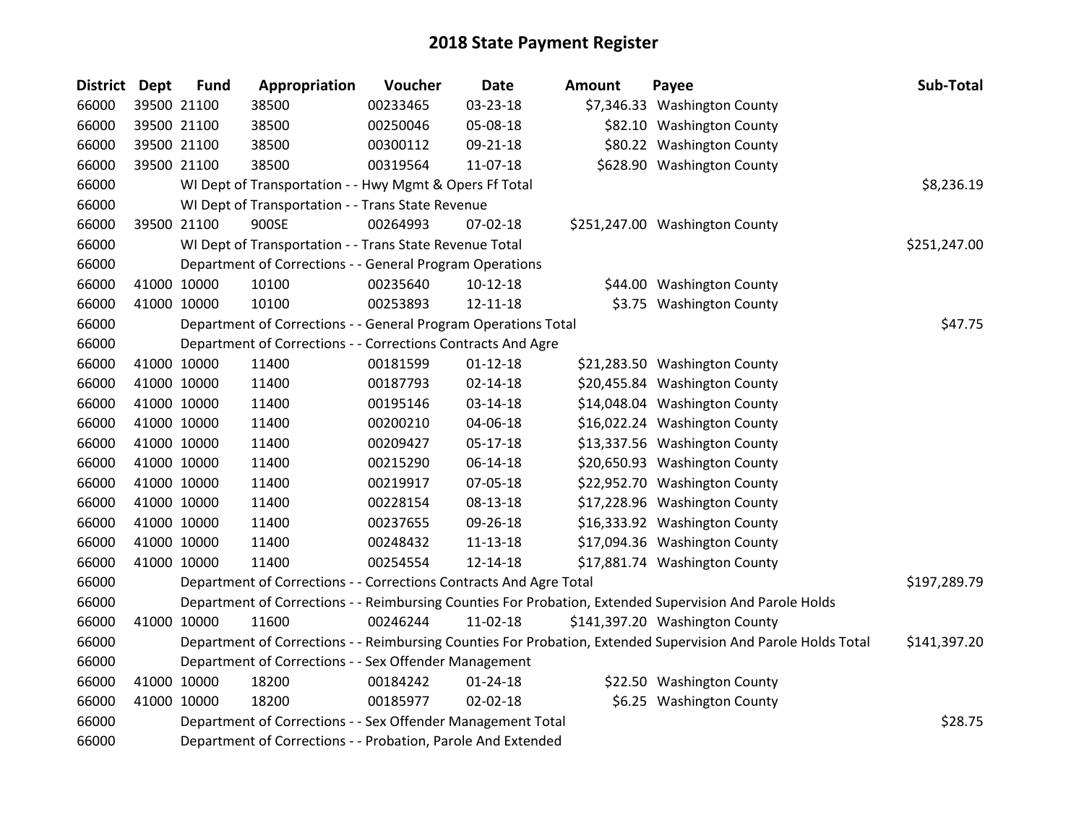| <b>District</b> | <b>Dept</b> | <b>Fund</b> | Appropriation                                                      | Voucher  | <b>Date</b>    | <b>Amount</b> | Payee                                                                                                         | Sub-Total    |
|-----------------|-------------|-------------|--------------------------------------------------------------------|----------|----------------|---------------|---------------------------------------------------------------------------------------------------------------|--------------|
| 66000           |             | 39500 21100 | 38500                                                              | 00233465 | 03-23-18       |               | \$7,346.33 Washington County                                                                                  |              |
| 66000           |             | 39500 21100 | 38500                                                              | 00250046 | 05-08-18       |               | \$82.10 Washington County                                                                                     |              |
| 66000           |             | 39500 21100 | 38500                                                              | 00300112 | 09-21-18       |               | \$80.22 Washington County                                                                                     |              |
| 66000           |             | 39500 21100 | 38500                                                              | 00319564 | 11-07-18       |               | \$628.90 Washington County                                                                                    |              |
| 66000           |             |             | WI Dept of Transportation - - Hwy Mgmt & Opers Ff Total            |          |                |               |                                                                                                               | \$8,236.19   |
| 66000           |             |             | WI Dept of Transportation - - Trans State Revenue                  |          |                |               |                                                                                                               |              |
| 66000           |             | 39500 21100 | 900SE                                                              | 00264993 | 07-02-18       |               | \$251,247.00 Washington County                                                                                |              |
| 66000           |             |             | WI Dept of Transportation - - Trans State Revenue Total            |          |                |               |                                                                                                               | \$251,247.00 |
| 66000           |             |             | Department of Corrections - - General Program Operations           |          |                |               |                                                                                                               |              |
| 66000           |             | 41000 10000 | 10100                                                              | 00235640 | $10-12-18$     |               | \$44.00 Washington County                                                                                     |              |
| 66000           |             | 41000 10000 | 10100                                                              | 00253893 | 12-11-18       |               | \$3.75 Washington County                                                                                      |              |
| 66000           |             |             | Department of Corrections - - General Program Operations Total     |          |                |               |                                                                                                               | \$47.75      |
| 66000           |             |             | Department of Corrections - - Corrections Contracts And Agre       |          |                |               |                                                                                                               |              |
| 66000           |             | 41000 10000 | 11400                                                              | 00181599 | $01 - 12 - 18$ |               | \$21,283.50 Washington County                                                                                 |              |
| 66000           |             | 41000 10000 | 11400                                                              | 00187793 | $02 - 14 - 18$ |               | \$20,455.84 Washington County                                                                                 |              |
| 66000           |             | 41000 10000 | 11400                                                              | 00195146 | 03-14-18       |               | \$14,048.04 Washington County                                                                                 |              |
| 66000           |             | 41000 10000 | 11400                                                              | 00200210 | 04-06-18       |               | \$16,022.24 Washington County                                                                                 |              |
| 66000           |             | 41000 10000 | 11400                                                              | 00209427 | 05-17-18       |               | \$13,337.56 Washington County                                                                                 |              |
| 66000           |             | 41000 10000 | 11400                                                              | 00215290 | 06-14-18       |               | \$20,650.93 Washington County                                                                                 |              |
| 66000           |             | 41000 10000 | 11400                                                              | 00219917 | 07-05-18       |               | \$22,952.70 Washington County                                                                                 |              |
| 66000           |             | 41000 10000 | 11400                                                              | 00228154 | 08-13-18       |               | \$17,228.96 Washington County                                                                                 |              |
| 66000           |             | 41000 10000 | 11400                                                              | 00237655 | 09-26-18       |               | \$16,333.92 Washington County                                                                                 |              |
| 66000           |             | 41000 10000 | 11400                                                              | 00248432 | 11-13-18       |               | \$17,094.36 Washington County                                                                                 |              |
| 66000           |             | 41000 10000 | 11400                                                              | 00254554 | 12-14-18       |               | \$17,881.74 Washington County                                                                                 |              |
| 66000           |             |             | Department of Corrections - - Corrections Contracts And Agre Total |          |                |               |                                                                                                               | \$197,289.79 |
| 66000           |             |             |                                                                    |          |                |               | Department of Corrections - - Reimbursing Counties For Probation, Extended Supervision And Parole Holds       |              |
| 66000           |             | 41000 10000 | 11600                                                              | 00246244 | 11-02-18       |               | \$141,397.20 Washington County                                                                                |              |
| 66000           |             |             |                                                                    |          |                |               | Department of Corrections - - Reimbursing Counties For Probation, Extended Supervision And Parole Holds Total | \$141,397.20 |
| 66000           |             |             | Department of Corrections - - Sex Offender Management              |          |                |               |                                                                                                               |              |
| 66000           |             | 41000 10000 | 18200                                                              | 00184242 | $01 - 24 - 18$ |               | \$22.50 Washington County                                                                                     |              |
| 66000           |             | 41000 10000 | 18200                                                              | 00185977 | 02-02-18       |               | \$6.25 Washington County                                                                                      |              |
| 66000           |             |             | Department of Corrections - - Sex Offender Management Total        |          |                |               |                                                                                                               | \$28.75      |
| 66000           |             |             | Department of Corrections - - Probation, Parole And Extended       |          |                |               |                                                                                                               |              |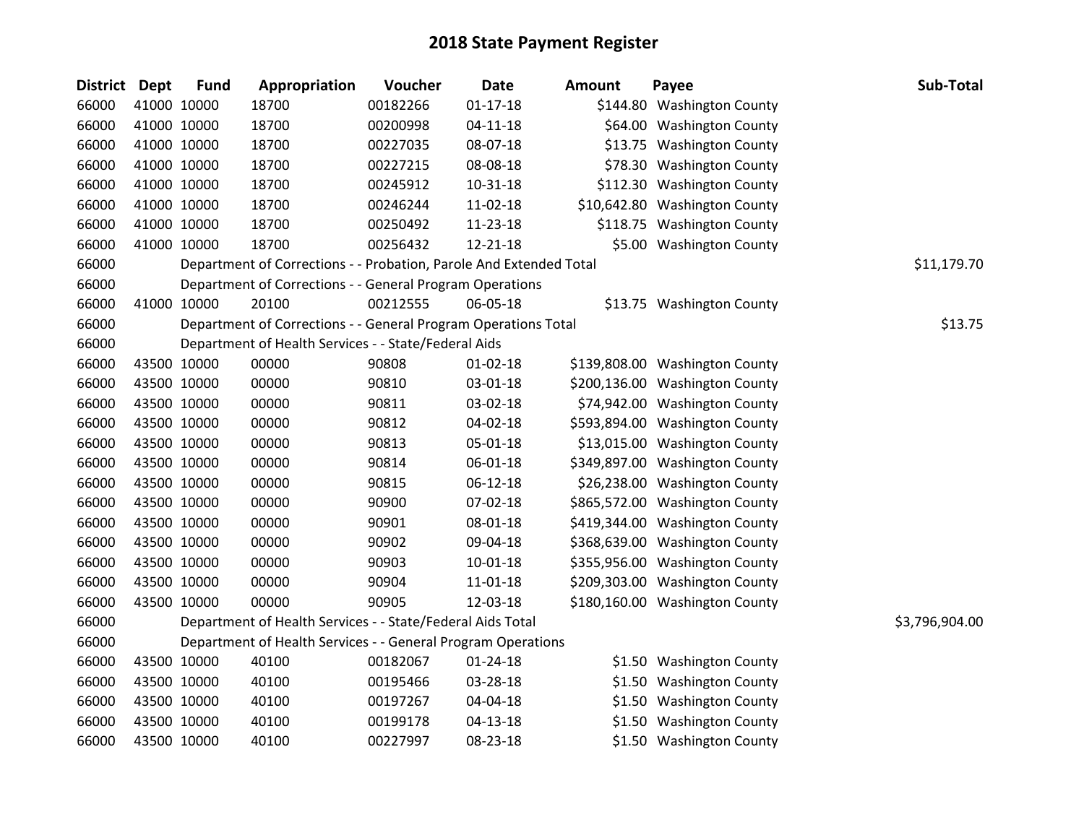| District Dept |             | <b>Fund</b> | Appropriation                                                      | Voucher  | <b>Date</b>    | <b>Amount</b> | Payee                          | Sub-Total      |
|---------------|-------------|-------------|--------------------------------------------------------------------|----------|----------------|---------------|--------------------------------|----------------|
| 66000         |             | 41000 10000 | 18700                                                              | 00182266 | $01 - 17 - 18$ |               | \$144.80 Washington County     |                |
| 66000         |             | 41000 10000 | 18700                                                              | 00200998 | $04 - 11 - 18$ |               | \$64.00 Washington County      |                |
| 66000         |             | 41000 10000 | 18700                                                              | 00227035 | 08-07-18       |               | \$13.75 Washington County      |                |
| 66000         |             | 41000 10000 | 18700                                                              | 00227215 | 08-08-18       |               | \$78.30 Washington County      |                |
| 66000         |             | 41000 10000 | 18700                                                              | 00245912 | $10 - 31 - 18$ |               | \$112.30 Washington County     |                |
| 66000         |             | 41000 10000 | 18700                                                              | 00246244 | 11-02-18       |               | \$10,642.80 Washington County  |                |
| 66000         |             | 41000 10000 | 18700                                                              | 00250492 | 11-23-18       |               | \$118.75 Washington County     |                |
| 66000         |             | 41000 10000 | 18700                                                              | 00256432 | $12 - 21 - 18$ |               | \$5.00 Washington County       |                |
| 66000         |             |             | Department of Corrections - - Probation, Parole And Extended Total |          |                |               |                                | \$11,179.70    |
| 66000         |             |             | Department of Corrections - - General Program Operations           |          |                |               |                                |                |
| 66000         |             | 41000 10000 | 20100                                                              | 00212555 | 06-05-18       |               | \$13.75 Washington County      |                |
| 66000         |             |             | Department of Corrections - - General Program Operations Total     |          |                |               |                                | \$13.75        |
| 66000         |             |             | Department of Health Services - - State/Federal Aids               |          |                |               |                                |                |
| 66000         |             | 43500 10000 | 00000                                                              | 90808    | $01 - 02 - 18$ |               | \$139,808.00 Washington County |                |
| 66000         |             | 43500 10000 | 00000                                                              | 90810    | 03-01-18       |               | \$200,136.00 Washington County |                |
| 66000         |             | 43500 10000 | 00000                                                              | 90811    | 03-02-18       |               | \$74,942.00 Washington County  |                |
| 66000         |             | 43500 10000 | 00000                                                              | 90812    | 04-02-18       |               | \$593,894.00 Washington County |                |
| 66000         |             | 43500 10000 | 00000                                                              | 90813    | 05-01-18       |               | \$13,015.00 Washington County  |                |
| 66000         |             | 43500 10000 | 00000                                                              | 90814    | 06-01-18       |               | \$349,897.00 Washington County |                |
| 66000         |             | 43500 10000 | 00000                                                              | 90815    | 06-12-18       |               | \$26,238.00 Washington County  |                |
| 66000         |             | 43500 10000 | 00000                                                              | 90900    | 07-02-18       |               | \$865,572.00 Washington County |                |
| 66000         |             | 43500 10000 | 00000                                                              | 90901    | 08-01-18       |               | \$419,344.00 Washington County |                |
| 66000         |             | 43500 10000 | 00000                                                              | 90902    | 09-04-18       |               | \$368,639.00 Washington County |                |
| 66000         |             | 43500 10000 | 00000                                                              | 90903    | $10 - 01 - 18$ |               | \$355,956.00 Washington County |                |
| 66000         |             | 43500 10000 | 00000                                                              | 90904    | 11-01-18       |               | \$209,303.00 Washington County |                |
| 66000         |             | 43500 10000 | 00000                                                              | 90905    | 12-03-18       |               | \$180,160.00 Washington County |                |
| 66000         |             |             | Department of Health Services - - State/Federal Aids Total         |          |                |               |                                | \$3,796,904.00 |
| 66000         |             |             | Department of Health Services - - General Program Operations       |          |                |               |                                |                |
| 66000         |             | 43500 10000 | 40100                                                              | 00182067 | $01 - 24 - 18$ |               | \$1.50 Washington County       |                |
| 66000         |             | 43500 10000 | 40100                                                              | 00195466 | 03-28-18       |               | \$1.50 Washington County       |                |
| 66000         |             | 43500 10000 | 40100                                                              | 00197267 | 04-04-18       |               | \$1.50 Washington County       |                |
| 66000         |             | 43500 10000 | 40100                                                              | 00199178 | 04-13-18       |               | \$1.50 Washington County       |                |
| 66000         | 43500 10000 |             | 40100                                                              | 00227997 | 08-23-18       |               | \$1.50 Washington County       |                |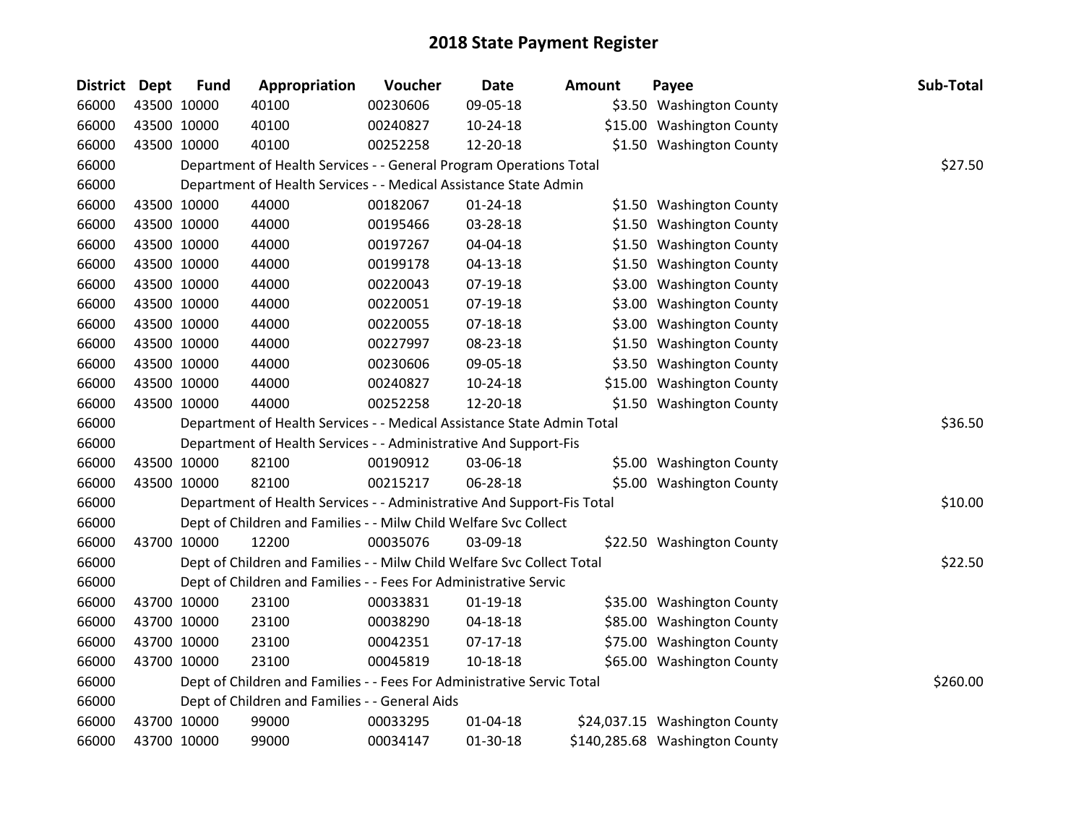| <b>District</b> | <b>Dept</b> | <b>Fund</b> | Appropriation                                                          | Voucher  | <b>Date</b>    | <b>Amount</b> | Payee                          | Sub-Total |
|-----------------|-------------|-------------|------------------------------------------------------------------------|----------|----------------|---------------|--------------------------------|-----------|
| 66000           |             | 43500 10000 | 40100                                                                  | 00230606 | 09-05-18       |               | \$3.50 Washington County       |           |
| 66000           |             | 43500 10000 | 40100                                                                  | 00240827 | 10-24-18       |               | \$15.00 Washington County      |           |
| 66000           |             | 43500 10000 | 40100                                                                  | 00252258 | 12-20-18       |               | \$1.50 Washington County       |           |
| 66000           |             |             | Department of Health Services - - General Program Operations Total     |          |                |               |                                | \$27.50   |
| 66000           |             |             | Department of Health Services - - Medical Assistance State Admin       |          |                |               |                                |           |
| 66000           |             | 43500 10000 | 44000                                                                  | 00182067 | $01 - 24 - 18$ |               | \$1.50 Washington County       |           |
| 66000           |             | 43500 10000 | 44000                                                                  | 00195466 | 03-28-18       |               | \$1.50 Washington County       |           |
| 66000           |             | 43500 10000 | 44000                                                                  | 00197267 | 04-04-18       |               | \$1.50 Washington County       |           |
| 66000           |             | 43500 10000 | 44000                                                                  | 00199178 | $04-13-18$     |               | \$1.50 Washington County       |           |
| 66000           |             | 43500 10000 | 44000                                                                  | 00220043 | 07-19-18       |               | \$3.00 Washington County       |           |
| 66000           |             | 43500 10000 | 44000                                                                  | 00220051 | 07-19-18       |               | \$3.00 Washington County       |           |
| 66000           |             | 43500 10000 | 44000                                                                  | 00220055 | 07-18-18       |               | \$3.00 Washington County       |           |
| 66000           |             | 43500 10000 | 44000                                                                  | 00227997 | 08-23-18       |               | \$1.50 Washington County       |           |
| 66000           |             | 43500 10000 | 44000                                                                  | 00230606 | 09-05-18       |               | \$3.50 Washington County       |           |
| 66000           |             | 43500 10000 | 44000                                                                  | 00240827 | $10-24-18$     |               | \$15.00 Washington County      |           |
| 66000           |             | 43500 10000 | 44000                                                                  | 00252258 | 12-20-18       |               | \$1.50 Washington County       |           |
| 66000           |             |             | Department of Health Services - - Medical Assistance State Admin Total |          |                |               |                                | \$36.50   |
| 66000           |             |             | Department of Health Services - - Administrative And Support-Fis       |          |                |               |                                |           |
| 66000           |             | 43500 10000 | 82100                                                                  | 00190912 | 03-06-18       |               | \$5.00 Washington County       |           |
| 66000           |             | 43500 10000 | 82100                                                                  | 00215217 | 06-28-18       |               | \$5.00 Washington County       |           |
| 66000           |             |             | Department of Health Services - - Administrative And Support-Fis Total |          |                |               |                                | \$10.00   |
| 66000           |             |             | Dept of Children and Families - - Milw Child Welfare Svc Collect       |          |                |               |                                |           |
| 66000           |             | 43700 10000 | 12200                                                                  | 00035076 | 03-09-18       |               | \$22.50 Washington County      |           |
| 66000           |             |             | Dept of Children and Families - - Milw Child Welfare Svc Collect Total |          |                |               |                                | \$22.50   |
| 66000           |             |             | Dept of Children and Families - - Fees For Administrative Servic       |          |                |               |                                |           |
| 66000           |             | 43700 10000 | 23100                                                                  | 00033831 | $01-19-18$     |               | \$35.00 Washington County      |           |
| 66000           |             | 43700 10000 | 23100                                                                  | 00038290 | $04 - 18 - 18$ |               | \$85.00 Washington County      |           |
| 66000           |             | 43700 10000 | 23100                                                                  | 00042351 | $07-17-18$     |               | \$75.00 Washington County      |           |
| 66000           |             | 43700 10000 | 23100                                                                  | 00045819 | 10-18-18       |               | \$65.00 Washington County      |           |
| 66000           |             |             | Dept of Children and Families - - Fees For Administrative Servic Total |          |                |               |                                | \$260.00  |
| 66000           |             |             | Dept of Children and Families - - General Aids                         |          |                |               |                                |           |
| 66000           |             | 43700 10000 | 99000                                                                  | 00033295 | $01 - 04 - 18$ |               | \$24,037.15 Washington County  |           |
| 66000           |             | 43700 10000 | 99000                                                                  | 00034147 | 01-30-18       |               | \$140,285.68 Washington County |           |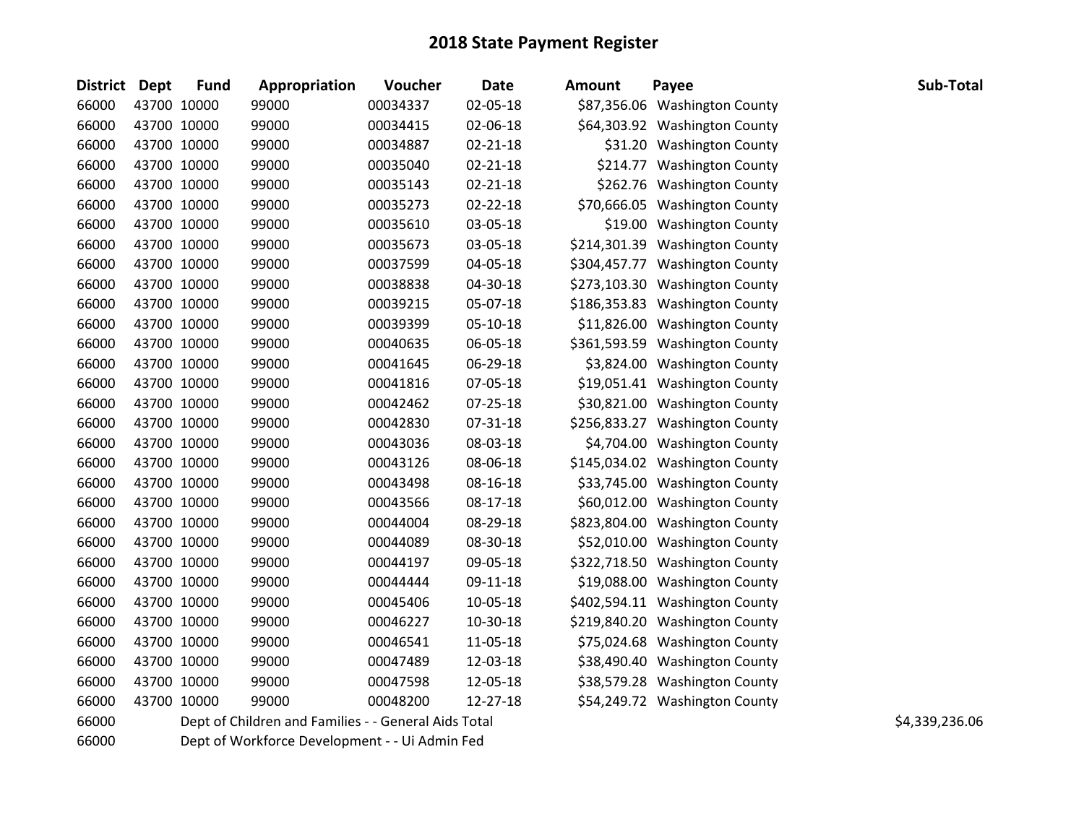| District Dept | <b>Fund</b> | Appropriation                                        | Voucher  | <b>Date</b>    | Amount | Payee                          | Sub-Total      |
|---------------|-------------|------------------------------------------------------|----------|----------------|--------|--------------------------------|----------------|
| 66000         | 43700 10000 | 99000                                                | 00034337 | 02-05-18       |        | \$87,356.06 Washington County  |                |
| 66000         | 43700 10000 | 99000                                                | 00034415 | 02-06-18       |        | \$64,303.92 Washington County  |                |
| 66000         | 43700 10000 | 99000                                                | 00034887 | $02 - 21 - 18$ |        | \$31.20 Washington County      |                |
| 66000         | 43700 10000 | 99000                                                | 00035040 | $02 - 21 - 18$ |        | \$214.77 Washington County     |                |
| 66000         | 43700 10000 | 99000                                                | 00035143 | $02 - 21 - 18$ |        | \$262.76 Washington County     |                |
| 66000         | 43700 10000 | 99000                                                | 00035273 | $02 - 22 - 18$ |        | \$70,666.05 Washington County  |                |
| 66000         | 43700 10000 | 99000                                                | 00035610 | 03-05-18       |        | \$19.00 Washington County      |                |
| 66000         | 43700 10000 | 99000                                                | 00035673 | 03-05-18       |        | \$214,301.39 Washington County |                |
| 66000         | 43700 10000 | 99000                                                | 00037599 | 04-05-18       |        | \$304,457.77 Washington County |                |
| 66000         | 43700 10000 | 99000                                                | 00038838 | 04-30-18       |        | \$273,103.30 Washington County |                |
| 66000         | 43700 10000 | 99000                                                | 00039215 | 05-07-18       |        | \$186,353.83 Washington County |                |
| 66000         | 43700 10000 | 99000                                                | 00039399 | 05-10-18       |        | \$11,826.00 Washington County  |                |
| 66000         | 43700 10000 | 99000                                                | 00040635 | 06-05-18       |        | \$361,593.59 Washington County |                |
| 66000         | 43700 10000 | 99000                                                | 00041645 | 06-29-18       |        | \$3,824.00 Washington County   |                |
| 66000         | 43700 10000 | 99000                                                | 00041816 | 07-05-18       |        | \$19,051.41 Washington County  |                |
| 66000         | 43700 10000 | 99000                                                | 00042462 | 07-25-18       |        | \$30,821.00 Washington County  |                |
| 66000         | 43700 10000 | 99000                                                | 00042830 | 07-31-18       |        | \$256,833.27 Washington County |                |
| 66000         | 43700 10000 | 99000                                                | 00043036 | 08-03-18       |        | \$4,704.00 Washington County   |                |
| 66000         | 43700 10000 | 99000                                                | 00043126 | 08-06-18       |        | \$145,034.02 Washington County |                |
| 66000         | 43700 10000 | 99000                                                | 00043498 | 08-16-18       |        | \$33,745.00 Washington County  |                |
| 66000         | 43700 10000 | 99000                                                | 00043566 | 08-17-18       |        | \$60,012.00 Washington County  |                |
| 66000         | 43700 10000 | 99000                                                | 00044004 | 08-29-18       |        | \$823,804.00 Washington County |                |
| 66000         | 43700 10000 | 99000                                                | 00044089 | 08-30-18       |        | \$52,010.00 Washington County  |                |
| 66000         | 43700 10000 | 99000                                                | 00044197 | 09-05-18       |        | \$322,718.50 Washington County |                |
| 66000         | 43700 10000 | 99000                                                | 00044444 | 09-11-18       |        | \$19,088.00 Washington County  |                |
| 66000         | 43700 10000 | 99000                                                | 00045406 | 10-05-18       |        | \$402,594.11 Washington County |                |
| 66000         | 43700 10000 | 99000                                                | 00046227 | 10-30-18       |        | \$219,840.20 Washington County |                |
| 66000         | 43700 10000 | 99000                                                | 00046541 | 11-05-18       |        | \$75,024.68 Washington County  |                |
| 66000         | 43700 10000 | 99000                                                | 00047489 | 12-03-18       |        | \$38,490.40 Washington County  |                |
| 66000         | 43700 10000 | 99000                                                | 00047598 | 12-05-18       |        | \$38,579.28 Washington County  |                |
| 66000         | 43700 10000 | 99000                                                | 00048200 | 12-27-18       |        | \$54,249.72 Washington County  |                |
| 66000         |             | Dept of Children and Families - - General Aids Total |          |                |        |                                | \$4,339,236.06 |

Dept of Workforce Development - - Ui Admin Fed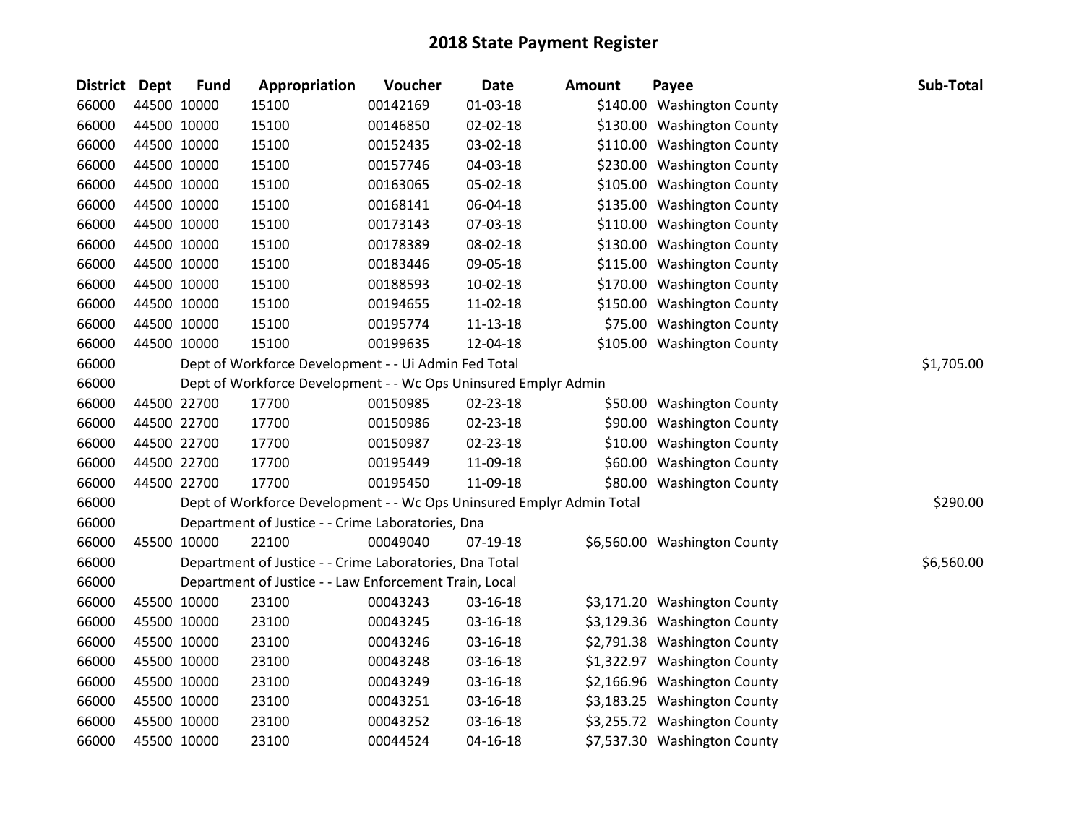| District Dept |             | <b>Fund</b> | Appropriation                                                         | Voucher  | <b>Date</b>    | <b>Amount</b> | Payee                        | Sub-Total  |
|---------------|-------------|-------------|-----------------------------------------------------------------------|----------|----------------|---------------|------------------------------|------------|
| 66000         |             | 44500 10000 | 15100                                                                 | 00142169 | 01-03-18       |               | \$140.00 Washington County   |            |
| 66000         |             | 44500 10000 | 15100                                                                 | 00146850 | 02-02-18       |               | \$130.00 Washington County   |            |
| 66000         | 44500 10000 |             | 15100                                                                 | 00152435 | 03-02-18       |               | \$110.00 Washington County   |            |
| 66000         |             | 44500 10000 | 15100                                                                 | 00157746 | 04-03-18       |               | \$230.00 Washington County   |            |
| 66000         | 44500 10000 |             | 15100                                                                 | 00163065 | 05-02-18       |               | \$105.00 Washington County   |            |
| 66000         |             | 44500 10000 | 15100                                                                 | 00168141 | 06-04-18       |               | \$135.00 Washington County   |            |
| 66000         |             | 44500 10000 | 15100                                                                 | 00173143 | 07-03-18       |               | \$110.00 Washington County   |            |
| 66000         |             | 44500 10000 | 15100                                                                 | 00178389 | 08-02-18       |               | \$130.00 Washington County   |            |
| 66000         |             | 44500 10000 | 15100                                                                 | 00183446 | 09-05-18       |               | \$115.00 Washington County   |            |
| 66000         |             | 44500 10000 | 15100                                                                 | 00188593 | $10-02-18$     |               | \$170.00 Washington County   |            |
| 66000         |             | 44500 10000 | 15100                                                                 | 00194655 | 11-02-18       |               | \$150.00 Washington County   |            |
| 66000         |             | 44500 10000 | 15100                                                                 | 00195774 | $11 - 13 - 18$ |               | \$75.00 Washington County    |            |
| 66000         | 44500 10000 |             | 15100                                                                 | 00199635 | 12-04-18       |               | \$105.00 Washington County   |            |
| 66000         |             |             | Dept of Workforce Development - - Ui Admin Fed Total                  |          |                |               |                              | \$1,705.00 |
| 66000         |             |             | Dept of Workforce Development - - Wc Ops Uninsured Emplyr Admin       |          |                |               |                              |            |
| 66000         |             | 44500 22700 | 17700                                                                 | 00150985 | 02-23-18       |               | \$50.00 Washington County    |            |
| 66000         |             | 44500 22700 | 17700                                                                 | 00150986 | 02-23-18       |               | \$90.00 Washington County    |            |
| 66000         |             | 44500 22700 | 17700                                                                 | 00150987 | 02-23-18       |               | \$10.00 Washington County    |            |
| 66000         |             | 44500 22700 | 17700                                                                 | 00195449 | 11-09-18       |               | \$60.00 Washington County    |            |
| 66000         | 44500 22700 |             | 17700                                                                 | 00195450 | 11-09-18       |               | \$80.00 Washington County    |            |
| 66000         |             |             | Dept of Workforce Development - - Wc Ops Uninsured Emplyr Admin Total |          |                |               |                              | \$290.00   |
| 66000         |             |             | Department of Justice - - Crime Laboratories, Dna                     |          |                |               |                              |            |
| 66000         |             | 45500 10000 | 22100                                                                 | 00049040 | 07-19-18       |               | \$6,560.00 Washington County |            |
| 66000         |             |             | Department of Justice - - Crime Laboratories, Dna Total               |          |                |               |                              | \$6,560.00 |
| 66000         |             |             | Department of Justice - - Law Enforcement Train, Local                |          |                |               |                              |            |
| 66000         |             | 45500 10000 | 23100                                                                 | 00043243 | 03-16-18       |               | \$3,171.20 Washington County |            |
| 66000         |             | 45500 10000 | 23100                                                                 | 00043245 | 03-16-18       |               | \$3,129.36 Washington County |            |
| 66000         |             | 45500 10000 | 23100                                                                 | 00043246 | 03-16-18       |               | \$2,791.38 Washington County |            |
| 66000         |             | 45500 10000 | 23100                                                                 | 00043248 | 03-16-18       |               | \$1,322.97 Washington County |            |
| 66000         |             | 45500 10000 | 23100                                                                 | 00043249 | 03-16-18       |               | \$2,166.96 Washington County |            |
| 66000         | 45500 10000 |             | 23100                                                                 | 00043251 | 03-16-18       |               | \$3,183.25 Washington County |            |
| 66000         | 45500 10000 |             | 23100                                                                 | 00043252 | 03-16-18       |               | \$3,255.72 Washington County |            |
| 66000         | 45500 10000 |             | 23100                                                                 | 00044524 | $04 - 16 - 18$ |               | \$7,537.30 Washington County |            |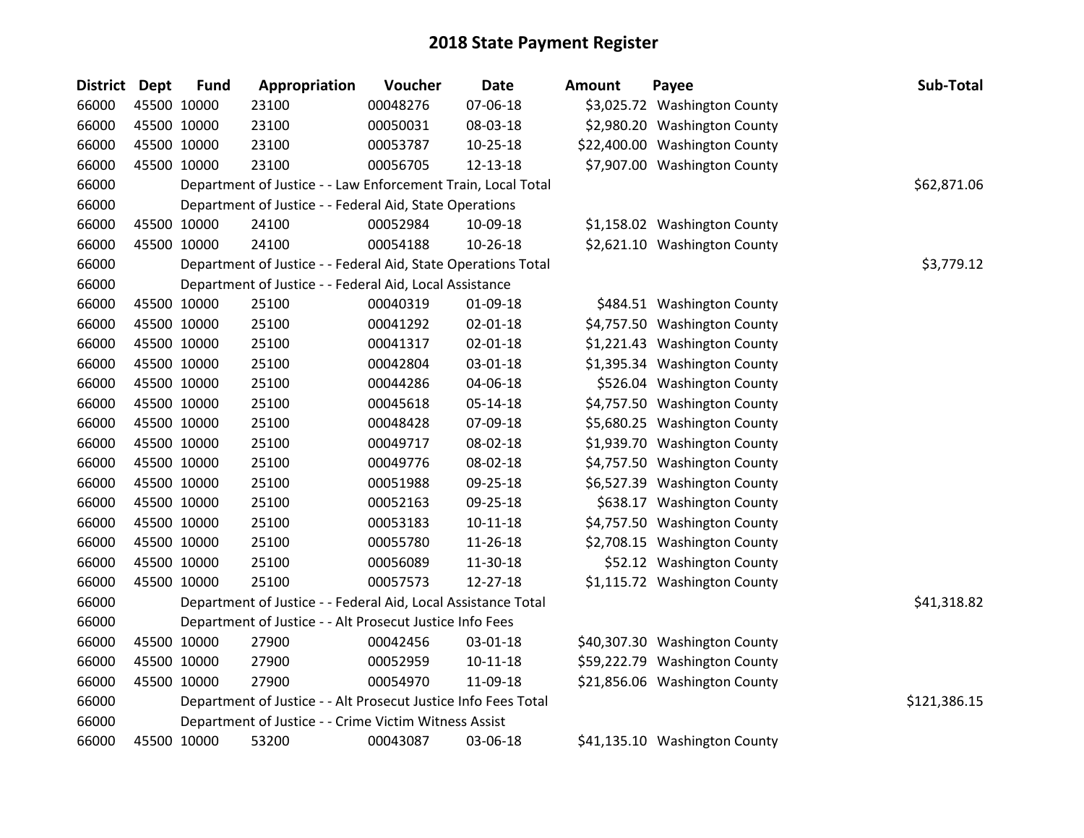| District Dept | <b>Fund</b> | Appropriation                                                  | Voucher  | <b>Date</b>    | <b>Amount</b> | Payee                         | Sub-Total    |
|---------------|-------------|----------------------------------------------------------------|----------|----------------|---------------|-------------------------------|--------------|
| 66000         | 45500 10000 | 23100                                                          | 00048276 | 07-06-18       |               | \$3,025.72 Washington County  |              |
| 66000         | 45500 10000 | 23100                                                          | 00050031 | 08-03-18       |               | \$2,980.20 Washington County  |              |
| 66000         | 45500 10000 | 23100                                                          | 00053787 | $10 - 25 - 18$ |               | \$22,400.00 Washington County |              |
| 66000         | 45500 10000 | 23100                                                          | 00056705 | 12-13-18       |               | \$7,907.00 Washington County  |              |
| 66000         |             | Department of Justice - - Law Enforcement Train, Local Total   |          |                |               |                               | \$62,871.06  |
| 66000         |             | Department of Justice - - Federal Aid, State Operations        |          |                |               |                               |              |
| 66000         | 45500 10000 | 24100                                                          | 00052984 | 10-09-18       |               | \$1,158.02 Washington County  |              |
| 66000         | 45500 10000 | 24100                                                          | 00054188 | 10-26-18       |               | \$2,621.10 Washington County  |              |
| 66000         |             | Department of Justice - - Federal Aid, State Operations Total  |          |                |               |                               | \$3,779.12   |
| 66000         |             | Department of Justice - - Federal Aid, Local Assistance        |          |                |               |                               |              |
| 66000         | 45500 10000 | 25100                                                          | 00040319 | 01-09-18       |               | \$484.51 Washington County    |              |
| 66000         | 45500 10000 | 25100                                                          | 00041292 | $02 - 01 - 18$ |               | \$4,757.50 Washington County  |              |
| 66000         | 45500 10000 | 25100                                                          | 00041317 | 02-01-18       |               | \$1,221.43 Washington County  |              |
| 66000         | 45500 10000 | 25100                                                          | 00042804 | 03-01-18       |               | \$1,395.34 Washington County  |              |
| 66000         | 45500 10000 | 25100                                                          | 00044286 | 04-06-18       |               | \$526.04 Washington County    |              |
| 66000         | 45500 10000 | 25100                                                          | 00045618 | $05 - 14 - 18$ |               | \$4,757.50 Washington County  |              |
| 66000         | 45500 10000 | 25100                                                          | 00048428 | 07-09-18       |               | \$5,680.25 Washington County  |              |
| 66000         | 45500 10000 | 25100                                                          | 00049717 | 08-02-18       |               | \$1,939.70 Washington County  |              |
| 66000         | 45500 10000 | 25100                                                          | 00049776 | 08-02-18       |               | \$4,757.50 Washington County  |              |
| 66000         | 45500 10000 | 25100                                                          | 00051988 | 09-25-18       |               | \$6,527.39 Washington County  |              |
| 66000         | 45500 10000 | 25100                                                          | 00052163 | 09-25-18       |               | \$638.17 Washington County    |              |
| 66000         | 45500 10000 | 25100                                                          | 00053183 | $10-11-18$     |               | \$4,757.50 Washington County  |              |
| 66000         | 45500 10000 | 25100                                                          | 00055780 | 11-26-18       |               | \$2,708.15 Washington County  |              |
| 66000         | 45500 10000 | 25100                                                          | 00056089 | 11-30-18       |               | \$52.12 Washington County     |              |
| 66000         | 45500 10000 | 25100                                                          | 00057573 | 12-27-18       |               | \$1,115.72 Washington County  |              |
| 66000         |             | Department of Justice - - Federal Aid, Local Assistance Total  |          |                |               |                               | \$41,318.82  |
| 66000         |             | Department of Justice - - Alt Prosecut Justice Info Fees       |          |                |               |                               |              |
| 66000         | 45500 10000 | 27900                                                          | 00042456 | 03-01-18       |               | \$40,307.30 Washington County |              |
| 66000         | 45500 10000 | 27900                                                          | 00052959 | 10-11-18       |               | \$59,222.79 Washington County |              |
| 66000         | 45500 10000 | 27900                                                          | 00054970 | 11-09-18       |               | \$21,856.06 Washington County |              |
| 66000         |             | Department of Justice - - Alt Prosecut Justice Info Fees Total |          |                |               |                               | \$121,386.15 |
| 66000         |             | Department of Justice - - Crime Victim Witness Assist          |          |                |               |                               |              |
| 66000         | 45500 10000 | 53200                                                          | 00043087 | 03-06-18       |               | \$41,135.10 Washington County |              |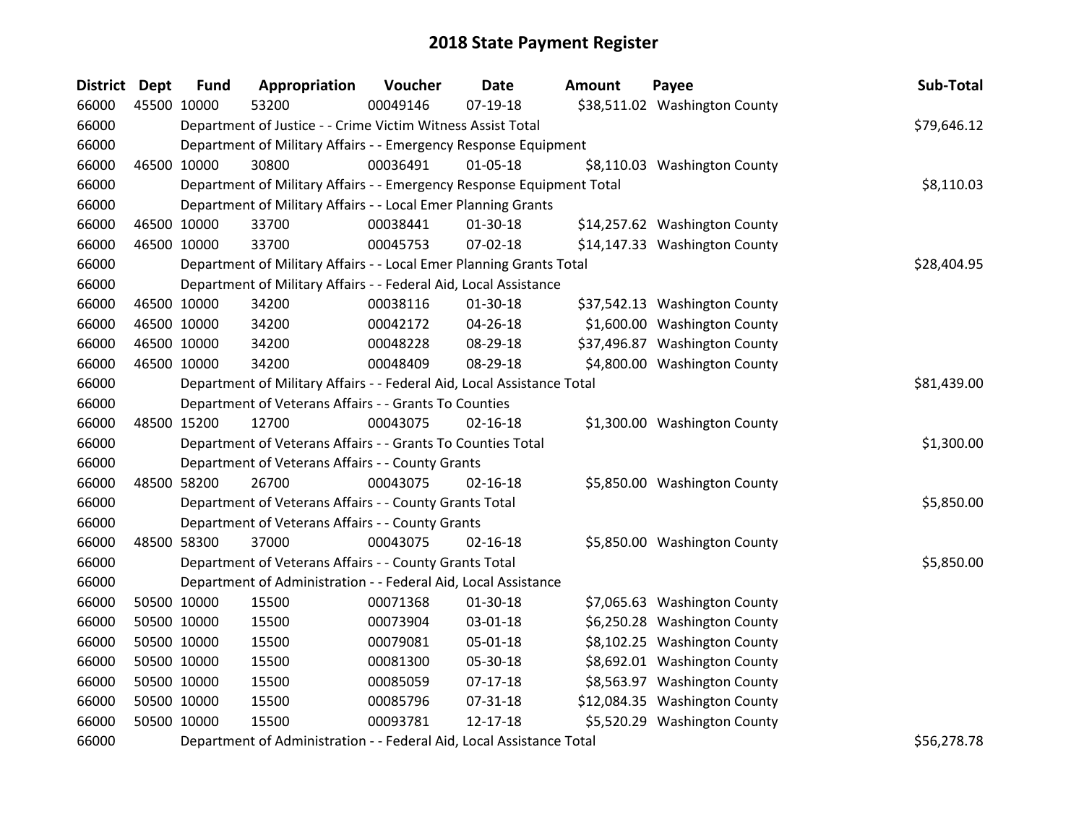| <b>District</b> | <b>Dept</b> | <b>Fund</b> | Appropriation                                                          | Voucher  | <b>Date</b>    | <b>Amount</b> | Payee                         | Sub-Total   |
|-----------------|-------------|-------------|------------------------------------------------------------------------|----------|----------------|---------------|-------------------------------|-------------|
| 66000           | 45500 10000 |             | 53200                                                                  | 00049146 | $07-19-18$     |               | \$38,511.02 Washington County |             |
| 66000           |             |             | Department of Justice - - Crime Victim Witness Assist Total            |          |                |               |                               | \$79,646.12 |
| 66000           |             |             | Department of Military Affairs - - Emergency Response Equipment        |          |                |               |                               |             |
| 66000           |             | 46500 10000 | 30800                                                                  | 00036491 | $01 - 05 - 18$ |               | \$8,110.03 Washington County  |             |
| 66000           |             |             | Department of Military Affairs - - Emergency Response Equipment Total  |          |                |               |                               | \$8,110.03  |
| 66000           |             |             | Department of Military Affairs - - Local Emer Planning Grants          |          |                |               |                               |             |
| 66000           | 46500 10000 |             | 33700                                                                  | 00038441 | $01 - 30 - 18$ |               | \$14,257.62 Washington County |             |
| 66000           | 46500 10000 |             | 33700                                                                  | 00045753 | 07-02-18       |               | \$14,147.33 Washington County |             |
| 66000           |             |             | Department of Military Affairs - - Local Emer Planning Grants Total    |          |                |               |                               | \$28,404.95 |
| 66000           |             |             | Department of Military Affairs - - Federal Aid, Local Assistance       |          |                |               |                               |             |
| 66000           | 46500 10000 |             | 34200                                                                  | 00038116 | $01-30-18$     |               | \$37,542.13 Washington County |             |
| 66000           |             | 46500 10000 | 34200                                                                  | 00042172 | 04-26-18       |               | \$1,600.00 Washington County  |             |
| 66000           |             | 46500 10000 | 34200                                                                  | 00048228 | 08-29-18       |               | \$37,496.87 Washington County |             |
| 66000           | 46500 10000 |             | 34200                                                                  | 00048409 | 08-29-18       |               | \$4,800.00 Washington County  |             |
| 66000           |             |             | Department of Military Affairs - - Federal Aid, Local Assistance Total |          |                |               |                               | \$81,439.00 |
| 66000           |             |             | Department of Veterans Affairs - - Grants To Counties                  |          |                |               |                               |             |
| 66000           | 48500 15200 |             | 12700                                                                  | 00043075 | $02 - 16 - 18$ |               | \$1,300.00 Washington County  |             |
| 66000           |             |             | Department of Veterans Affairs - - Grants To Counties Total            |          |                |               |                               | \$1,300.00  |
| 66000           |             |             | Department of Veterans Affairs - - County Grants                       |          |                |               |                               |             |
| 66000           |             | 48500 58200 | 26700                                                                  | 00043075 | $02 - 16 - 18$ |               | \$5,850.00 Washington County  |             |
| 66000           |             |             | Department of Veterans Affairs - - County Grants Total                 |          |                |               |                               | \$5,850.00  |
| 66000           |             |             | Department of Veterans Affairs - - County Grants                       |          |                |               |                               |             |
| 66000           | 48500 58300 |             | 37000                                                                  | 00043075 | $02 - 16 - 18$ |               | \$5,850.00 Washington County  |             |
| 66000           |             |             | Department of Veterans Affairs - - County Grants Total                 |          |                |               |                               | \$5,850.00  |
| 66000           |             |             | Department of Administration - - Federal Aid, Local Assistance         |          |                |               |                               |             |
| 66000           |             | 50500 10000 | 15500                                                                  | 00071368 | $01-30-18$     |               | \$7,065.63 Washington County  |             |
| 66000           | 50500 10000 |             | 15500                                                                  | 00073904 | 03-01-18       |               | \$6,250.28 Washington County  |             |
| 66000           |             | 50500 10000 | 15500                                                                  | 00079081 | 05-01-18       |               | \$8,102.25 Washington County  |             |
| 66000           |             | 50500 10000 | 15500                                                                  | 00081300 | 05-30-18       |               | \$8,692.01 Washington County  |             |
| 66000           |             | 50500 10000 | 15500                                                                  | 00085059 | $07-17-18$     |               | \$8,563.97 Washington County  |             |
| 66000           |             | 50500 10000 | 15500                                                                  | 00085796 | 07-31-18       |               | \$12,084.35 Washington County |             |
| 66000           | 50500 10000 |             | 15500                                                                  | 00093781 | $12 - 17 - 18$ |               | \$5,520.29 Washington County  |             |
| 66000           |             |             | Department of Administration - - Federal Aid, Local Assistance Total   |          |                |               |                               | \$56,278.78 |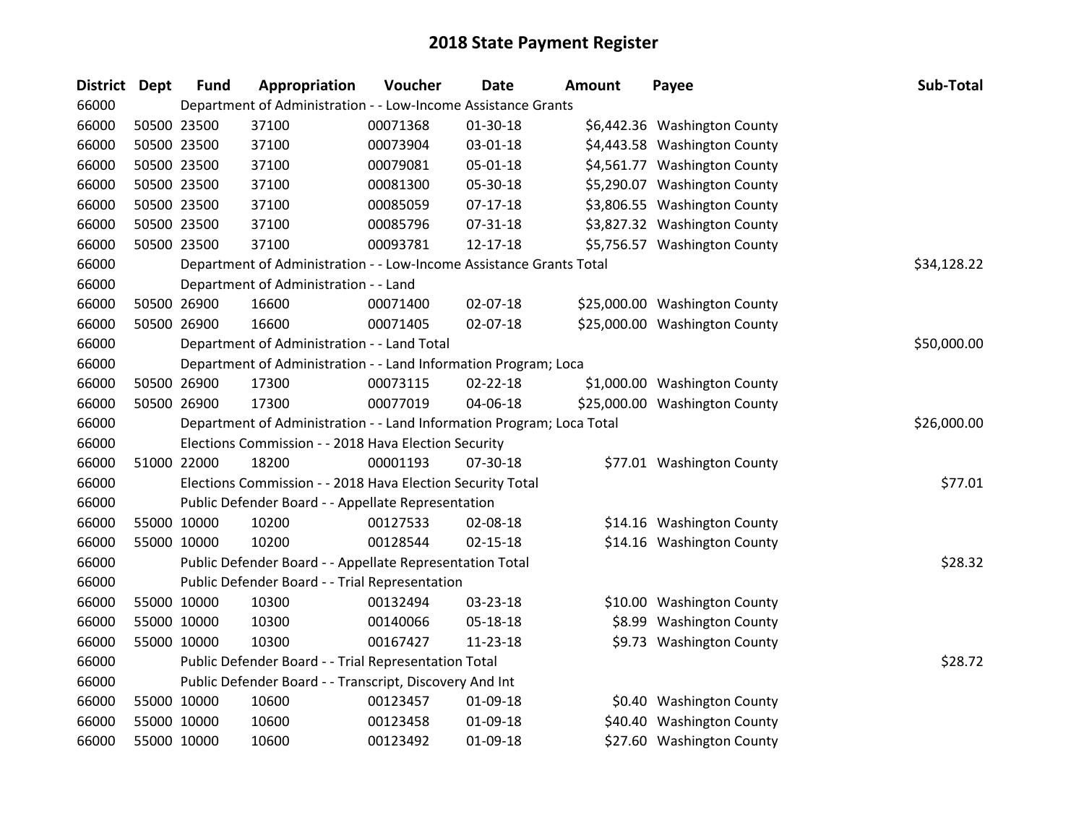| <b>District</b> | <b>Dept</b> | <b>Fund</b> | Appropriation                                                         | Voucher  | Date           | <b>Amount</b> | Payee                         | Sub-Total   |
|-----------------|-------------|-------------|-----------------------------------------------------------------------|----------|----------------|---------------|-------------------------------|-------------|
| 66000           |             |             | Department of Administration - - Low-Income Assistance Grants         |          |                |               |                               |             |
| 66000           | 50500 23500 |             | 37100                                                                 | 00071368 | $01-30-18$     |               | \$6,442.36 Washington County  |             |
| 66000           | 50500 23500 |             | 37100                                                                 | 00073904 | 03-01-18       |               | \$4,443.58 Washington County  |             |
| 66000           | 50500 23500 |             | 37100                                                                 | 00079081 | 05-01-18       |               | \$4,561.77 Washington County  |             |
| 66000           | 50500 23500 |             | 37100                                                                 | 00081300 | 05-30-18       |               | \$5,290.07 Washington County  |             |
| 66000           | 50500 23500 |             | 37100                                                                 | 00085059 | $07 - 17 - 18$ |               | \$3,806.55 Washington County  |             |
| 66000           | 50500 23500 |             | 37100                                                                 | 00085796 | 07-31-18       |               | \$3,827.32 Washington County  |             |
| 66000           | 50500 23500 |             | 37100                                                                 | 00093781 | $12 - 17 - 18$ |               | \$5,756.57 Washington County  |             |
| 66000           |             |             | Department of Administration - - Low-Income Assistance Grants Total   |          |                |               |                               | \$34,128.22 |
| 66000           |             |             | Department of Administration - - Land                                 |          |                |               |                               |             |
| 66000           | 50500 26900 |             | 16600                                                                 | 00071400 | 02-07-18       |               | \$25,000.00 Washington County |             |
| 66000           | 50500 26900 |             | 16600                                                                 | 00071405 | 02-07-18       |               | \$25,000.00 Washington County |             |
| 66000           |             |             | Department of Administration - - Land Total                           |          |                |               |                               | \$50,000.00 |
| 66000           |             |             | Department of Administration - - Land Information Program; Loca       |          |                |               |                               |             |
| 66000           | 50500 26900 |             | 17300                                                                 | 00073115 | 02-22-18       |               | \$1,000.00 Washington County  |             |
| 66000           | 50500 26900 |             | 17300                                                                 | 00077019 | 04-06-18       |               | \$25,000.00 Washington County |             |
| 66000           |             |             | Department of Administration - - Land Information Program; Loca Total |          |                |               |                               | \$26,000.00 |
| 66000           |             |             | Elections Commission - - 2018 Hava Election Security                  |          |                |               |                               |             |
| 66000           | 51000 22000 |             | 18200                                                                 | 00001193 | 07-30-18       |               | \$77.01 Washington County     |             |
| 66000           |             |             | Elections Commission - - 2018 Hava Election Security Total            |          |                |               |                               | \$77.01     |
| 66000           |             |             | Public Defender Board - - Appellate Representation                    |          |                |               |                               |             |
| 66000           | 55000 10000 |             | 10200                                                                 | 00127533 | 02-08-18       |               | \$14.16 Washington County     |             |
| 66000           | 55000 10000 |             | 10200                                                                 | 00128544 | $02 - 15 - 18$ |               | \$14.16 Washington County     |             |
| 66000           |             |             | Public Defender Board - - Appellate Representation Total              |          |                |               |                               | \$28.32     |
| 66000           |             |             | Public Defender Board - - Trial Representation                        |          |                |               |                               |             |
| 66000           | 55000 10000 |             | 10300                                                                 | 00132494 | 03-23-18       |               | \$10.00 Washington County     |             |
| 66000           | 55000 10000 |             | 10300                                                                 | 00140066 | 05-18-18       |               | \$8.99 Washington County      |             |
| 66000           | 55000 10000 |             | 10300                                                                 | 00167427 | 11-23-18       |               | \$9.73 Washington County      |             |
| 66000           |             |             | Public Defender Board - - Trial Representation Total                  |          |                |               |                               | \$28.72     |
| 66000           |             |             | Public Defender Board - - Transcript, Discovery And Int               |          |                |               |                               |             |
| 66000           | 55000 10000 |             | 10600                                                                 | 00123457 | 01-09-18       |               | \$0.40 Washington County      |             |
| 66000           | 55000 10000 |             | 10600                                                                 | 00123458 | 01-09-18       |               | \$40.40 Washington County     |             |
| 66000           | 55000 10000 |             | 10600                                                                 | 00123492 | 01-09-18       |               | \$27.60 Washington County     |             |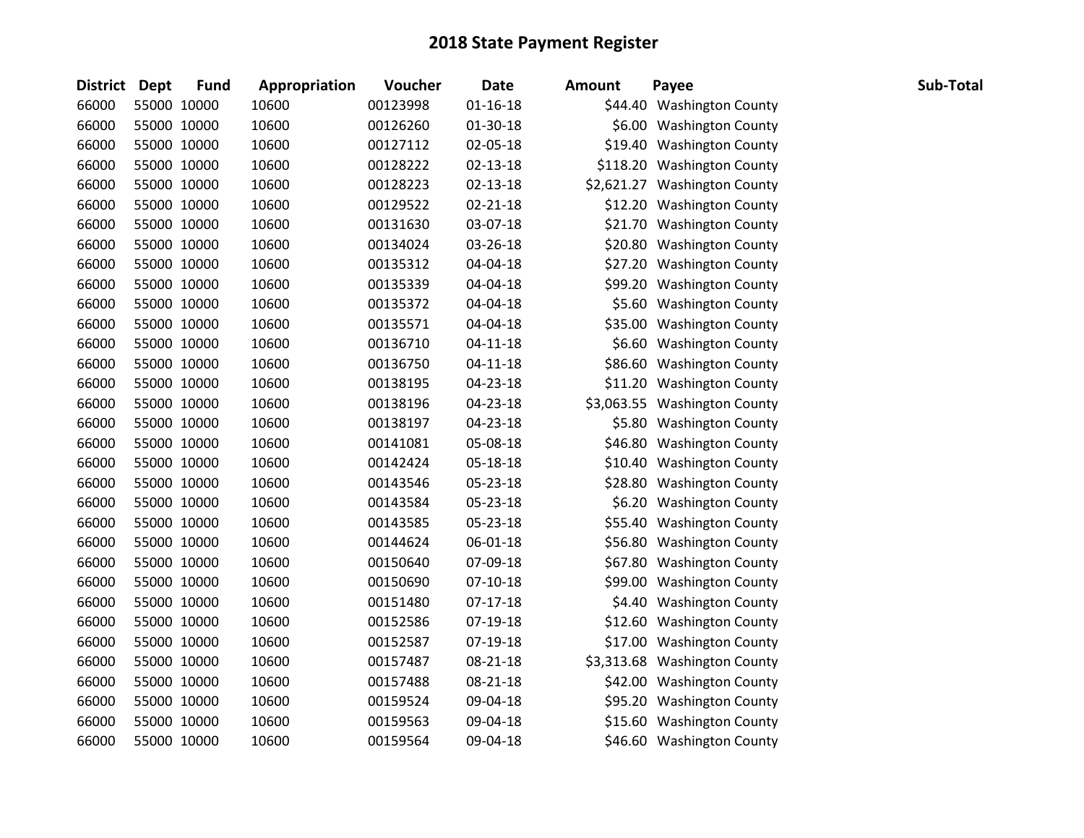| <b>District Dept</b> | <b>Fund</b> | Appropriation | Voucher  | <b>Date</b>    | <b>Amount</b> | Payee                        | Sub-Total |
|----------------------|-------------|---------------|----------|----------------|---------------|------------------------------|-----------|
| 66000                | 55000 10000 | 10600         | 00123998 | $01 - 16 - 18$ |               | \$44.40 Washington County    |           |
| 66000                | 55000 10000 | 10600         | 00126260 | 01-30-18       |               | \$6.00 Washington County     |           |
| 66000                | 55000 10000 | 10600         | 00127112 | 02-05-18       |               | \$19.40 Washington County    |           |
| 66000                | 55000 10000 | 10600         | 00128222 | $02 - 13 - 18$ |               | \$118.20 Washington County   |           |
| 66000                | 55000 10000 | 10600         | 00128223 | 02-13-18       |               | \$2,621.27 Washington County |           |
| 66000                | 55000 10000 | 10600         | 00129522 | $02 - 21 - 18$ |               | \$12.20 Washington County    |           |
| 66000                | 55000 10000 | 10600         | 00131630 | 03-07-18       |               | \$21.70 Washington County    |           |
| 66000                | 55000 10000 | 10600         | 00134024 | 03-26-18       |               | \$20.80 Washington County    |           |
| 66000                | 55000 10000 | 10600         | 00135312 | 04-04-18       |               | \$27.20 Washington County    |           |
| 66000                | 55000 10000 | 10600         | 00135339 | 04-04-18       |               | \$99.20 Washington County    |           |
| 66000                | 55000 10000 | 10600         | 00135372 | 04-04-18       |               | \$5.60 Washington County     |           |
| 66000                | 55000 10000 | 10600         | 00135571 | 04-04-18       |               | \$35.00 Washington County    |           |
| 66000                | 55000 10000 | 10600         | 00136710 | $04 - 11 - 18$ |               | \$6.60 Washington County     |           |
| 66000                | 55000 10000 | 10600         | 00136750 | $04 - 11 - 18$ |               | \$86.60 Washington County    |           |
| 66000                | 55000 10000 | 10600         | 00138195 | 04-23-18       |               | \$11.20 Washington County    |           |
| 66000                | 55000 10000 | 10600         | 00138196 | 04-23-18       |               | \$3,063.55 Washington County |           |
| 66000                | 55000 10000 | 10600         | 00138197 | 04-23-18       |               | \$5.80 Washington County     |           |
| 66000                | 55000 10000 | 10600         | 00141081 | 05-08-18       |               | \$46.80 Washington County    |           |
| 66000                | 55000 10000 | 10600         | 00142424 | 05-18-18       |               | \$10.40 Washington County    |           |
| 66000                | 55000 10000 | 10600         | 00143546 | 05-23-18       |               | \$28.80 Washington County    |           |
| 66000                | 55000 10000 | 10600         | 00143584 | 05-23-18       |               | \$6.20 Washington County     |           |
| 66000                | 55000 10000 | 10600         | 00143585 | 05-23-18       |               | \$55.40 Washington County    |           |
| 66000                | 55000 10000 | 10600         | 00144624 | 06-01-18       |               | \$56.80 Washington County    |           |
| 66000                | 55000 10000 | 10600         | 00150640 | 07-09-18       |               | \$67.80 Washington County    |           |
| 66000                | 55000 10000 | 10600         | 00150690 | $07-10-18$     |               | \$99.00 Washington County    |           |
| 66000                | 55000 10000 | 10600         | 00151480 | $07-17-18$     |               | \$4.40 Washington County     |           |
| 66000                | 55000 10000 | 10600         | 00152586 | $07-19-18$     |               | \$12.60 Washington County    |           |
| 66000                | 55000 10000 | 10600         | 00152587 | 07-19-18       |               | \$17.00 Washington County    |           |
| 66000                | 55000 10000 | 10600         | 00157487 | $08 - 21 - 18$ |               | \$3,313.68 Washington County |           |
| 66000                | 55000 10000 | 10600         | 00157488 | 08-21-18       |               | \$42.00 Washington County    |           |
| 66000                | 55000 10000 | 10600         | 00159524 | 09-04-18       |               | \$95.20 Washington County    |           |
| 66000                | 55000 10000 | 10600         | 00159563 | 09-04-18       |               | \$15.60 Washington County    |           |
| 66000                | 55000 10000 | 10600         | 00159564 | 09-04-18       |               | \$46.60 Washington County    |           |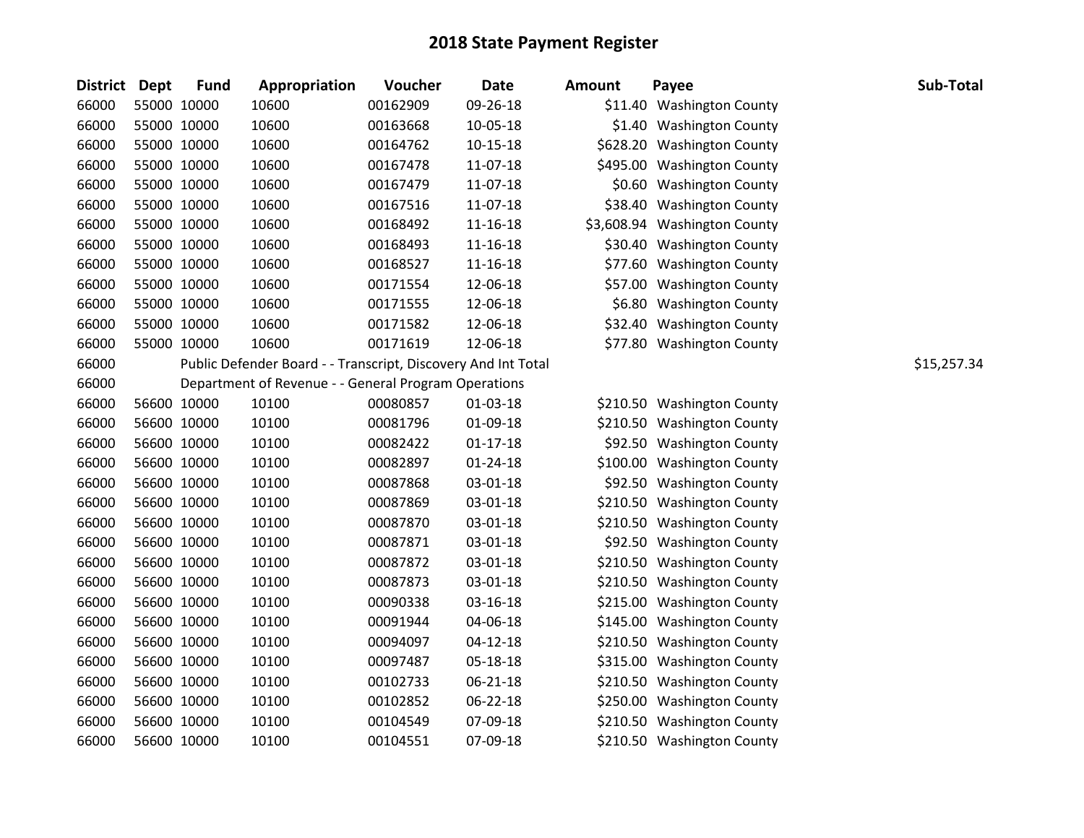| <b>District</b> | Dept        | <b>Fund</b> | Appropriation                                                 | Voucher  | <b>Date</b>    | <b>Amount</b> | Payee                        | Sub-Total   |
|-----------------|-------------|-------------|---------------------------------------------------------------|----------|----------------|---------------|------------------------------|-------------|
| 66000           | 55000 10000 |             | 10600                                                         | 00162909 | 09-26-18       |               | \$11.40 Washington County    |             |
| 66000           | 55000 10000 |             | 10600                                                         | 00163668 | 10-05-18       |               | \$1.40 Washington County     |             |
| 66000           | 55000 10000 |             | 10600                                                         | 00164762 | $10 - 15 - 18$ |               | \$628.20 Washington County   |             |
| 66000           | 55000 10000 |             | 10600                                                         | 00167478 | 11-07-18       |               | \$495.00 Washington County   |             |
| 66000           | 55000 10000 |             | 10600                                                         | 00167479 | 11-07-18       |               | \$0.60 Washington County     |             |
| 66000           | 55000 10000 |             | 10600                                                         | 00167516 | 11-07-18       |               | \$38.40 Washington County    |             |
| 66000           | 55000 10000 |             | 10600                                                         | 00168492 | 11-16-18       |               | \$3,608.94 Washington County |             |
| 66000           | 55000 10000 |             | 10600                                                         | 00168493 | $11 - 16 - 18$ |               | \$30.40 Washington County    |             |
| 66000           | 55000 10000 |             | 10600                                                         | 00168527 | 11-16-18       |               | \$77.60 Washington County    |             |
| 66000           | 55000 10000 |             | 10600                                                         | 00171554 | 12-06-18       |               | \$57.00 Washington County    |             |
| 66000           | 55000 10000 |             | 10600                                                         | 00171555 | 12-06-18       |               | \$6.80 Washington County     |             |
| 66000           | 55000 10000 |             | 10600                                                         | 00171582 | 12-06-18       |               | \$32.40 Washington County    |             |
| 66000           | 55000 10000 |             | 10600                                                         | 00171619 | 12-06-18       |               | \$77.80 Washington County    |             |
| 66000           |             |             | Public Defender Board - - Transcript, Discovery And Int Total |          |                |               |                              | \$15,257.34 |
| 66000           |             |             | Department of Revenue - - General Program Operations          |          |                |               |                              |             |
| 66000           | 56600 10000 |             | 10100                                                         | 00080857 | 01-03-18       |               | \$210.50 Washington County   |             |
| 66000           | 56600 10000 |             | 10100                                                         | 00081796 | 01-09-18       |               | \$210.50 Washington County   |             |
| 66000           | 56600 10000 |             | 10100                                                         | 00082422 | $01 - 17 - 18$ |               | \$92.50 Washington County    |             |
| 66000           | 56600 10000 |             | 10100                                                         | 00082897 | $01 - 24 - 18$ |               | \$100.00 Washington County   |             |
| 66000           | 56600 10000 |             | 10100                                                         | 00087868 | 03-01-18       |               | \$92.50 Washington County    |             |
| 66000           | 56600 10000 |             | 10100                                                         | 00087869 | 03-01-18       |               | \$210.50 Washington County   |             |
| 66000           | 56600 10000 |             | 10100                                                         | 00087870 | 03-01-18       |               | \$210.50 Washington County   |             |
| 66000           | 56600 10000 |             | 10100                                                         | 00087871 | 03-01-18       |               | \$92.50 Washington County    |             |
| 66000           | 56600 10000 |             | 10100                                                         | 00087872 | 03-01-18       |               | \$210.50 Washington County   |             |
| 66000           | 56600 10000 |             | 10100                                                         | 00087873 | 03-01-18       |               | \$210.50 Washington County   |             |
| 66000           | 56600 10000 |             | 10100                                                         | 00090338 | 03-16-18       |               | \$215.00 Washington County   |             |
| 66000           | 56600 10000 |             | 10100                                                         | 00091944 | 04-06-18       |               | \$145.00 Washington County   |             |
| 66000           | 56600 10000 |             | 10100                                                         | 00094097 | $04 - 12 - 18$ |               | \$210.50 Washington County   |             |
| 66000           | 56600 10000 |             | 10100                                                         | 00097487 | 05-18-18       |               | \$315.00 Washington County   |             |
| 66000           | 56600 10000 |             | 10100                                                         | 00102733 | 06-21-18       |               | \$210.50 Washington County   |             |
| 66000           | 56600 10000 |             | 10100                                                         | 00102852 | 06-22-18       |               | \$250.00 Washington County   |             |
| 66000           | 56600 10000 |             | 10100                                                         | 00104549 | 07-09-18       |               | \$210.50 Washington County   |             |
| 66000           |             | 56600 10000 | 10100                                                         | 00104551 | 07-09-18       |               | \$210.50 Washington County   |             |

|        | .                        |
|--------|--------------------------|
| 11.40  | <b>Washington County</b> |
| \$1.40 | <b>Washington County</b> |
| 28.20  | <b>Washington County</b> |
| 95.00  | <b>Washington County</b> |
| \$0.60 | <b>Washington County</b> |
| 38.40  | <b>Washington County</b> |
| 08.94  | <b>Washington County</b> |
| 30.40  | <b>Washington County</b> |
| 77.60  | <b>Washington County</b> |
| 57.00  | <b>Washington County</b> |
| \$6.80 | <b>Washington County</b> |
| 32.40  | <b>Washington County</b> |
| 77.80  | <b>Washington County</b> |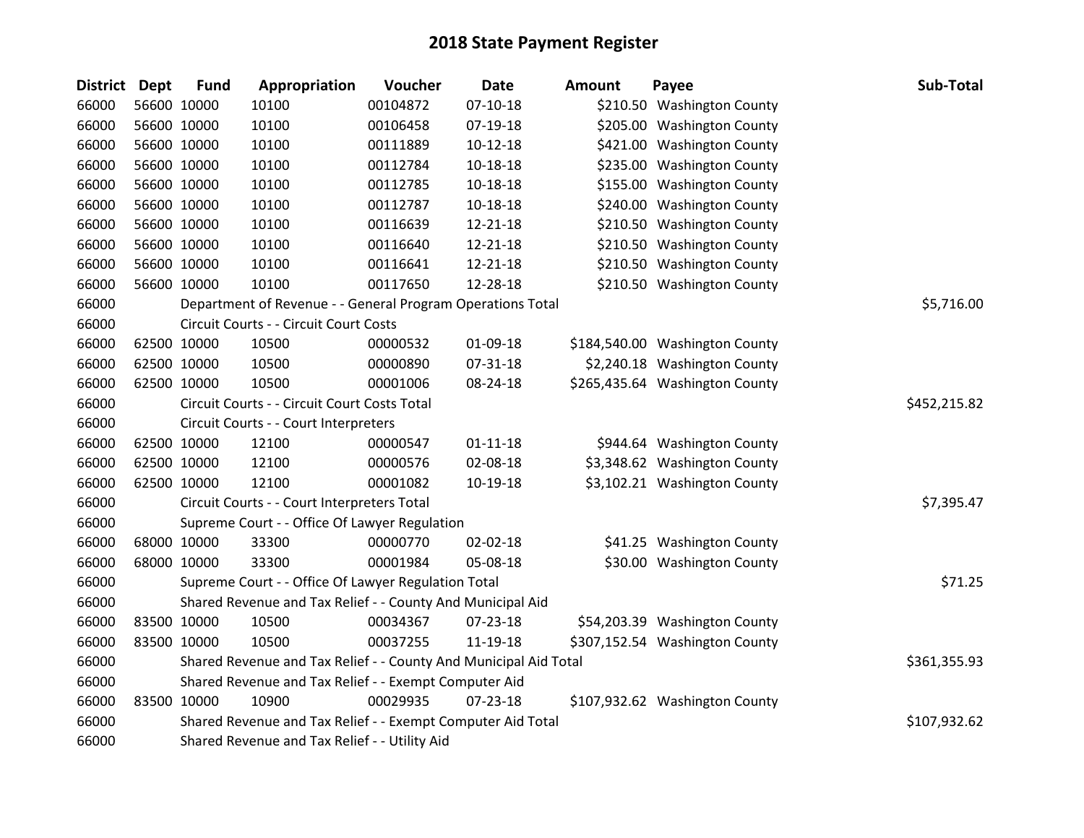| <b>District</b> | <b>Dept</b> | <b>Fund</b> | Appropriation                                                    | Voucher  | <b>Date</b>    | <b>Amount</b> | Payee                          | Sub-Total    |
|-----------------|-------------|-------------|------------------------------------------------------------------|----------|----------------|---------------|--------------------------------|--------------|
| 66000           |             | 56600 10000 | 10100                                                            | 00104872 | $07-10-18$     |               | \$210.50 Washington County     |              |
| 66000           |             | 56600 10000 | 10100                                                            | 00106458 | $07-19-18$     |               | \$205.00 Washington County     |              |
| 66000           |             | 56600 10000 | 10100                                                            | 00111889 | $10-12-18$     |               | \$421.00 Washington County     |              |
| 66000           |             | 56600 10000 | 10100                                                            | 00112784 | 10-18-18       |               | \$235.00 Washington County     |              |
| 66000           |             | 56600 10000 | 10100                                                            | 00112785 | 10-18-18       |               | \$155.00 Washington County     |              |
| 66000           |             | 56600 10000 | 10100                                                            | 00112787 | 10-18-18       |               | \$240.00 Washington County     |              |
| 66000           |             | 56600 10000 | 10100                                                            | 00116639 | 12-21-18       |               | \$210.50 Washington County     |              |
| 66000           |             | 56600 10000 | 10100                                                            | 00116640 | 12-21-18       |               | \$210.50 Washington County     |              |
| 66000           |             | 56600 10000 | 10100                                                            | 00116641 | 12-21-18       |               | \$210.50 Washington County     |              |
| 66000           |             | 56600 10000 | 10100                                                            | 00117650 | 12-28-18       |               | \$210.50 Washington County     |              |
| 66000           |             |             | Department of Revenue - - General Program Operations Total       |          |                |               |                                | \$5,716.00   |
| 66000           |             |             | Circuit Courts - - Circuit Court Costs                           |          |                |               |                                |              |
| 66000           |             | 62500 10000 | 10500                                                            | 00000532 | 01-09-18       |               | \$184,540.00 Washington County |              |
| 66000           |             | 62500 10000 | 10500                                                            | 00000890 | 07-31-18       |               | \$2,240.18 Washington County   |              |
| 66000           |             | 62500 10000 | 10500                                                            | 00001006 | 08-24-18       |               | \$265,435.64 Washington County |              |
| 66000           |             |             | Circuit Courts - - Circuit Court Costs Total                     |          |                |               |                                | \$452,215.82 |
| 66000           |             |             | Circuit Courts - - Court Interpreters                            |          |                |               |                                |              |
| 66000           |             | 62500 10000 | 12100                                                            | 00000547 | $01 - 11 - 18$ |               | \$944.64 Washington County     |              |
| 66000           |             | 62500 10000 | 12100                                                            | 00000576 | 02-08-18       |               | \$3,348.62 Washington County   |              |
| 66000           |             | 62500 10000 | 12100                                                            | 00001082 | 10-19-18       |               | \$3,102.21 Washington County   |              |
| 66000           |             |             | Circuit Courts - - Court Interpreters Total                      |          |                |               |                                | \$7,395.47   |
| 66000           |             |             | Supreme Court - - Office Of Lawyer Regulation                    |          |                |               |                                |              |
| 66000           |             | 68000 10000 | 33300                                                            | 00000770 | $02 - 02 - 18$ |               | \$41.25 Washington County      |              |
| 66000           |             | 68000 10000 | 33300                                                            | 00001984 | 05-08-18       |               | \$30.00 Washington County      |              |
| 66000           |             |             | Supreme Court - - Office Of Lawyer Regulation Total              |          |                |               |                                | \$71.25      |
| 66000           |             |             | Shared Revenue and Tax Relief - - County And Municipal Aid       |          |                |               |                                |              |
| 66000           |             | 83500 10000 | 10500                                                            | 00034367 | 07-23-18       |               | \$54,203.39 Washington County  |              |
| 66000           |             | 83500 10000 | 10500                                                            | 00037255 | 11-19-18       |               | \$307,152.54 Washington County |              |
| 66000           |             |             | Shared Revenue and Tax Relief - - County And Municipal Aid Total |          |                |               |                                | \$361,355.93 |
| 66000           |             |             | Shared Revenue and Tax Relief - - Exempt Computer Aid            |          |                |               |                                |              |
| 66000           |             | 83500 10000 | 10900                                                            | 00029935 | $07 - 23 - 18$ |               | \$107,932.62 Washington County |              |
| 66000           |             |             | Shared Revenue and Tax Relief - - Exempt Computer Aid Total      |          |                |               |                                | \$107,932.62 |
| 66000           |             |             | Shared Revenue and Tax Relief - - Utility Aid                    |          |                |               |                                |              |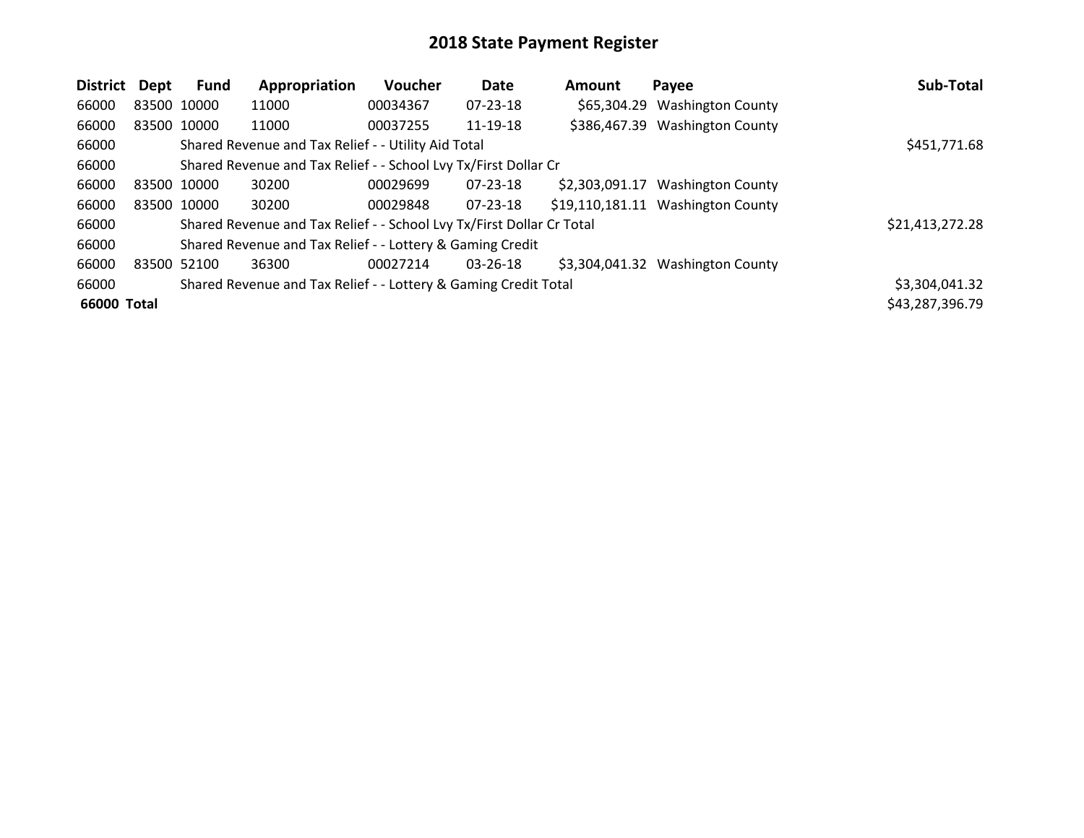| District    | Dept        | Fund | Appropriation                                                         | <b>Voucher</b> | <b>Date</b>    | Amount         | Payee                             | Sub-Total       |
|-------------|-------------|------|-----------------------------------------------------------------------|----------------|----------------|----------------|-----------------------------------|-----------------|
| 66000       | 83500 10000 |      | 11000                                                                 | 00034367       | 07-23-18       |                | \$65,304.29 Washington County     |                 |
| 66000       | 83500 10000 |      | 11000                                                                 | 00037255       | 11-19-18       |                | \$386,467.39 Washington County    |                 |
| 66000       |             |      | Shared Revenue and Tax Relief - - Utility Aid Total                   |                |                |                |                                   | \$451,771.68    |
| 66000       |             |      | Shared Revenue and Tax Relief - - School Lvy Tx/First Dollar Cr       |                |                |                |                                   |                 |
| 66000       | 83500 10000 |      | 30200                                                                 | 00029699       | $07 - 23 - 18$ | \$2,303,091.17 | <b>Washington County</b>          |                 |
| 66000       | 83500 10000 |      | 30200                                                                 | 00029848       | $07 - 23 - 18$ |                | \$19,110,181.11 Washington County |                 |
| 66000       |             |      | Shared Revenue and Tax Relief - - School Lvy Tx/First Dollar Cr Total |                |                |                |                                   | \$21,413,272.28 |
| 66000       |             |      | Shared Revenue and Tax Relief - - Lottery & Gaming Credit             |                |                |                |                                   |                 |
| 66000       | 83500 52100 |      | 36300                                                                 | 00027214       | 03-26-18       | \$3,304,041.32 | <b>Washington County</b>          |                 |
| 66000       |             |      | Shared Revenue and Tax Relief - - Lottery & Gaming Credit Total       |                |                |                |                                   | \$3,304,041.32  |
| 66000 Total |             |      |                                                                       |                |                |                |                                   | \$43,287,396.79 |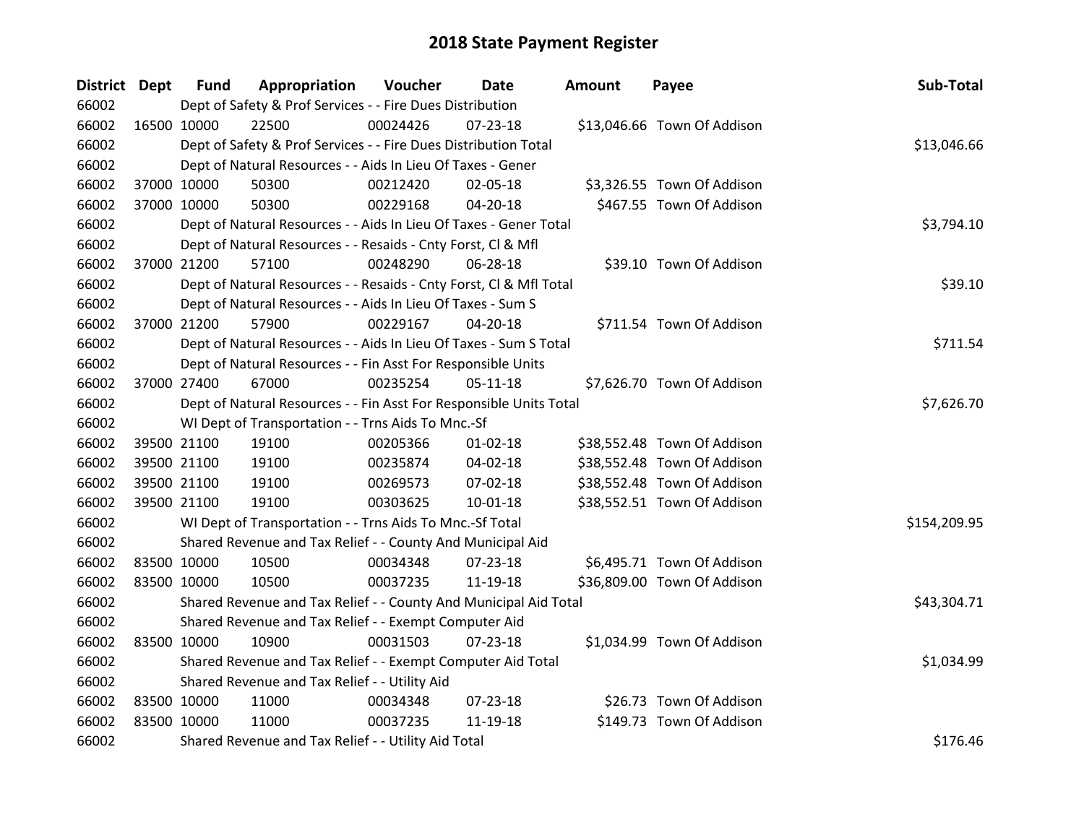| District Dept |             | <b>Fund</b> | Appropriation                                                      | Voucher  | Date           | Amount | Payee                       | Sub-Total    |
|---------------|-------------|-------------|--------------------------------------------------------------------|----------|----------------|--------|-----------------------------|--------------|
| 66002         |             |             | Dept of Safety & Prof Services - - Fire Dues Distribution          |          |                |        |                             |              |
| 66002         | 16500 10000 |             | 22500                                                              | 00024426 | $07 - 23 - 18$ |        | \$13,046.66 Town Of Addison |              |
| 66002         |             |             | Dept of Safety & Prof Services - - Fire Dues Distribution Total    |          |                |        |                             | \$13,046.66  |
| 66002         |             |             | Dept of Natural Resources - - Aids In Lieu Of Taxes - Gener        |          |                |        |                             |              |
| 66002         |             | 37000 10000 | 50300                                                              | 00212420 | 02-05-18       |        | \$3,326.55 Town Of Addison  |              |
| 66002         |             | 37000 10000 | 50300                                                              | 00229168 | $04 - 20 - 18$ |        | \$467.55 Town Of Addison    |              |
| 66002         |             |             | Dept of Natural Resources - - Aids In Lieu Of Taxes - Gener Total  |          |                |        |                             | \$3,794.10   |
| 66002         |             |             | Dept of Natural Resources - - Resaids - Cnty Forst, Cl & Mfl       |          |                |        |                             |              |
| 66002         |             | 37000 21200 | 57100                                                              | 00248290 | 06-28-18       |        | \$39.10 Town Of Addison     |              |
| 66002         |             |             | Dept of Natural Resources - - Resaids - Cnty Forst, CI & Mfl Total |          |                |        |                             | \$39.10      |
| 66002         |             |             | Dept of Natural Resources - - Aids In Lieu Of Taxes - Sum S        |          |                |        |                             |              |
| 66002         |             | 37000 21200 | 57900                                                              | 00229167 | $04 - 20 - 18$ |        | \$711.54 Town Of Addison    |              |
| 66002         |             |             | Dept of Natural Resources - - Aids In Lieu Of Taxes - Sum S Total  |          |                |        |                             | \$711.54     |
| 66002         |             |             | Dept of Natural Resources - - Fin Asst For Responsible Units       |          |                |        |                             |              |
| 66002         |             | 37000 27400 | 67000                                                              | 00235254 | 05-11-18       |        | \$7,626.70 Town Of Addison  |              |
| 66002         |             |             | Dept of Natural Resources - - Fin Asst For Responsible Units Total |          |                |        |                             | \$7,626.70   |
| 66002         |             |             | WI Dept of Transportation - - Trns Aids To Mnc.-Sf                 |          |                |        |                             |              |
| 66002         |             | 39500 21100 | 19100                                                              | 00205366 | $01 - 02 - 18$ |        | \$38,552.48 Town Of Addison |              |
| 66002         |             | 39500 21100 | 19100                                                              | 00235874 | 04-02-18       |        | \$38,552.48 Town Of Addison |              |
| 66002         |             | 39500 21100 | 19100                                                              | 00269573 | 07-02-18       |        | \$38,552.48 Town Of Addison |              |
| 66002         |             | 39500 21100 | 19100                                                              | 00303625 | 10-01-18       |        | \$38,552.51 Town Of Addison |              |
| 66002         |             |             | WI Dept of Transportation - - Trns Aids To Mnc.-Sf Total           |          |                |        |                             | \$154,209.95 |
| 66002         |             |             | Shared Revenue and Tax Relief - - County And Municipal Aid         |          |                |        |                             |              |
| 66002         | 83500 10000 |             | 10500                                                              | 00034348 | 07-23-18       |        | \$6,495.71 Town Of Addison  |              |
| 66002         | 83500 10000 |             | 10500                                                              | 00037235 | 11-19-18       |        | \$36,809.00 Town Of Addison |              |
| 66002         |             |             | Shared Revenue and Tax Relief - - County And Municipal Aid Total   |          |                |        |                             | \$43,304.71  |
| 66002         |             |             | Shared Revenue and Tax Relief - - Exempt Computer Aid              |          |                |        |                             |              |
| 66002         | 83500 10000 |             | 10900                                                              | 00031503 | $07 - 23 - 18$ |        | \$1,034.99 Town Of Addison  |              |
| 66002         |             |             | Shared Revenue and Tax Relief - - Exempt Computer Aid Total        |          |                |        |                             | \$1,034.99   |
| 66002         |             |             | Shared Revenue and Tax Relief - - Utility Aid                      |          |                |        |                             |              |
| 66002         | 83500 10000 |             | 11000                                                              | 00034348 | 07-23-18       |        | \$26.73 Town Of Addison     |              |
| 66002         | 83500 10000 |             | 11000                                                              | 00037235 | 11-19-18       |        | \$149.73 Town Of Addison    |              |
| 66002         |             |             | Shared Revenue and Tax Relief - - Utility Aid Total                |          |                |        |                             | \$176.46     |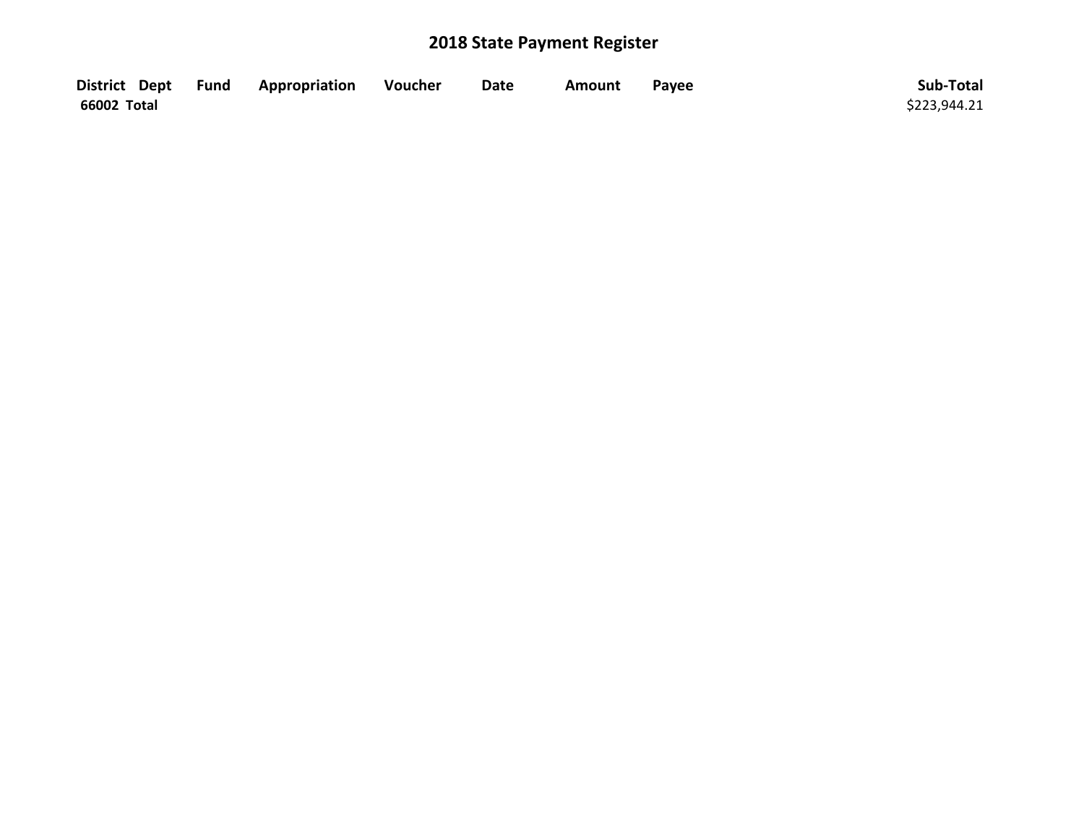|             | District Dept Fund Appropriation | Voucher | <b>Date</b> | Amount | Payee | Sub-Total    |
|-------------|----------------------------------|---------|-------------|--------|-------|--------------|
| 66002 Total |                                  |         |             |        |       | \$223,944.21 |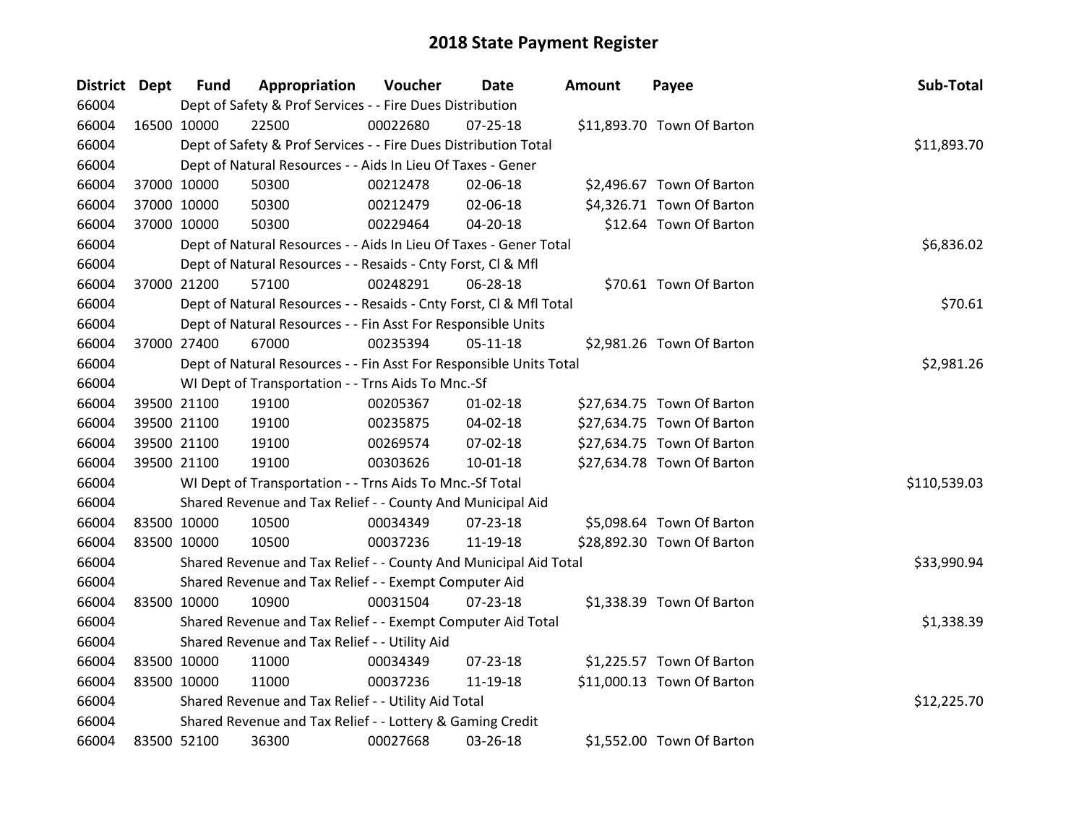| District Dept |             | <b>Fund</b> | Appropriation                                                      | Voucher  | <b>Date</b>    | <b>Amount</b> | Payee                      | Sub-Total    |
|---------------|-------------|-------------|--------------------------------------------------------------------|----------|----------------|---------------|----------------------------|--------------|
| 66004         |             |             | Dept of Safety & Prof Services - - Fire Dues Distribution          |          |                |               |                            |              |
| 66004         |             | 16500 10000 | 22500                                                              | 00022680 | $07 - 25 - 18$ |               | \$11,893.70 Town Of Barton |              |
| 66004         |             |             | Dept of Safety & Prof Services - - Fire Dues Distribution Total    |          |                |               |                            | \$11,893.70  |
| 66004         |             |             | Dept of Natural Resources - - Aids In Lieu Of Taxes - Gener        |          |                |               |                            |              |
| 66004         |             | 37000 10000 | 50300                                                              | 00212478 | 02-06-18       |               | \$2,496.67 Town Of Barton  |              |
| 66004         |             | 37000 10000 | 50300                                                              | 00212479 | 02-06-18       |               | \$4,326.71 Town Of Barton  |              |
| 66004         |             | 37000 10000 | 50300                                                              | 00229464 | 04-20-18       |               | \$12.64 Town Of Barton     |              |
| 66004         |             |             | Dept of Natural Resources - - Aids In Lieu Of Taxes - Gener Total  |          |                |               |                            | \$6,836.02   |
| 66004         |             |             | Dept of Natural Resources - - Resaids - Cnty Forst, CI & Mfl       |          |                |               |                            |              |
| 66004         |             | 37000 21200 | 57100                                                              | 00248291 | 06-28-18       |               | \$70.61 Town Of Barton     |              |
| 66004         |             |             | Dept of Natural Resources - - Resaids - Cnty Forst, Cl & Mfl Total |          |                |               |                            | \$70.61      |
| 66004         |             |             | Dept of Natural Resources - - Fin Asst For Responsible Units       |          |                |               |                            |              |
| 66004         |             | 37000 27400 | 67000                                                              | 00235394 | $05-11-18$     |               | \$2,981.26 Town Of Barton  |              |
| 66004         |             |             | Dept of Natural Resources - - Fin Asst For Responsible Units Total |          |                |               |                            | \$2,981.26   |
| 66004         |             |             | WI Dept of Transportation - - Trns Aids To Mnc.-Sf                 |          |                |               |                            |              |
| 66004         |             | 39500 21100 | 19100                                                              | 00205367 | $01 - 02 - 18$ |               | \$27,634.75 Town Of Barton |              |
| 66004         |             | 39500 21100 | 19100                                                              | 00235875 | 04-02-18       |               | \$27,634.75 Town Of Barton |              |
| 66004         |             | 39500 21100 | 19100                                                              | 00269574 | 07-02-18       |               | \$27,634.75 Town Of Barton |              |
| 66004         |             | 39500 21100 | 19100                                                              | 00303626 | $10 - 01 - 18$ |               | \$27,634.78 Town Of Barton |              |
| 66004         |             |             | WI Dept of Transportation - - Trns Aids To Mnc.-Sf Total           |          |                |               |                            | \$110,539.03 |
| 66004         |             |             | Shared Revenue and Tax Relief - - County And Municipal Aid         |          |                |               |                            |              |
| 66004         |             | 83500 10000 | 10500                                                              | 00034349 | 07-23-18       |               | \$5,098.64 Town Of Barton  |              |
| 66004         |             | 83500 10000 | 10500                                                              | 00037236 | 11-19-18       |               | \$28,892.30 Town Of Barton |              |
| 66004         |             |             | Shared Revenue and Tax Relief - - County And Municipal Aid Total   |          |                |               |                            | \$33,990.94  |
| 66004         |             |             | Shared Revenue and Tax Relief - - Exempt Computer Aid              |          |                |               |                            |              |
| 66004         |             | 83500 10000 | 10900                                                              | 00031504 | $07 - 23 - 18$ |               | \$1,338.39 Town Of Barton  |              |
| 66004         |             |             | Shared Revenue and Tax Relief - - Exempt Computer Aid Total        |          |                |               |                            | \$1,338.39   |
| 66004         |             |             | Shared Revenue and Tax Relief - - Utility Aid                      |          |                |               |                            |              |
| 66004         |             | 83500 10000 | 11000                                                              | 00034349 | 07-23-18       |               | \$1,225.57 Town Of Barton  |              |
| 66004         |             | 83500 10000 | 11000                                                              | 00037236 | 11-19-18       |               | \$11,000.13 Town Of Barton |              |
| 66004         |             |             | Shared Revenue and Tax Relief - - Utility Aid Total                |          |                |               |                            | \$12,225.70  |
| 66004         |             |             | Shared Revenue and Tax Relief - - Lottery & Gaming Credit          |          |                |               |                            |              |
| 66004         | 83500 52100 |             | 36300                                                              | 00027668 | 03-26-18       |               | \$1,552.00 Town Of Barton  |              |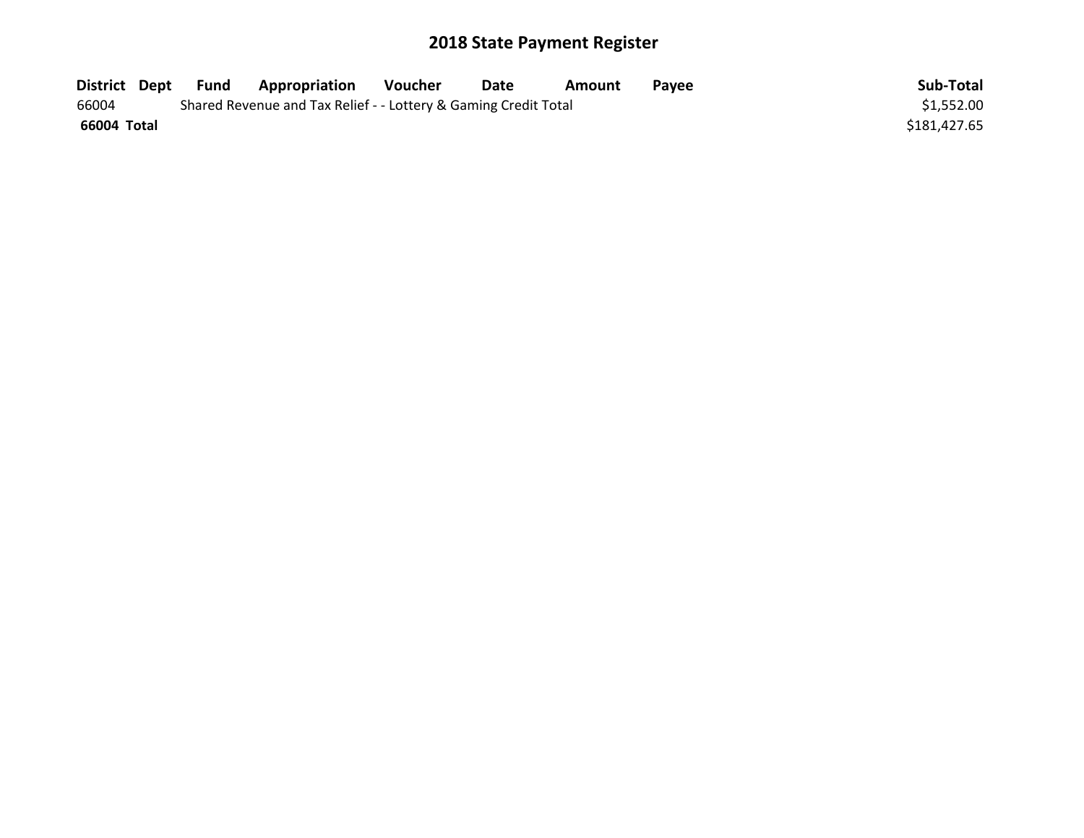| District Dept | Fund | <b>Appropriation</b>                                            | Voucher | Date | Amount | <b>Pavee</b> | Sub-Total    |
|---------------|------|-----------------------------------------------------------------|---------|------|--------|--------------|--------------|
| 66004         |      | Shared Revenue and Tax Relief - - Lottery & Gaming Credit Total |         |      |        |              | \$1,552.00   |
| 66004 Total   |      |                                                                 |         |      |        |              | \$181,427.65 |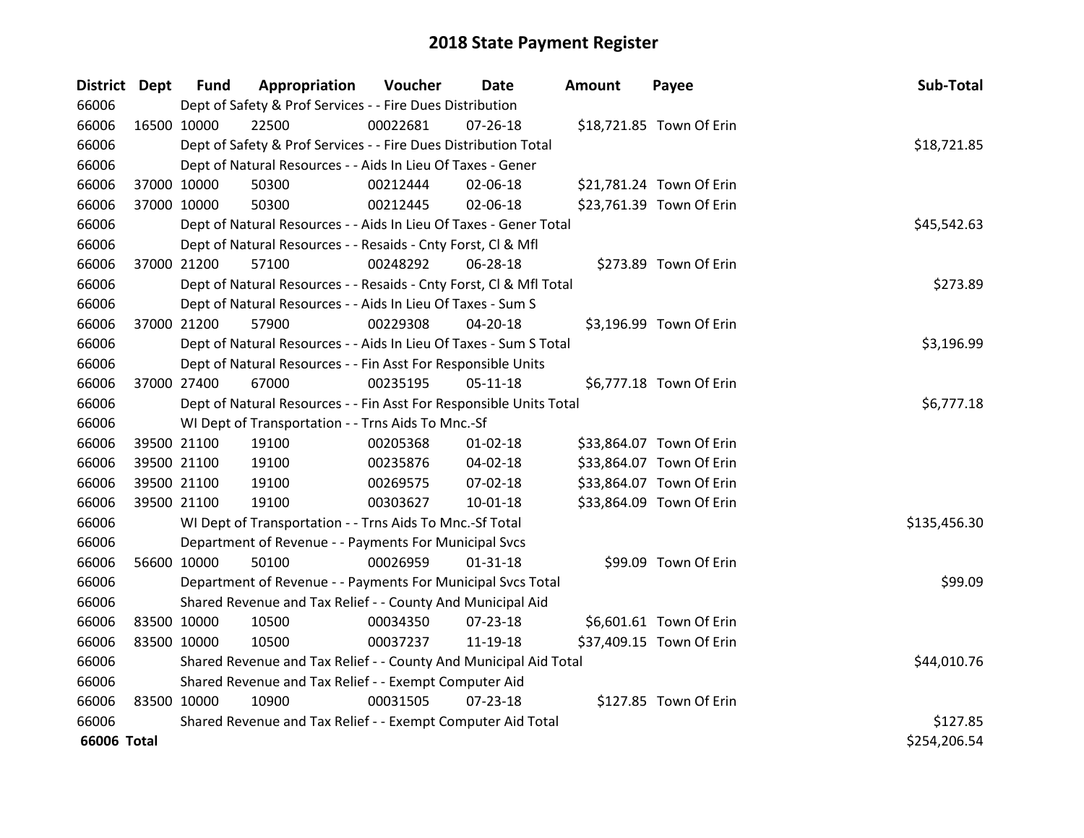| District Dept |             | <b>Fund</b> | Appropriation                                                      | Voucher  | Date           | <b>Amount</b> | Payee                    | Sub-Total    |
|---------------|-------------|-------------|--------------------------------------------------------------------|----------|----------------|---------------|--------------------------|--------------|
| 66006         |             |             | Dept of Safety & Prof Services - - Fire Dues Distribution          |          |                |               |                          |              |
| 66006         | 16500 10000 |             | 22500                                                              | 00022681 | $07 - 26 - 18$ |               | \$18,721.85 Town Of Erin |              |
| 66006         |             |             | Dept of Safety & Prof Services - - Fire Dues Distribution Total    |          |                |               |                          | \$18,721.85  |
| 66006         |             |             | Dept of Natural Resources - - Aids In Lieu Of Taxes - Gener        |          |                |               |                          |              |
| 66006         | 37000 10000 |             | 50300                                                              | 00212444 | 02-06-18       |               | \$21,781.24 Town Of Erin |              |
| 66006         | 37000 10000 |             | 50300                                                              | 00212445 | 02-06-18       |               | \$23,761.39 Town Of Erin |              |
| 66006         |             |             | Dept of Natural Resources - - Aids In Lieu Of Taxes - Gener Total  |          |                |               |                          | \$45,542.63  |
| 66006         |             |             | Dept of Natural Resources - - Resaids - Cnty Forst, Cl & Mfl       |          |                |               |                          |              |
| 66006         | 37000 21200 |             | 57100                                                              | 00248292 | 06-28-18       |               | \$273.89 Town Of Erin    |              |
| 66006         |             |             | Dept of Natural Resources - - Resaids - Cnty Forst, Cl & Mfl Total |          |                |               |                          | \$273.89     |
| 66006         |             |             | Dept of Natural Resources - - Aids In Lieu Of Taxes - Sum S        |          |                |               |                          |              |
| 66006         |             | 37000 21200 | 57900                                                              | 00229308 | 04-20-18       |               | \$3,196.99 Town Of Erin  |              |
| 66006         |             |             | Dept of Natural Resources - - Aids In Lieu Of Taxes - Sum S Total  |          |                |               |                          | \$3,196.99   |
| 66006         |             |             | Dept of Natural Resources - - Fin Asst For Responsible Units       |          |                |               |                          |              |
| 66006         | 37000 27400 |             | 67000                                                              | 00235195 | $05 - 11 - 18$ |               | \$6,777.18 Town Of Erin  |              |
| 66006         |             |             | Dept of Natural Resources - - Fin Asst For Responsible Units Total |          |                |               |                          | \$6,777.18   |
| 66006         |             |             | WI Dept of Transportation - - Trns Aids To Mnc.-Sf                 |          |                |               |                          |              |
| 66006         |             | 39500 21100 | 19100                                                              | 00205368 | $01 - 02 - 18$ |               | \$33,864.07 Town Of Erin |              |
| 66006         |             | 39500 21100 | 19100                                                              | 00235876 | 04-02-18       |               | \$33,864.07 Town Of Erin |              |
| 66006         |             | 39500 21100 | 19100                                                              | 00269575 | 07-02-18       |               | \$33,864.07 Town Of Erin |              |
| 66006         | 39500 21100 |             | 19100                                                              | 00303627 | $10 - 01 - 18$ |               | \$33,864.09 Town Of Erin |              |
| 66006         |             |             | WI Dept of Transportation - - Trns Aids To Mnc.-Sf Total           |          |                |               |                          | \$135,456.30 |
| 66006         |             |             | Department of Revenue - - Payments For Municipal Svcs              |          |                |               |                          |              |
| 66006         | 56600 10000 |             | 50100                                                              | 00026959 | $01 - 31 - 18$ |               | \$99.09 Town Of Erin     |              |
| 66006         |             |             | Department of Revenue - - Payments For Municipal Svcs Total        |          |                |               |                          | \$99.09      |
| 66006         |             |             | Shared Revenue and Tax Relief - - County And Municipal Aid         |          |                |               |                          |              |
| 66006         | 83500 10000 |             | 10500                                                              | 00034350 | 07-23-18       |               | \$6,601.61 Town Of Erin  |              |
| 66006         | 83500 10000 |             | 10500                                                              | 00037237 | 11-19-18       |               | \$37,409.15 Town Of Erin |              |
| 66006         |             |             | Shared Revenue and Tax Relief - - County And Municipal Aid Total   |          |                |               |                          | \$44,010.76  |
| 66006         |             |             | Shared Revenue and Tax Relief - - Exempt Computer Aid              |          |                |               |                          |              |
| 66006         | 83500 10000 |             | 10900                                                              | 00031505 | $07 - 23 - 18$ |               | \$127.85 Town Of Erin    |              |
| 66006         |             |             | Shared Revenue and Tax Relief - - Exempt Computer Aid Total        |          |                |               |                          | \$127.85     |
| 66006 Total   |             |             |                                                                    |          |                |               |                          | \$254,206.54 |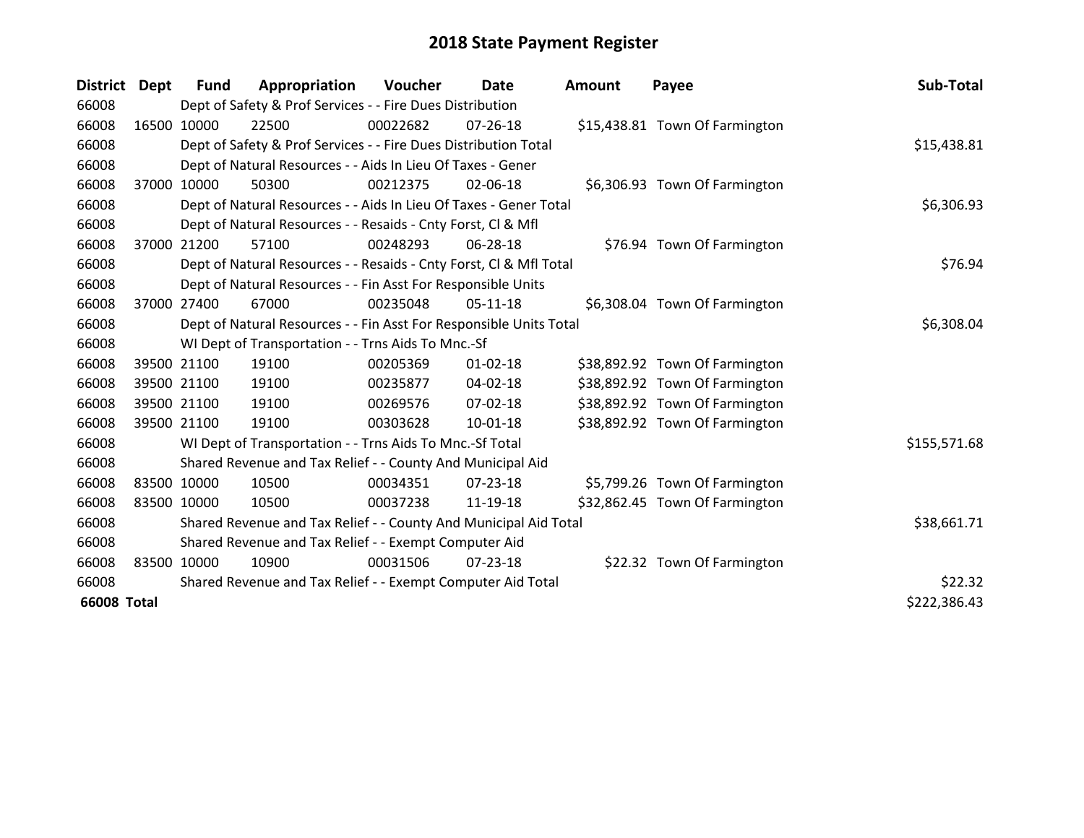| District Dept      |             | <b>Fund</b> | Appropriation                                                      | Voucher  | <b>Date</b>    | Amount | Payee                          | Sub-Total    |
|--------------------|-------------|-------------|--------------------------------------------------------------------|----------|----------------|--------|--------------------------------|--------------|
| 66008              |             |             | Dept of Safety & Prof Services - - Fire Dues Distribution          |          |                |        |                                |              |
| 66008              | 16500 10000 |             | 22500                                                              | 00022682 | 07-26-18       |        | \$15,438.81 Town Of Farmington |              |
| 66008              |             |             | Dept of Safety & Prof Services - - Fire Dues Distribution Total    |          |                |        |                                | \$15,438.81  |
| 66008              |             |             | Dept of Natural Resources - - Aids In Lieu Of Taxes - Gener        |          |                |        |                                |              |
| 66008              |             | 37000 10000 | 50300                                                              | 00212375 | 02-06-18       |        | \$6,306.93 Town Of Farmington  |              |
| 66008              |             |             | Dept of Natural Resources - - Aids In Lieu Of Taxes - Gener Total  |          | \$6,306.93     |        |                                |              |
| 66008              |             |             | Dept of Natural Resources - - Resaids - Cnty Forst, CI & Mfl       |          |                |        |                                |              |
| 66008              | 37000       | 21200       | 57100                                                              | 00248293 | 06-28-18       |        | \$76.94 Town Of Farmington     |              |
| 66008              |             |             | Dept of Natural Resources - - Resaids - Cnty Forst, CI & Mfl Total |          |                |        |                                | \$76.94      |
| 66008              |             |             | Dept of Natural Resources - - Fin Asst For Responsible Units       |          |                |        |                                |              |
| 66008              |             | 37000 27400 | 67000                                                              | 00235048 | 05-11-18       |        | \$6,308.04 Town Of Farmington  |              |
| 66008              |             |             | Dept of Natural Resources - - Fin Asst For Responsible Units Total |          | \$6,308.04     |        |                                |              |
| 66008              |             |             | WI Dept of Transportation - - Trns Aids To Mnc.-Sf                 |          |                |        |                                |              |
| 66008              |             | 39500 21100 | 19100                                                              | 00205369 | $01 - 02 - 18$ |        | \$38,892.92 Town Of Farmington |              |
| 66008              |             | 39500 21100 | 19100                                                              | 00235877 | 04-02-18       |        | \$38,892.92 Town Of Farmington |              |
| 66008              |             | 39500 21100 | 19100                                                              | 00269576 | 07-02-18       |        | \$38,892.92 Town Of Farmington |              |
| 66008              |             | 39500 21100 | 19100                                                              | 00303628 | $10 - 01 - 18$ |        | \$38,892.92 Town Of Farmington |              |
| 66008              |             |             | WI Dept of Transportation - - Trns Aids To Mnc.-Sf Total           |          |                |        |                                | \$155,571.68 |
| 66008              |             |             | Shared Revenue and Tax Relief - - County And Municipal Aid         |          |                |        |                                |              |
| 66008              | 83500 10000 |             | 10500                                                              | 00034351 | 07-23-18       |        | \$5,799.26 Town Of Farmington  |              |
| 66008              | 83500 10000 |             | 10500                                                              | 00037238 | 11-19-18       |        | \$32,862.45 Town Of Farmington |              |
| 66008              |             |             | Shared Revenue and Tax Relief - - County And Municipal Aid Total   |          |                |        |                                | \$38,661.71  |
| 66008              |             |             | Shared Revenue and Tax Relief - - Exempt Computer Aid              |          |                |        |                                |              |
| 66008              | 83500 10000 |             | 10900                                                              | 00031506 | 07-23-18       |        | \$22.32 Town Of Farmington     |              |
| 66008              |             |             | Shared Revenue and Tax Relief - - Exempt Computer Aid Total        |          |                |        |                                | \$22.32      |
| <b>66008 Total</b> |             |             |                                                                    |          |                |        |                                | \$222,386.43 |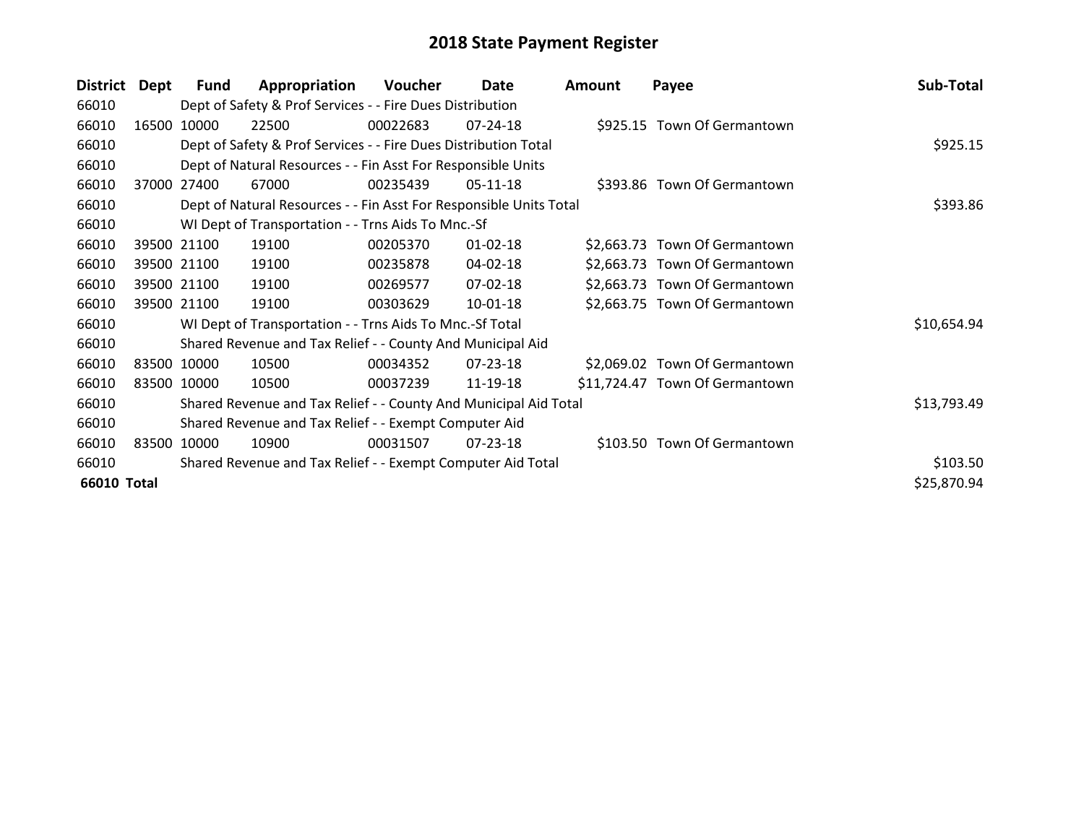| <b>District</b> | <b>Dept</b> | Fund        | Appropriation                                                      | Voucher  | Date           | <b>Amount</b> | Payee                          | Sub-Total   |
|-----------------|-------------|-------------|--------------------------------------------------------------------|----------|----------------|---------------|--------------------------------|-------------|
| 66010           |             |             | Dept of Safety & Prof Services - - Fire Dues Distribution          |          |                |               |                                |             |
| 66010           | 16500       | 10000       | 22500                                                              | 00022683 | $07 - 24 - 18$ |               | \$925.15 Town Of Germantown    |             |
| 66010           |             |             | Dept of Safety & Prof Services - - Fire Dues Distribution Total    |          |                |               |                                | \$925.15    |
| 66010           |             |             | Dept of Natural Resources - - Fin Asst For Responsible Units       |          |                |               |                                |             |
| 66010           | 37000       | 27400       | 67000                                                              | 00235439 | $05-11-18$     |               | \$393.86 Town Of Germantown    |             |
| 66010           |             |             | Dept of Natural Resources - - Fin Asst For Responsible Units Total |          |                |               |                                | \$393.86    |
| 66010           |             |             | WI Dept of Transportation - - Trns Aids To Mnc.-Sf                 |          |                |               |                                |             |
| 66010           |             | 39500 21100 | 19100                                                              | 00205370 | $01 - 02 - 18$ |               | \$2,663.73 Town Of Germantown  |             |
| 66010           |             | 39500 21100 | 19100                                                              | 00235878 | 04-02-18       |               | \$2,663.73 Town Of Germantown  |             |
| 66010           |             | 39500 21100 | 19100                                                              | 00269577 | 07-02-18       |               | \$2,663.73 Town Of Germantown  |             |
| 66010           |             | 39500 21100 | 19100                                                              | 00303629 | 10-01-18       |               | \$2,663.75 Town Of Germantown  |             |
| 66010           |             |             | WI Dept of Transportation - - Trns Aids To Mnc.-Sf Total           |          |                |               |                                | \$10,654.94 |
| 66010           |             |             | Shared Revenue and Tax Relief - - County And Municipal Aid         |          |                |               |                                |             |
| 66010           |             | 83500 10000 | 10500                                                              | 00034352 | $07 - 23 - 18$ |               | \$2,069.02 Town Of Germantown  |             |
| 66010           |             | 83500 10000 | 10500                                                              | 00037239 | 11-19-18       |               | \$11,724.47 Town Of Germantown |             |
| 66010           |             |             | Shared Revenue and Tax Relief - - County And Municipal Aid Total   |          |                |               |                                | \$13,793.49 |
| 66010           |             |             | Shared Revenue and Tax Relief - - Exempt Computer Aid              |          |                |               |                                |             |
| 66010           |             | 83500 10000 | 10900                                                              | 00031507 | $07 - 23 - 18$ |               | \$103.50 Town Of Germantown    |             |
| 66010           |             |             | Shared Revenue and Tax Relief - - Exempt Computer Aid Total        |          |                |               |                                | \$103.50    |
| 66010 Total     |             |             |                                                                    |          |                |               |                                | \$25,870.94 |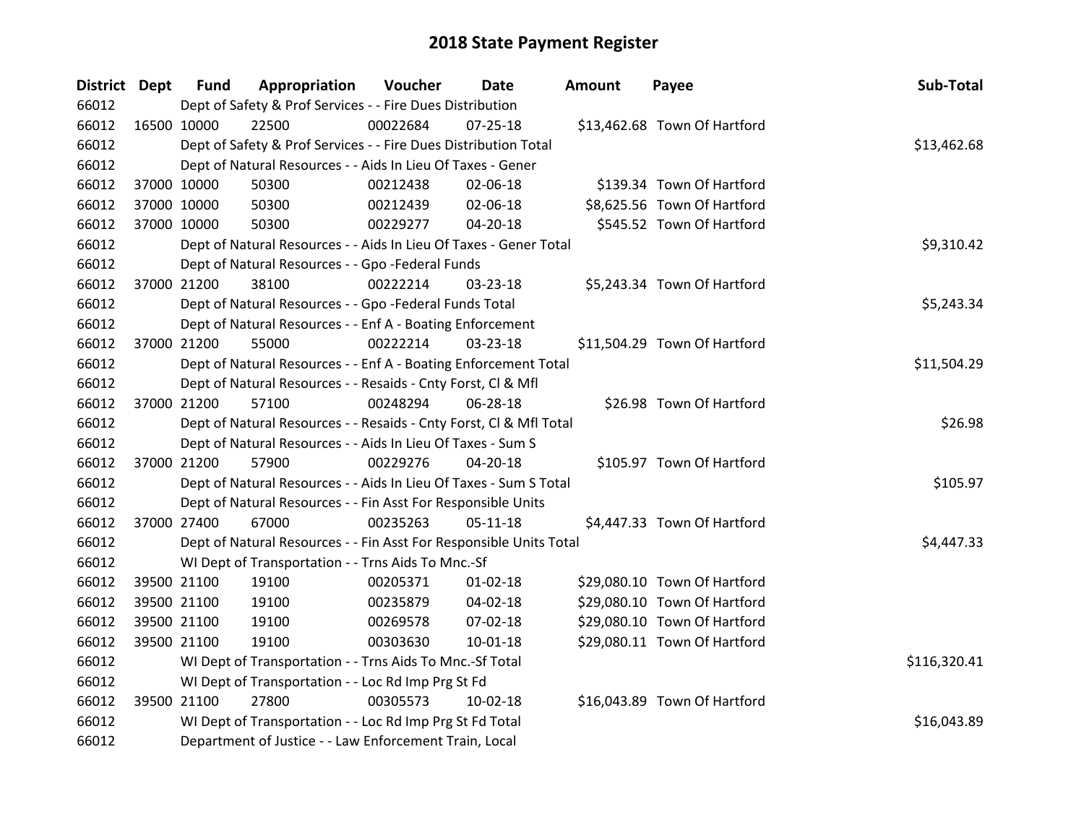| District Dept |             | <b>Fund</b> | Appropriation                                                      | <b>Voucher</b> | Date           | <b>Amount</b> | Payee                        | Sub-Total    |
|---------------|-------------|-------------|--------------------------------------------------------------------|----------------|----------------|---------------|------------------------------|--------------|
| 66012         |             |             | Dept of Safety & Prof Services - - Fire Dues Distribution          |                |                |               |                              |              |
| 66012         | 16500 10000 |             | 22500                                                              | 00022684       | $07 - 25 - 18$ |               | \$13,462.68 Town Of Hartford |              |
| 66012         |             |             | Dept of Safety & Prof Services - - Fire Dues Distribution Total    |                |                |               |                              | \$13,462.68  |
| 66012         |             |             | Dept of Natural Resources - - Aids In Lieu Of Taxes - Gener        |                |                |               |                              |              |
| 66012         |             | 37000 10000 | 50300                                                              | 00212438       | 02-06-18       |               | \$139.34 Town Of Hartford    |              |
| 66012         |             | 37000 10000 | 50300                                                              | 00212439       | 02-06-18       |               | \$8,625.56 Town Of Hartford  |              |
| 66012         |             | 37000 10000 | 50300                                                              | 00229277       | 04-20-18       |               | \$545.52 Town Of Hartford    |              |
| 66012         |             |             | Dept of Natural Resources - - Aids In Lieu Of Taxes - Gener Total  |                |                |               |                              | \$9,310.42   |
| 66012         |             |             | Dept of Natural Resources - - Gpo -Federal Funds                   |                |                |               |                              |              |
| 66012         |             | 37000 21200 | 38100                                                              | 00222214       | 03-23-18       |               | \$5,243.34 Town Of Hartford  |              |
| 66012         |             |             | Dept of Natural Resources - - Gpo -Federal Funds Total             |                |                |               |                              | \$5,243.34   |
| 66012         |             |             | Dept of Natural Resources - - Enf A - Boating Enforcement          |                |                |               |                              |              |
| 66012         |             | 37000 21200 | 55000                                                              | 00222214       | 03-23-18       |               | \$11,504.29 Town Of Hartford |              |
| 66012         |             |             | Dept of Natural Resources - - Enf A - Boating Enforcement Total    |                |                |               |                              | \$11,504.29  |
| 66012         |             |             | Dept of Natural Resources - - Resaids - Cnty Forst, CI & Mfl       |                |                |               |                              |              |
| 66012         |             | 37000 21200 | 57100                                                              | 00248294       | 06-28-18       |               | \$26.98 Town Of Hartford     |              |
| 66012         |             |             | Dept of Natural Resources - - Resaids - Cnty Forst, CI & Mfl Total |                |                |               |                              | \$26.98      |
| 66012         |             |             | Dept of Natural Resources - - Aids In Lieu Of Taxes - Sum S        |                |                |               |                              |              |
| 66012         |             | 37000 21200 | 57900                                                              | 00229276       | $04 - 20 - 18$ |               | \$105.97 Town Of Hartford    |              |
| 66012         |             |             | Dept of Natural Resources - - Aids In Lieu Of Taxes - Sum S Total  |                |                |               |                              | \$105.97     |
| 66012         |             |             | Dept of Natural Resources - - Fin Asst For Responsible Units       |                |                |               |                              |              |
| 66012         |             | 37000 27400 | 67000                                                              | 00235263       | $05-11-18$     |               | \$4,447.33 Town Of Hartford  |              |
| 66012         |             |             | Dept of Natural Resources - - Fin Asst For Responsible Units Total |                |                |               |                              | \$4,447.33   |
| 66012         |             |             | WI Dept of Transportation - - Trns Aids To Mnc.-Sf                 |                |                |               |                              |              |
| 66012         |             | 39500 21100 | 19100                                                              | 00205371       | $01 - 02 - 18$ |               | \$29,080.10 Town Of Hartford |              |
| 66012         |             | 39500 21100 | 19100                                                              | 00235879       | 04-02-18       |               | \$29,080.10 Town Of Hartford |              |
| 66012         |             | 39500 21100 | 19100                                                              | 00269578       | 07-02-18       |               | \$29,080.10 Town Of Hartford |              |
| 66012         |             | 39500 21100 | 19100                                                              | 00303630       | $10-01-18$     |               | \$29,080.11 Town Of Hartford |              |
| 66012         |             |             | WI Dept of Transportation - - Trns Aids To Mnc.-Sf Total           |                |                |               |                              | \$116,320.41 |
| 66012         |             |             | WI Dept of Transportation - - Loc Rd Imp Prg St Fd                 |                |                |               |                              |              |
| 66012         |             | 39500 21100 | 27800                                                              | 00305573       | $10 - 02 - 18$ |               | \$16,043.89 Town Of Hartford |              |
| 66012         |             |             | WI Dept of Transportation - - Loc Rd Imp Prg St Fd Total           |                |                |               |                              | \$16,043.89  |
| 66012         |             |             | Department of Justice - - Law Enforcement Train, Local             |                |                |               |                              |              |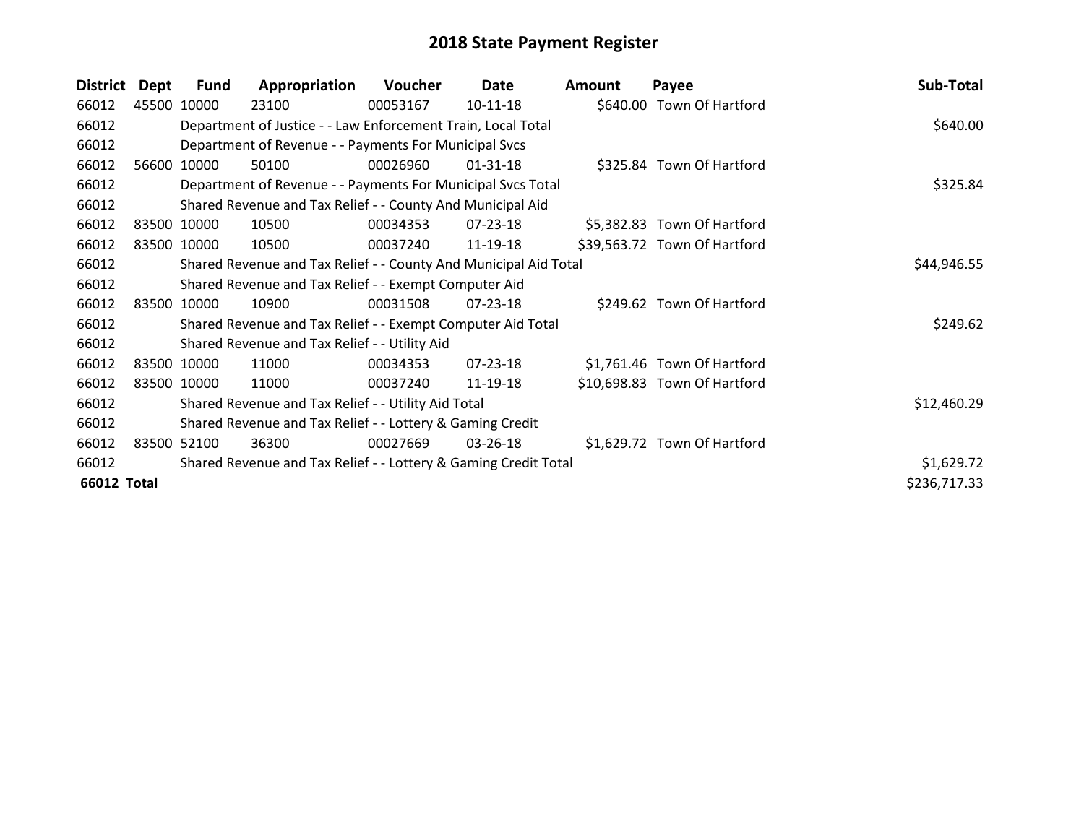| <b>District</b>    | <b>Dept</b> | <b>Fund</b> | Appropriation                                                    | Voucher  | Date           | <b>Amount</b> | Payee                        | Sub-Total    |
|--------------------|-------------|-------------|------------------------------------------------------------------|----------|----------------|---------------|------------------------------|--------------|
| 66012              |             | 45500 10000 | 23100                                                            | 00053167 | 10-11-18       |               | \$640.00 Town Of Hartford    |              |
| 66012              |             |             | Department of Justice - - Law Enforcement Train, Local Total     |          |                |               |                              | \$640.00     |
| 66012              |             |             | Department of Revenue - - Payments For Municipal Svcs            |          |                |               |                              |              |
| 66012              |             | 56600 10000 | 50100                                                            | 00026960 | 01-31-18       |               | \$325.84 Town Of Hartford    |              |
| 66012              |             |             | Department of Revenue - - Payments For Municipal Svcs Total      |          |                |               |                              | \$325.84     |
| 66012              |             |             | Shared Revenue and Tax Relief - - County And Municipal Aid       |          |                |               |                              |              |
| 66012              |             | 83500 10000 | 10500                                                            | 00034353 | 07-23-18       |               | \$5,382.83 Town Of Hartford  |              |
| 66012              |             | 83500 10000 | 10500                                                            | 00037240 | 11-19-18       |               | \$39,563.72 Town Of Hartford |              |
| 66012              |             |             | Shared Revenue and Tax Relief - - County And Municipal Aid Total |          | \$44,946.55    |               |                              |              |
| 66012              |             |             | Shared Revenue and Tax Relief - - Exempt Computer Aid            |          |                |               |                              |              |
| 66012              |             | 83500 10000 | 10900                                                            | 00031508 | $07 - 23 - 18$ |               | \$249.62 Town Of Hartford    |              |
| 66012              |             |             | Shared Revenue and Tax Relief - - Exempt Computer Aid Total      |          |                |               |                              | \$249.62     |
| 66012              |             |             | Shared Revenue and Tax Relief - - Utility Aid                    |          |                |               |                              |              |
| 66012              |             | 83500 10000 | 11000                                                            | 00034353 | $07 - 23 - 18$ |               | \$1,761.46 Town Of Hartford  |              |
| 66012              |             | 83500 10000 | 11000                                                            | 00037240 | 11-19-18       |               | \$10,698.83 Town Of Hartford |              |
| 66012              |             |             | Shared Revenue and Tax Relief - - Utility Aid Total              |          |                |               |                              | \$12,460.29  |
| 66012              |             |             | Shared Revenue and Tax Relief - - Lottery & Gaming Credit        |          |                |               |                              |              |
| 66012              |             | 83500 52100 | 36300                                                            | 00027669 | 03-26-18       |               | \$1,629.72 Town Of Hartford  |              |
| 66012              |             |             | Shared Revenue and Tax Relief - - Lottery & Gaming Credit Total  |          |                |               |                              | \$1,629.72   |
| <b>66012 Total</b> |             |             |                                                                  |          |                |               |                              | \$236,717.33 |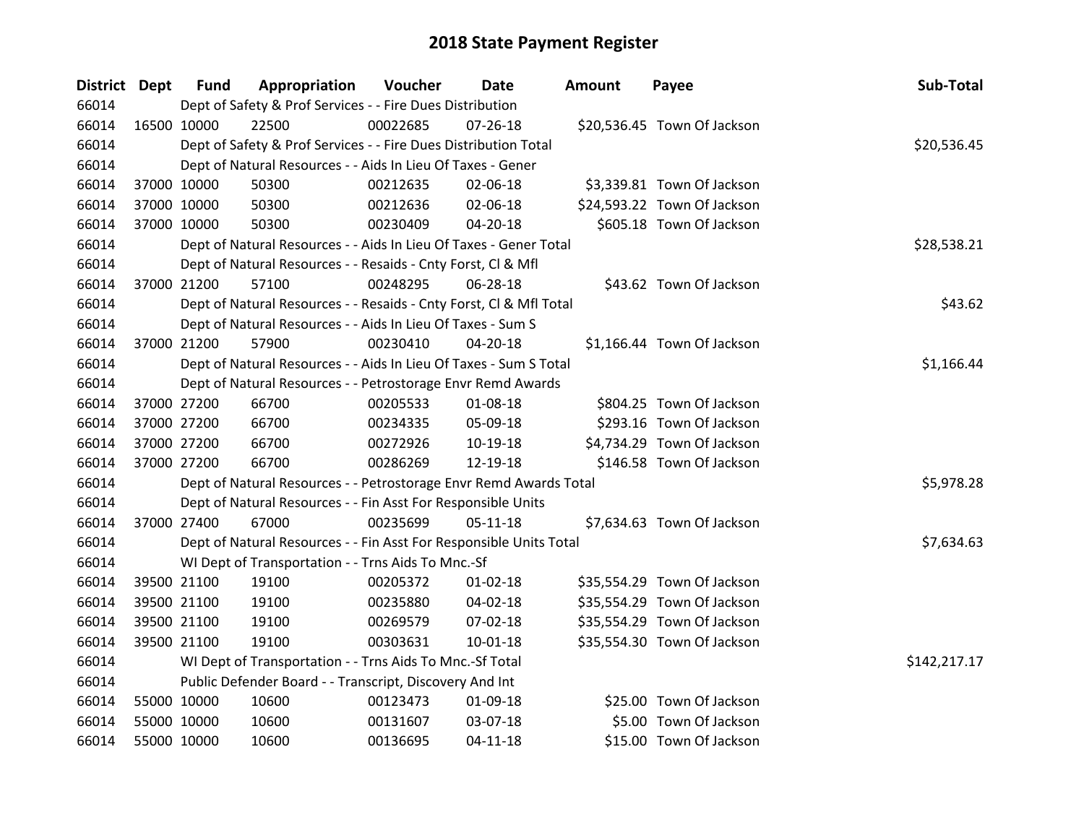| District Dept |             | <b>Fund</b> | Appropriation                                                      | Voucher  | Date           | <b>Amount</b> | Payee                       | Sub-Total    |
|---------------|-------------|-------------|--------------------------------------------------------------------|----------|----------------|---------------|-----------------------------|--------------|
| 66014         |             |             | Dept of Safety & Prof Services - - Fire Dues Distribution          |          |                |               |                             |              |
| 66014         | 16500 10000 |             | 22500                                                              | 00022685 | $07 - 26 - 18$ |               | \$20,536.45 Town Of Jackson |              |
| 66014         |             |             | Dept of Safety & Prof Services - - Fire Dues Distribution Total    |          |                |               |                             | \$20,536.45  |
| 66014         |             |             | Dept of Natural Resources - - Aids In Lieu Of Taxes - Gener        |          |                |               |                             |              |
| 66014         | 37000 10000 |             | 50300                                                              | 00212635 | 02-06-18       |               | \$3,339.81 Town Of Jackson  |              |
| 66014         | 37000 10000 |             | 50300                                                              | 00212636 | 02-06-18       |               | \$24,593.22 Town Of Jackson |              |
| 66014         | 37000 10000 |             | 50300                                                              | 00230409 | $04 - 20 - 18$ |               | \$605.18 Town Of Jackson    |              |
| 66014         |             |             | Dept of Natural Resources - - Aids In Lieu Of Taxes - Gener Total  |          |                |               |                             | \$28,538.21  |
| 66014         |             |             | Dept of Natural Resources - - Resaids - Cnty Forst, Cl & Mfl       |          |                |               |                             |              |
| 66014         | 37000 21200 |             | 57100                                                              | 00248295 | 06-28-18       |               | \$43.62 Town Of Jackson     |              |
| 66014         |             |             | Dept of Natural Resources - - Resaids - Cnty Forst, Cl & Mfl Total |          |                |               |                             | \$43.62      |
| 66014         |             |             | Dept of Natural Resources - - Aids In Lieu Of Taxes - Sum S        |          |                |               |                             |              |
| 66014         | 37000 21200 |             | 57900                                                              | 00230410 | 04-20-18       |               | \$1,166.44 Town Of Jackson  |              |
| 66014         |             |             | Dept of Natural Resources - - Aids In Lieu Of Taxes - Sum S Total  |          |                |               |                             | \$1,166.44   |
| 66014         |             |             | Dept of Natural Resources - - Petrostorage Envr Remd Awards        |          |                |               |                             |              |
| 66014         | 37000 27200 |             | 66700                                                              | 00205533 | 01-08-18       |               | \$804.25 Town Of Jackson    |              |
| 66014         | 37000 27200 |             | 66700                                                              | 00234335 | 05-09-18       |               | \$293.16 Town Of Jackson    |              |
| 66014         | 37000 27200 |             | 66700                                                              | 00272926 | 10-19-18       |               | \$4,734.29 Town Of Jackson  |              |
| 66014         | 37000 27200 |             | 66700                                                              | 00286269 | 12-19-18       |               | \$146.58 Town Of Jackson    |              |
| 66014         |             |             | Dept of Natural Resources - - Petrostorage Envr Remd Awards Total  |          |                |               |                             | \$5,978.28   |
| 66014         |             |             | Dept of Natural Resources - - Fin Asst For Responsible Units       |          |                |               |                             |              |
| 66014         | 37000 27400 |             | 67000                                                              | 00235699 | $05-11-18$     |               | \$7,634.63 Town Of Jackson  |              |
| 66014         |             |             | Dept of Natural Resources - - Fin Asst For Responsible Units Total |          |                |               |                             | \$7,634.63   |
| 66014         |             |             | WI Dept of Transportation - - Trns Aids To Mnc.-Sf                 |          |                |               |                             |              |
| 66014         | 39500 21100 |             | 19100                                                              | 00205372 | $01 - 02 - 18$ |               | \$35,554.29 Town Of Jackson |              |
| 66014         |             | 39500 21100 | 19100                                                              | 00235880 | 04-02-18       |               | \$35,554.29 Town Of Jackson |              |
| 66014         | 39500 21100 |             | 19100                                                              | 00269579 | 07-02-18       |               | \$35,554.29 Town Of Jackson |              |
| 66014         | 39500 21100 |             | 19100                                                              | 00303631 | $10 - 01 - 18$ |               | \$35,554.30 Town Of Jackson |              |
| 66014         |             |             | WI Dept of Transportation - - Trns Aids To Mnc.-Sf Total           |          |                |               |                             | \$142,217.17 |
| 66014         |             |             | Public Defender Board - - Transcript, Discovery And Int            |          |                |               |                             |              |
| 66014         | 55000 10000 |             | 10600                                                              | 00123473 | 01-09-18       |               | \$25.00 Town Of Jackson     |              |
| 66014         | 55000 10000 |             | 10600                                                              | 00131607 | 03-07-18       |               | \$5.00 Town Of Jackson      |              |
| 66014         | 55000 10000 |             | 10600                                                              | 00136695 | $04 - 11 - 18$ |               | \$15.00 Town Of Jackson     |              |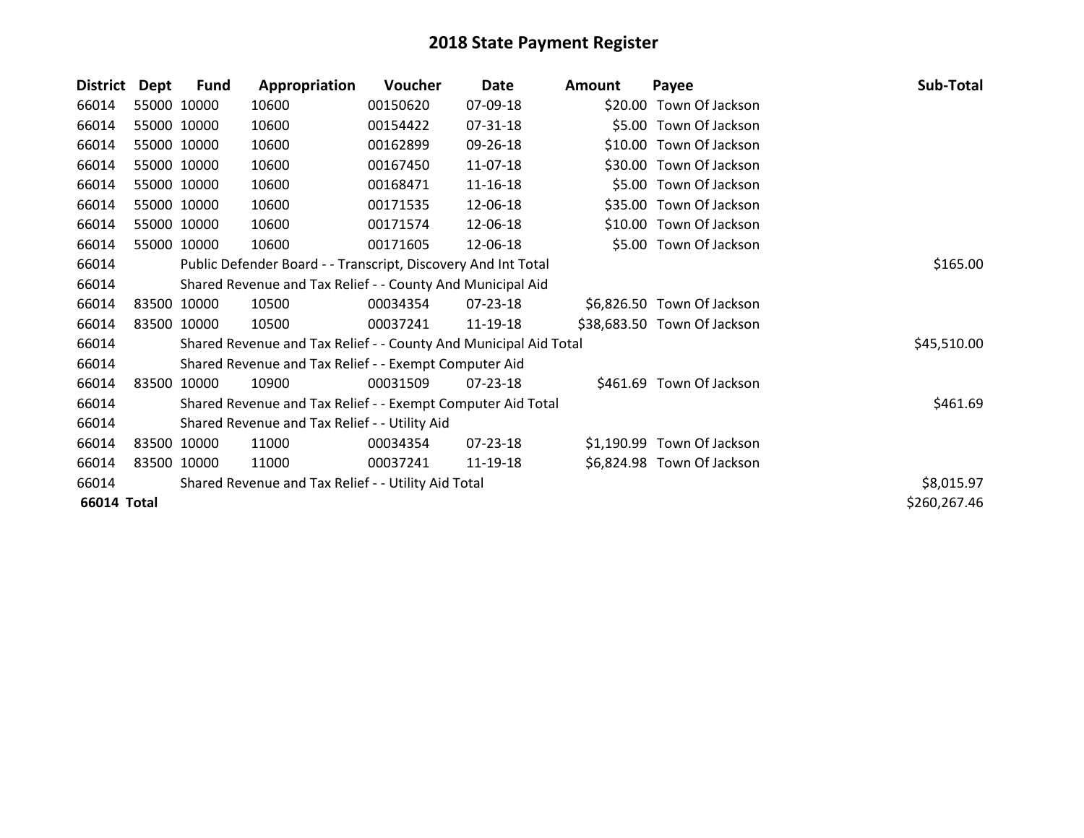| <b>District</b> | Dept | <b>Fund</b> | Appropriation                                                    | <b>Voucher</b> | Date           | Amount | Payee                       | Sub-Total    |
|-----------------|------|-------------|------------------------------------------------------------------|----------------|----------------|--------|-----------------------------|--------------|
| 66014           |      | 55000 10000 | 10600                                                            | 00150620       | 07-09-18       |        | \$20.00 Town Of Jackson     |              |
| 66014           |      | 55000 10000 | 10600                                                            | 00154422       | 07-31-18       |        | \$5.00 Town Of Jackson      |              |
| 66014           |      | 55000 10000 | 10600                                                            | 00162899       | 09-26-18       |        | \$10.00 Town Of Jackson     |              |
| 66014           |      | 55000 10000 | 10600                                                            | 00167450       | 11-07-18       |        | \$30.00 Town Of Jackson     |              |
| 66014           |      | 55000 10000 | 10600                                                            | 00168471       | 11-16-18       |        | \$5.00 Town Of Jackson      |              |
| 66014           |      | 55000 10000 | 10600                                                            | 00171535       | 12-06-18       |        | \$35.00 Town Of Jackson     |              |
| 66014           |      | 55000 10000 | 10600                                                            | 00171574       | 12-06-18       |        | \$10.00 Town Of Jackson     |              |
| 66014           |      | 55000 10000 | 10600                                                            | 00171605       | 12-06-18       |        | \$5.00 Town Of Jackson      |              |
| 66014           |      |             | Public Defender Board - - Transcript, Discovery And Int Total    |                | \$165.00       |        |                             |              |
| 66014           |      |             | Shared Revenue and Tax Relief - - County And Municipal Aid       |                |                |        |                             |              |
| 66014           |      | 83500 10000 | 10500                                                            | 00034354       | $07 - 23 - 18$ |        | \$6,826.50 Town Of Jackson  |              |
| 66014           |      | 83500 10000 | 10500                                                            | 00037241       | 11-19-18       |        | \$38,683.50 Town Of Jackson |              |
| 66014           |      |             | Shared Revenue and Tax Relief - - County And Municipal Aid Total |                |                |        |                             | \$45,510.00  |
| 66014           |      |             | Shared Revenue and Tax Relief - - Exempt Computer Aid            |                |                |        |                             |              |
| 66014           |      | 83500 10000 | 10900                                                            | 00031509       | $07 - 23 - 18$ |        | \$461.69 Town Of Jackson    |              |
| 66014           |      |             | Shared Revenue and Tax Relief - - Exempt Computer Aid Total      |                |                |        |                             | \$461.69     |
| 66014           |      |             | Shared Revenue and Tax Relief - - Utility Aid                    |                |                |        |                             |              |
| 66014           |      | 83500 10000 | 11000                                                            | 00034354       | 07-23-18       |        | \$1,190.99 Town Of Jackson  |              |
| 66014           |      | 83500 10000 | 11000                                                            | 00037241       | 11-19-18       |        | \$6,824.98 Town Of Jackson  |              |
| 66014           |      |             | Shared Revenue and Tax Relief - - Utility Aid Total              |                |                |        |                             | \$8,015.97   |
| 66014 Total     |      |             |                                                                  |                |                |        |                             | \$260,267.46 |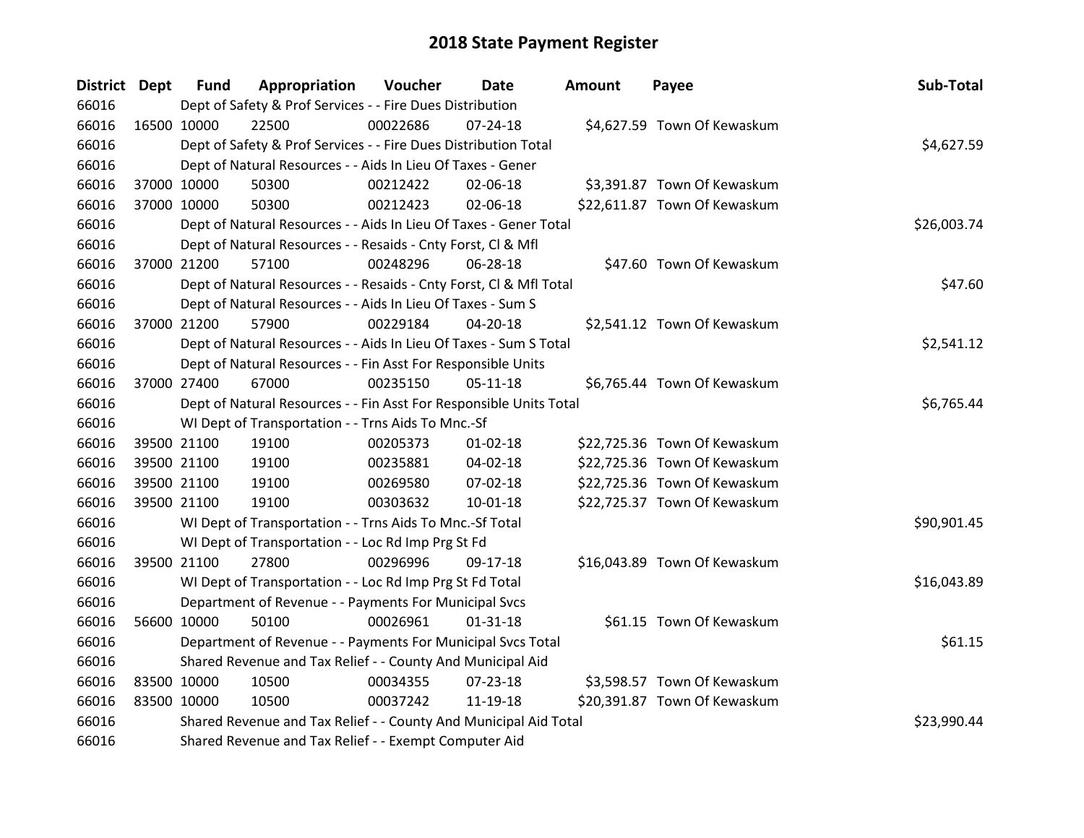| District Dept |             | <b>Fund</b> | Appropriation                                                      | Voucher  | <b>Date</b>    | Amount | Payee                        | Sub-Total   |
|---------------|-------------|-------------|--------------------------------------------------------------------|----------|----------------|--------|------------------------------|-------------|
| 66016         |             |             | Dept of Safety & Prof Services - - Fire Dues Distribution          |          |                |        |                              |             |
| 66016         |             | 16500 10000 | 22500                                                              | 00022686 | $07 - 24 - 18$ |        | \$4,627.59 Town Of Kewaskum  |             |
| 66016         |             |             | Dept of Safety & Prof Services - - Fire Dues Distribution Total    |          |                |        |                              | \$4,627.59  |
| 66016         |             |             | Dept of Natural Resources - - Aids In Lieu Of Taxes - Gener        |          |                |        |                              |             |
| 66016         |             | 37000 10000 | 50300                                                              | 00212422 | 02-06-18       |        | \$3,391.87 Town Of Kewaskum  |             |
| 66016         |             | 37000 10000 | 50300                                                              | 00212423 | 02-06-18       |        | \$22,611.87 Town Of Kewaskum |             |
| 66016         |             |             | Dept of Natural Resources - - Aids In Lieu Of Taxes - Gener Total  |          |                |        |                              | \$26,003.74 |
| 66016         |             |             | Dept of Natural Resources - - Resaids - Cnty Forst, Cl & Mfl       |          |                |        |                              |             |
| 66016         |             | 37000 21200 | 57100                                                              | 00248296 | 06-28-18       |        | \$47.60 Town Of Kewaskum     |             |
| 66016         |             |             | Dept of Natural Resources - - Resaids - Cnty Forst, CI & Mfl Total |          |                |        |                              | \$47.60     |
| 66016         |             |             | Dept of Natural Resources - - Aids In Lieu Of Taxes - Sum S        |          |                |        |                              |             |
| 66016         |             | 37000 21200 | 57900                                                              | 00229184 | 04-20-18       |        | \$2,541.12 Town Of Kewaskum  |             |
| 66016         |             |             | Dept of Natural Resources - - Aids In Lieu Of Taxes - Sum S Total  |          |                |        |                              | \$2,541.12  |
| 66016         |             |             | Dept of Natural Resources - - Fin Asst For Responsible Units       |          |                |        |                              |             |
| 66016         |             | 37000 27400 | 67000                                                              | 00235150 | $05-11-18$     |        | \$6,765.44 Town Of Kewaskum  |             |
| 66016         |             |             | Dept of Natural Resources - - Fin Asst For Responsible Units Total |          |                |        |                              | \$6,765.44  |
| 66016         |             |             | WI Dept of Transportation - - Trns Aids To Mnc.-Sf                 |          |                |        |                              |             |
| 66016         |             | 39500 21100 | 19100                                                              | 00205373 | $01 - 02 - 18$ |        | \$22,725.36 Town Of Kewaskum |             |
| 66016         |             | 39500 21100 | 19100                                                              | 00235881 | 04-02-18       |        | \$22,725.36 Town Of Kewaskum |             |
| 66016         |             | 39500 21100 | 19100                                                              | 00269580 | 07-02-18       |        | \$22,725.36 Town Of Kewaskum |             |
| 66016         |             | 39500 21100 | 19100                                                              | 00303632 | $10 - 01 - 18$ |        | \$22,725.37 Town Of Kewaskum |             |
| 66016         |             |             | WI Dept of Transportation - - Trns Aids To Mnc.-Sf Total           |          |                |        |                              | \$90,901.45 |
| 66016         |             |             | WI Dept of Transportation - - Loc Rd Imp Prg St Fd                 |          |                |        |                              |             |
| 66016         |             | 39500 21100 | 27800                                                              | 00296996 | 09-17-18       |        | \$16,043.89 Town Of Kewaskum |             |
| 66016         |             |             | WI Dept of Transportation - - Loc Rd Imp Prg St Fd Total           |          |                |        |                              | \$16,043.89 |
| 66016         |             |             | Department of Revenue - - Payments For Municipal Svcs              |          |                |        |                              |             |
| 66016         |             | 56600 10000 | 50100                                                              | 00026961 | $01 - 31 - 18$ |        | \$61.15 Town Of Kewaskum     |             |
| 66016         |             |             | Department of Revenue - - Payments For Municipal Svcs Total        |          |                |        |                              | \$61.15     |
| 66016         |             |             | Shared Revenue and Tax Relief - - County And Municipal Aid         |          |                |        |                              |             |
| 66016         | 83500 10000 |             | 10500                                                              | 00034355 | 07-23-18       |        | \$3,598.57 Town Of Kewaskum  |             |
| 66016         | 83500 10000 |             | 10500                                                              | 00037242 | 11-19-18       |        | \$20,391.87 Town Of Kewaskum |             |
| 66016         |             |             | Shared Revenue and Tax Relief - - County And Municipal Aid Total   |          |                |        |                              | \$23,990.44 |
| 66016         |             |             | Shared Revenue and Tax Relief - - Exempt Computer Aid              |          |                |        |                              |             |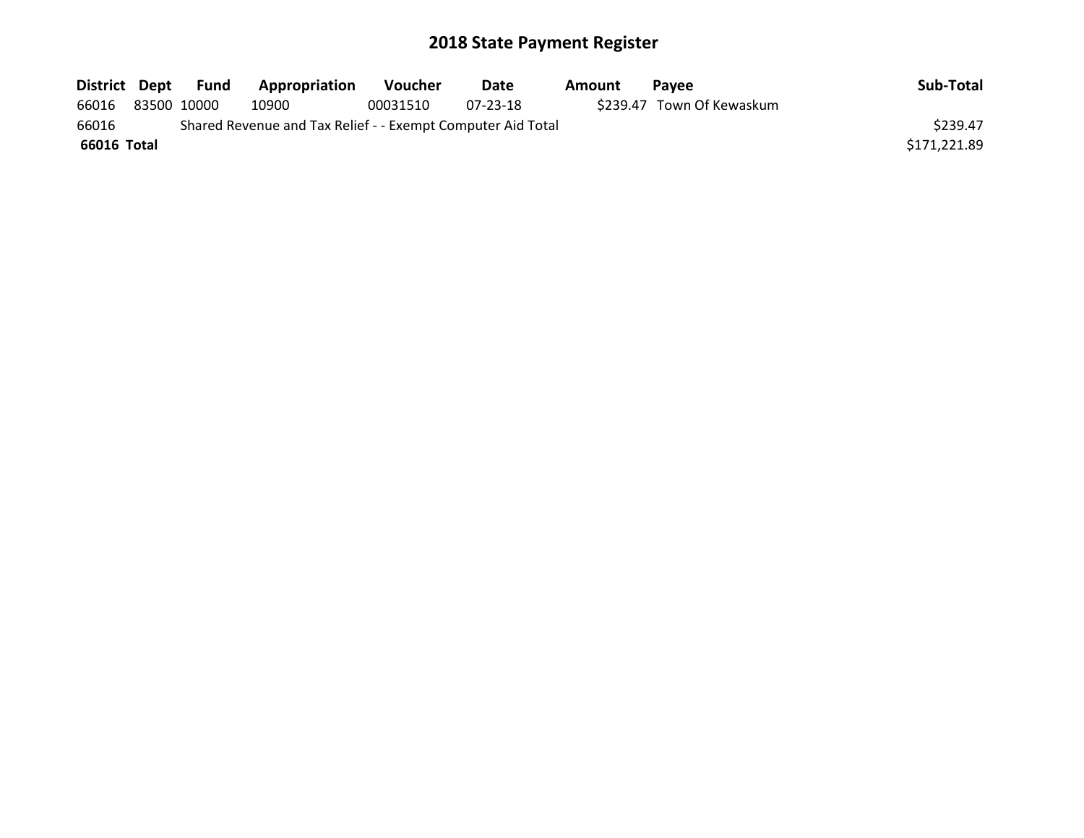| District Dept | <b>Fund</b> | Appropriation                                               | <b>Voucher</b> | Date     | Amount | <b>Pavee</b>              | Sub-Total    |
|---------------|-------------|-------------------------------------------------------------|----------------|----------|--------|---------------------------|--------------|
| 66016         | 83500 10000 | 10900                                                       | 00031510       | 07-23-18 |        | \$239.47 Town Of Kewaskum |              |
| 66016         |             | Shared Revenue and Tax Relief - - Exempt Computer Aid Total |                |          |        |                           | \$239.47     |
| 66016 Total   |             |                                                             |                |          |        |                           | \$171.221.89 |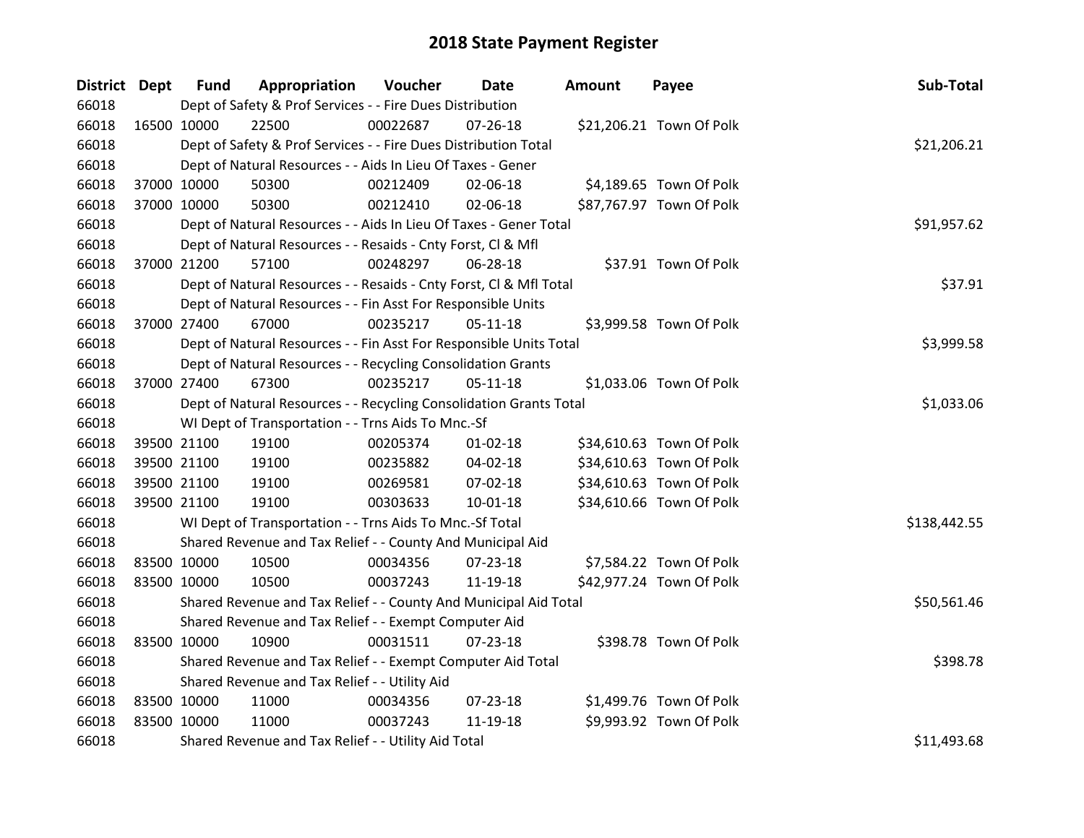| District Dept |             | <b>Fund</b> | Appropriation                                                      | Voucher    | Date           | <b>Amount</b> | Payee                    | Sub-Total    |
|---------------|-------------|-------------|--------------------------------------------------------------------|------------|----------------|---------------|--------------------------|--------------|
| 66018         |             |             | Dept of Safety & Prof Services - - Fire Dues Distribution          |            |                |               |                          |              |
| 66018         | 16500 10000 |             | 22500                                                              | 00022687   | $07 - 26 - 18$ |               | \$21,206.21 Town Of Polk |              |
| 66018         |             |             | Dept of Safety & Prof Services - - Fire Dues Distribution Total    |            |                |               |                          | \$21,206.21  |
| 66018         |             |             | Dept of Natural Resources - - Aids In Lieu Of Taxes - Gener        |            |                |               |                          |              |
| 66018         |             | 37000 10000 | 50300                                                              | 00212409   | 02-06-18       |               | \$4,189.65 Town Of Polk  |              |
| 66018         | 37000 10000 |             | 50300                                                              | 00212410   | 02-06-18       |               | \$87,767.97 Town Of Polk |              |
| 66018         |             |             | Dept of Natural Resources - - Aids In Lieu Of Taxes - Gener Total  |            |                |               |                          | \$91,957.62  |
| 66018         |             |             | Dept of Natural Resources - - Resaids - Cnty Forst, Cl & Mfl       |            |                |               |                          |              |
| 66018         |             | 37000 21200 | 57100                                                              | 00248297   | 06-28-18       |               | \$37.91 Town Of Polk     |              |
| 66018         |             |             | Dept of Natural Resources - - Resaids - Cnty Forst, CI & Mfl Total |            |                |               |                          | \$37.91      |
| 66018         |             |             | Dept of Natural Resources - - Fin Asst For Responsible Units       |            |                |               |                          |              |
| 66018         |             | 37000 27400 | 67000                                                              | 00235217   | 05-11-18       |               | \$3,999.58 Town Of Polk  |              |
| 66018         |             |             | Dept of Natural Resources - - Fin Asst For Responsible Units Total |            |                |               |                          | \$3,999.58   |
| 66018         |             |             | Dept of Natural Resources - - Recycling Consolidation Grants       |            |                |               |                          |              |
| 66018         |             | 37000 27400 | 67300                                                              | 00235217   | $05 - 11 - 18$ |               | \$1,033.06 Town Of Polk  |              |
| 66018         |             |             | Dept of Natural Resources - - Recycling Consolidation Grants Total | \$1,033.06 |                |               |                          |              |
| 66018         |             |             | WI Dept of Transportation - - Trns Aids To Mnc.-Sf                 |            |                |               |                          |              |
| 66018         | 39500 21100 |             | 19100                                                              | 00205374   | $01 - 02 - 18$ |               | \$34,610.63 Town Of Polk |              |
| 66018         | 39500 21100 |             | 19100                                                              | 00235882   | 04-02-18       |               | \$34,610.63 Town Of Polk |              |
| 66018         | 39500 21100 |             | 19100                                                              | 00269581   | 07-02-18       |               | \$34,610.63 Town Of Polk |              |
| 66018         |             | 39500 21100 | 19100                                                              | 00303633   | 10-01-18       |               | \$34,610.66 Town Of Polk |              |
| 66018         |             |             | WI Dept of Transportation - - Trns Aids To Mnc.-Sf Total           |            |                |               |                          | \$138,442.55 |
| 66018         |             |             | Shared Revenue and Tax Relief - - County And Municipal Aid         |            |                |               |                          |              |
| 66018         | 83500 10000 |             | 10500                                                              | 00034356   | 07-23-18       |               | \$7,584.22 Town Of Polk  |              |
| 66018         |             | 83500 10000 | 10500                                                              | 00037243   | 11-19-18       |               | \$42,977.24 Town Of Polk |              |
| 66018         |             |             | Shared Revenue and Tax Relief - - County And Municipal Aid Total   |            |                |               |                          | \$50,561.46  |
| 66018         |             |             | Shared Revenue and Tax Relief - - Exempt Computer Aid              |            |                |               |                          |              |
| 66018         | 83500 10000 |             | 10900                                                              | 00031511   | 07-23-18       |               | \$398.78 Town Of Polk    |              |
| 66018         |             |             | Shared Revenue and Tax Relief - - Exempt Computer Aid Total        |            |                |               |                          | \$398.78     |
| 66018         |             |             | Shared Revenue and Tax Relief - - Utility Aid                      |            |                |               |                          |              |
| 66018         | 83500 10000 |             | 11000                                                              | 00034356   | 07-23-18       |               | \$1,499.76 Town Of Polk  |              |
| 66018         | 83500 10000 |             | 11000                                                              | 00037243   | 11-19-18       |               | \$9,993.92 Town Of Polk  |              |
| 66018         |             |             | Shared Revenue and Tax Relief - - Utility Aid Total                |            |                |               |                          | \$11,493.68  |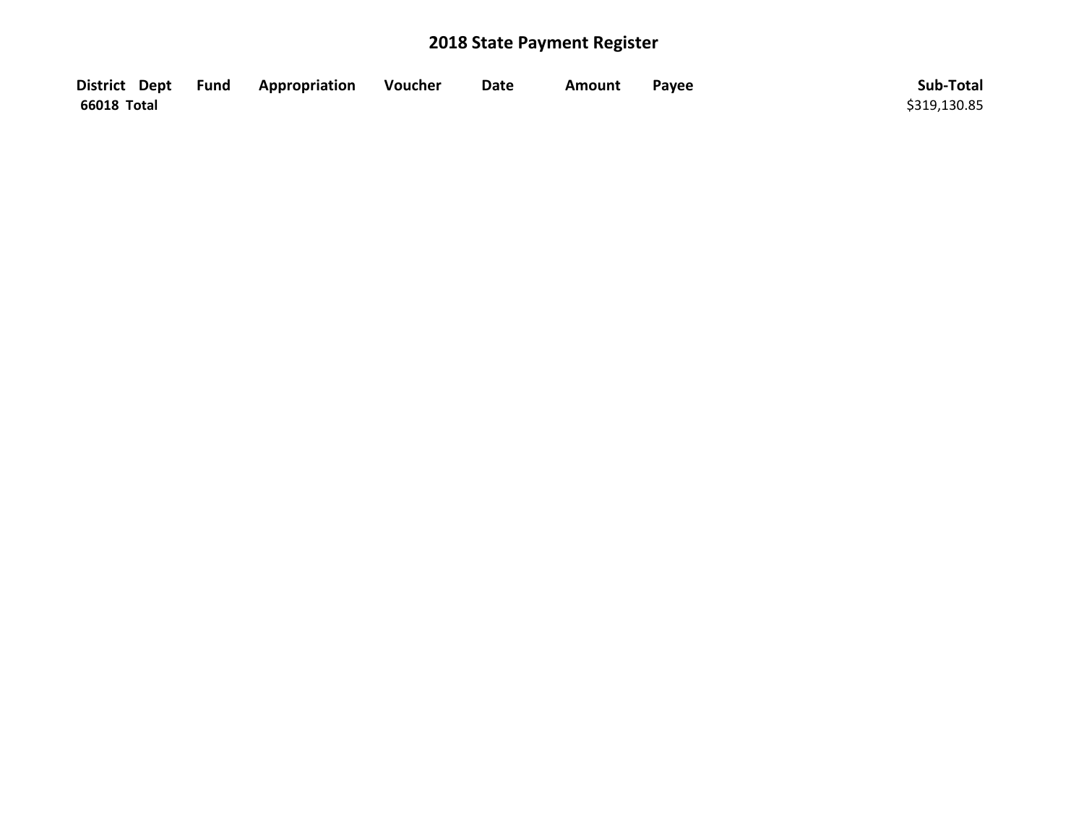|             | District Dept Fund Appropriation | Voucher | <b>Date</b> | Amount | Payee | Sub-Total    |
|-------------|----------------------------------|---------|-------------|--------|-------|--------------|
| 66018 Total |                                  |         |             |        |       | \$319,130.85 |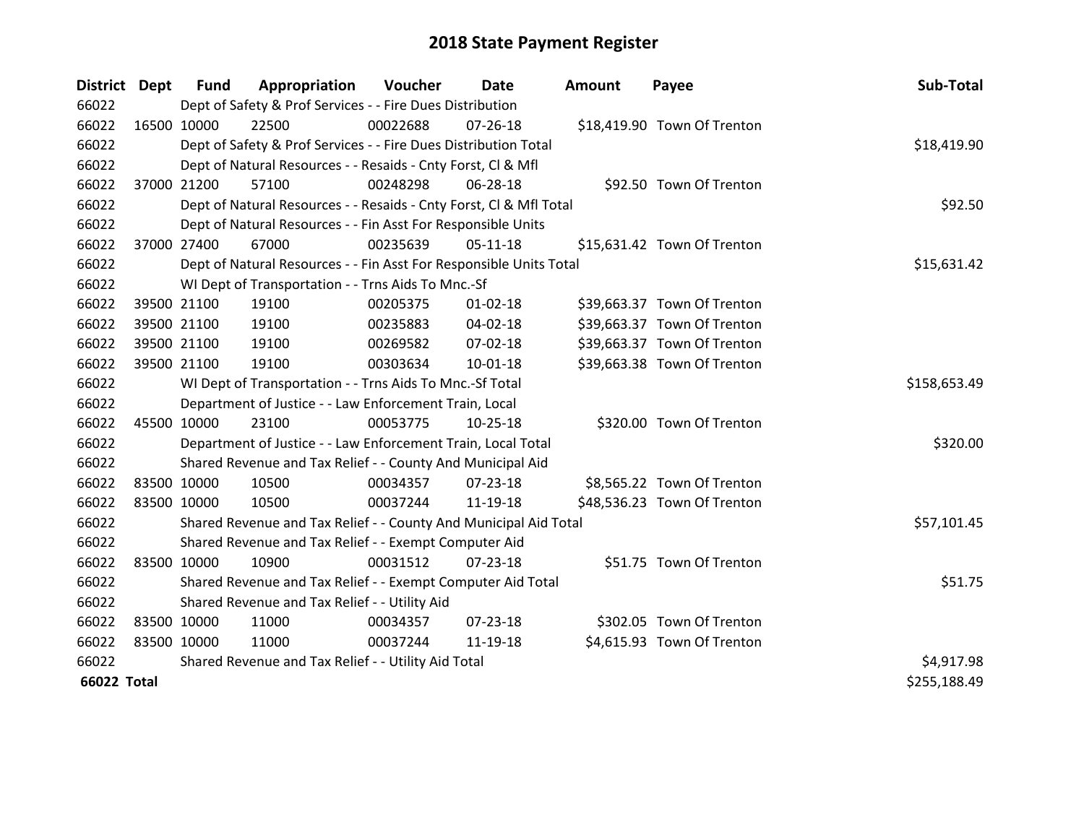| <b>District Dept</b> |             | <b>Fund</b> | Appropriation                                                      | Voucher      | Date           | <b>Amount</b> | Payee                       | Sub-Total    |
|----------------------|-------------|-------------|--------------------------------------------------------------------|--------------|----------------|---------------|-----------------------------|--------------|
| 66022                |             |             | Dept of Safety & Prof Services - - Fire Dues Distribution          |              |                |               |                             |              |
| 66022                | 16500 10000 |             | 22500                                                              | 00022688     | $07 - 26 - 18$ |               | \$18,419.90 Town Of Trenton |              |
| 66022                |             |             | Dept of Safety & Prof Services - - Fire Dues Distribution Total    |              |                |               |                             | \$18,419.90  |
| 66022                |             |             | Dept of Natural Resources - - Resaids - Cnty Forst, CI & Mfl       |              |                |               |                             |              |
| 66022                |             | 37000 21200 | 57100                                                              | 00248298     | 06-28-18       |               | \$92.50 Town Of Trenton     |              |
| 66022                |             |             | Dept of Natural Resources - - Resaids - Cnty Forst, Cl & Mfl Total |              |                |               |                             | \$92.50      |
| 66022                |             |             | Dept of Natural Resources - - Fin Asst For Responsible Units       |              |                |               |                             |              |
| 66022                |             | 37000 27400 | 67000                                                              | 00235639     | $05-11-18$     |               | \$15,631.42 Town Of Trenton |              |
| 66022                |             |             | Dept of Natural Resources - - Fin Asst For Responsible Units Total |              |                |               |                             | \$15,631.42  |
| 66022                |             |             | WI Dept of Transportation - - Trns Aids To Mnc.-Sf                 |              |                |               |                             |              |
| 66022                |             | 39500 21100 | 19100                                                              | 00205375     | $01 - 02 - 18$ |               | \$39,663.37 Town Of Trenton |              |
| 66022                |             | 39500 21100 | 19100                                                              | 00235883     | 04-02-18       |               | \$39,663.37 Town Of Trenton |              |
| 66022                |             | 39500 21100 | 19100                                                              | 00269582     | 07-02-18       |               | \$39,663.37 Town Of Trenton |              |
| 66022                |             | 39500 21100 | 19100                                                              | 00303634     | $10-01-18$     |               | \$39,663.38 Town Of Trenton |              |
| 66022                |             |             | WI Dept of Transportation - - Trns Aids To Mnc.-Sf Total           | \$158,653.49 |                |               |                             |              |
| 66022                |             |             | Department of Justice - - Law Enforcement Train, Local             |              |                |               |                             |              |
| 66022                | 45500 10000 |             | 23100                                                              | 00053775     | $10-25-18$     |               | \$320.00 Town Of Trenton    |              |
| 66022                |             |             | Department of Justice - - Law Enforcement Train, Local Total       |              |                |               |                             | \$320.00     |
| 66022                |             |             | Shared Revenue and Tax Relief - - County And Municipal Aid         |              |                |               |                             |              |
| 66022                | 83500 10000 |             | 10500                                                              | 00034357     | 07-23-18       |               | \$8,565.22 Town Of Trenton  |              |
| 66022                | 83500 10000 |             | 10500                                                              | 00037244     | 11-19-18       |               | \$48,536.23 Town Of Trenton |              |
| 66022                |             |             | Shared Revenue and Tax Relief - - County And Municipal Aid Total   |              |                |               |                             | \$57,101.45  |
| 66022                |             |             | Shared Revenue and Tax Relief - - Exempt Computer Aid              |              |                |               |                             |              |
| 66022                | 83500 10000 |             | 10900                                                              | 00031512     | $07 - 23 - 18$ |               | \$51.75 Town Of Trenton     |              |
| 66022                |             |             | Shared Revenue and Tax Relief - - Exempt Computer Aid Total        |              |                |               |                             | \$51.75      |
| 66022                |             |             | Shared Revenue and Tax Relief - - Utility Aid                      |              |                |               |                             |              |
| 66022                | 83500 10000 |             | 11000                                                              | 00034357     | 07-23-18       |               | \$302.05 Town Of Trenton    |              |
| 66022                | 83500 10000 |             | 11000                                                              | 00037244     | 11-19-18       |               | \$4,615.93 Town Of Trenton  |              |
| 66022                |             |             | Shared Revenue and Tax Relief - - Utility Aid Total                |              |                |               |                             | \$4,917.98   |
| <b>66022 Total</b>   |             |             |                                                                    |              |                |               |                             | \$255,188.49 |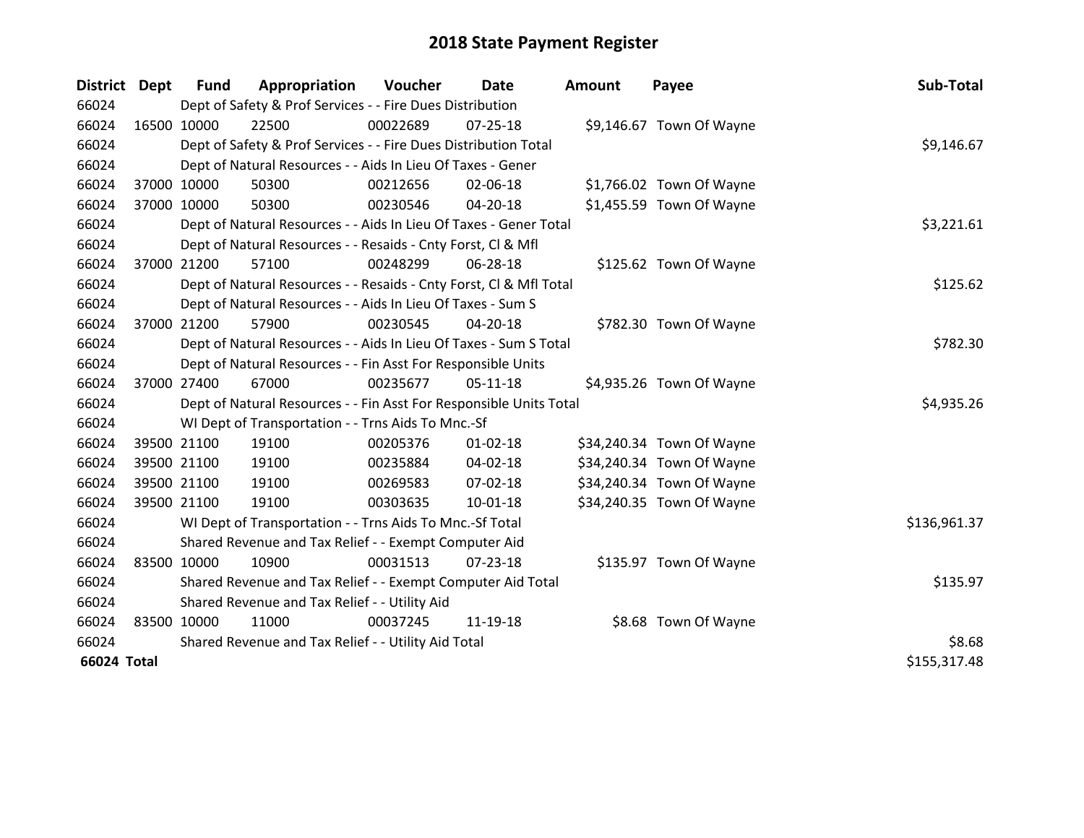| District Dept |             | <b>Fund</b> | Appropriation                                                      | Voucher    | Date           | <b>Amount</b> | Payee                     | Sub-Total    |
|---------------|-------------|-------------|--------------------------------------------------------------------|------------|----------------|---------------|---------------------------|--------------|
| 66024         |             |             | Dept of Safety & Prof Services - - Fire Dues Distribution          |            |                |               |                           |              |
| 66024         | 16500 10000 |             | 22500                                                              | 00022689   | $07 - 25 - 18$ |               | \$9,146.67 Town Of Wayne  |              |
| 66024         |             |             | Dept of Safety & Prof Services - - Fire Dues Distribution Total    |            |                |               |                           | \$9,146.67   |
| 66024         |             |             | Dept of Natural Resources - - Aids In Lieu Of Taxes - Gener        |            |                |               |                           |              |
| 66024         |             | 37000 10000 | 50300                                                              | 00212656   | 02-06-18       |               | \$1,766.02 Town Of Wayne  |              |
| 66024         |             | 37000 10000 | 50300                                                              | 00230546   | 04-20-18       |               | \$1,455.59 Town Of Wayne  |              |
| 66024         |             |             | Dept of Natural Resources - - Aids In Lieu Of Taxes - Gener Total  | \$3,221.61 |                |               |                           |              |
| 66024         |             |             | Dept of Natural Resources - - Resaids - Cnty Forst, CI & Mfl       |            |                |               |                           |              |
| 66024         |             | 37000 21200 | 57100                                                              | 00248299   | 06-28-18       |               | \$125.62 Town Of Wayne    |              |
| 66024         |             |             | Dept of Natural Resources - - Resaids - Cnty Forst, Cl & Mfl Total |            |                |               |                           | \$125.62     |
| 66024         |             |             | Dept of Natural Resources - - Aids In Lieu Of Taxes - Sum S        |            |                |               |                           |              |
| 66024         |             | 37000 21200 | 57900                                                              | 00230545   | 04-20-18       |               | \$782.30 Town Of Wayne    |              |
| 66024         |             |             | Dept of Natural Resources - - Aids In Lieu Of Taxes - Sum S Total  | \$782.30   |                |               |                           |              |
| 66024         |             |             | Dept of Natural Resources - - Fin Asst For Responsible Units       |            |                |               |                           |              |
| 66024         |             | 37000 27400 | 67000                                                              | 00235677   | $05-11-18$     |               | \$4,935.26 Town Of Wayne  |              |
| 66024         |             |             | Dept of Natural Resources - - Fin Asst For Responsible Units Total |            |                |               |                           | \$4,935.26   |
| 66024         |             |             | WI Dept of Transportation - - Trns Aids To Mnc.-Sf                 |            |                |               |                           |              |
| 66024         |             | 39500 21100 | 19100                                                              | 00205376   | $01 - 02 - 18$ |               | \$34,240.34 Town Of Wayne |              |
| 66024         |             | 39500 21100 | 19100                                                              | 00235884   | 04-02-18       |               | \$34,240.34 Town Of Wayne |              |
| 66024         |             | 39500 21100 | 19100                                                              | 00269583   | 07-02-18       |               | \$34,240.34 Town Of Wayne |              |
| 66024         |             | 39500 21100 | 19100                                                              | 00303635   | $10 - 01 - 18$ |               | \$34,240.35 Town Of Wayne |              |
| 66024         |             |             | WI Dept of Transportation - - Trns Aids To Mnc.-Sf Total           |            |                |               |                           | \$136,961.37 |
| 66024         |             |             | Shared Revenue and Tax Relief - - Exempt Computer Aid              |            |                |               |                           |              |
| 66024         | 83500 10000 |             | 10900                                                              | 00031513   | $07 - 23 - 18$ |               | \$135.97 Town Of Wayne    |              |
| 66024         |             |             | Shared Revenue and Tax Relief - - Exempt Computer Aid Total        |            |                |               |                           | \$135.97     |
| 66024         |             |             | Shared Revenue and Tax Relief - - Utility Aid                      |            |                |               |                           |              |
| 66024         | 83500 10000 |             | 11000                                                              | 00037245   | 11-19-18       |               | \$8.68 Town Of Wayne      |              |
| 66024         |             |             | Shared Revenue and Tax Relief - - Utility Aid Total                |            |                |               |                           | \$8.68       |
| 66024 Total   |             |             |                                                                    |            |                |               |                           | \$155,317.48 |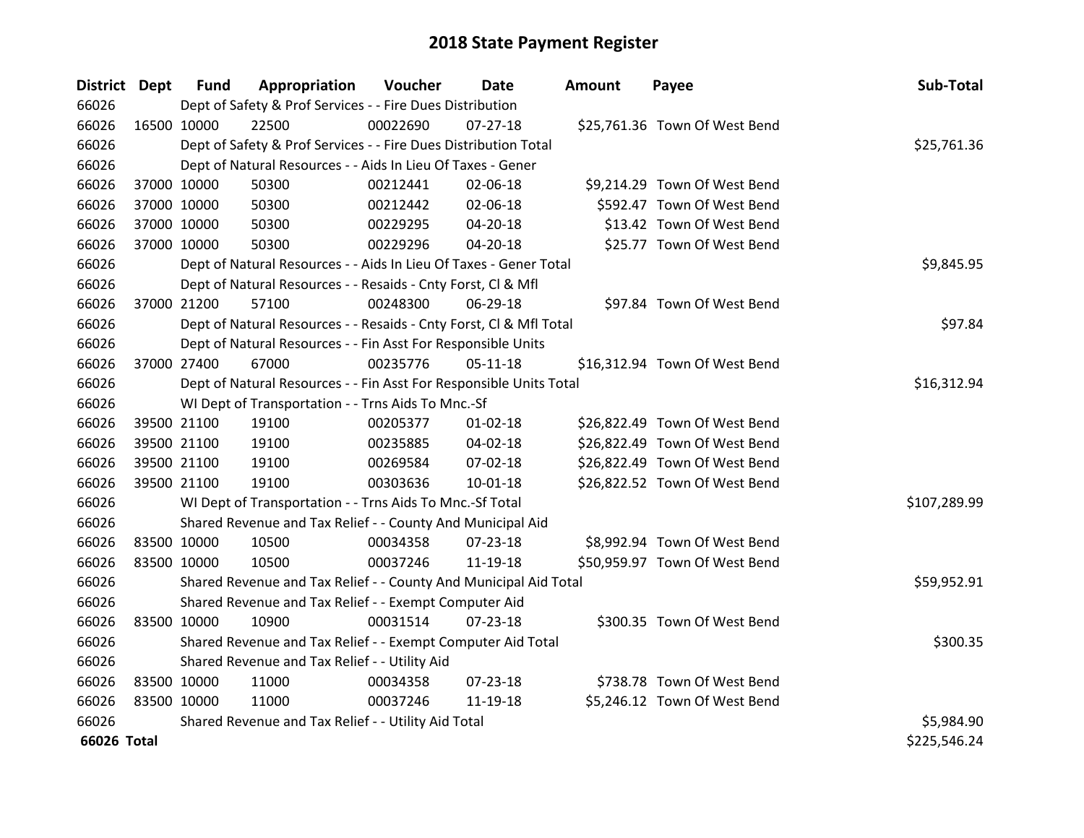| District Dept |             | <b>Fund</b> | Appropriation                                                      | Voucher     | Date           | <b>Amount</b> | Payee                         | Sub-Total    |
|---------------|-------------|-------------|--------------------------------------------------------------------|-------------|----------------|---------------|-------------------------------|--------------|
| 66026         |             |             | Dept of Safety & Prof Services - - Fire Dues Distribution          |             |                |               |                               |              |
| 66026         | 16500 10000 |             | 22500                                                              | 00022690    | $07 - 27 - 18$ |               | \$25,761.36 Town Of West Bend |              |
| 66026         |             |             | Dept of Safety & Prof Services - - Fire Dues Distribution Total    |             |                |               |                               | \$25,761.36  |
| 66026         |             |             | Dept of Natural Resources - - Aids In Lieu Of Taxes - Gener        |             |                |               |                               |              |
| 66026         |             | 37000 10000 | 50300                                                              | 00212441    | 02-06-18       |               | \$9,214.29 Town Of West Bend  |              |
| 66026         |             | 37000 10000 | 50300                                                              | 00212442    | 02-06-18       |               | \$592.47 Town Of West Bend    |              |
| 66026         |             | 37000 10000 | 50300                                                              | 00229295    | 04-20-18       |               | \$13.42 Town Of West Bend     |              |
| 66026         | 37000 10000 |             | 50300                                                              | 00229296    | $04 - 20 - 18$ |               | \$25.77 Town Of West Bend     |              |
| 66026         |             |             | Dept of Natural Resources - - Aids In Lieu Of Taxes - Gener Total  | \$9,845.95  |                |               |                               |              |
| 66026         |             |             | Dept of Natural Resources - - Resaids - Cnty Forst, Cl & Mfl       |             |                |               |                               |              |
| 66026         |             | 37000 21200 | 57100                                                              | 00248300    | 06-29-18       |               | \$97.84 Town Of West Bend     |              |
| 66026         |             |             | Dept of Natural Resources - - Resaids - Cnty Forst, CI & Mfl Total |             |                |               |                               | \$97.84      |
| 66026         |             |             | Dept of Natural Resources - - Fin Asst For Responsible Units       |             |                |               |                               |              |
| 66026         |             | 37000 27400 | 67000                                                              | 00235776    | $05 - 11 - 18$ |               | \$16,312.94 Town Of West Bend |              |
| 66026         |             |             | Dept of Natural Resources - - Fin Asst For Responsible Units Total | \$16,312.94 |                |               |                               |              |
| 66026         |             |             | WI Dept of Transportation - - Trns Aids To Mnc.-Sf                 |             |                |               |                               |              |
| 66026         |             | 39500 21100 | 19100                                                              | 00205377    | $01 - 02 - 18$ |               | \$26,822.49 Town Of West Bend |              |
| 66026         |             | 39500 21100 | 19100                                                              | 00235885    | 04-02-18       |               | \$26,822.49 Town Of West Bend |              |
| 66026         |             | 39500 21100 | 19100                                                              | 00269584    | 07-02-18       |               | \$26,822.49 Town Of West Bend |              |
| 66026         |             | 39500 21100 | 19100                                                              | 00303636    | $10 - 01 - 18$ |               | \$26,822.52 Town Of West Bend |              |
| 66026         |             |             | WI Dept of Transportation - - Trns Aids To Mnc.-Sf Total           |             |                |               |                               | \$107,289.99 |
| 66026         |             |             | Shared Revenue and Tax Relief - - County And Municipal Aid         |             |                |               |                               |              |
| 66026         |             | 83500 10000 | 10500                                                              | 00034358    | $07 - 23 - 18$ |               | \$8,992.94 Town Of West Bend  |              |
| 66026         | 83500 10000 |             | 10500                                                              | 00037246    | 11-19-18       |               | \$50,959.97 Town Of West Bend |              |
| 66026         |             |             | Shared Revenue and Tax Relief - - County And Municipal Aid Total   |             |                |               |                               | \$59,952.91  |
| 66026         |             |             | Shared Revenue and Tax Relief - - Exempt Computer Aid              |             |                |               |                               |              |
| 66026         | 83500 10000 |             | 10900                                                              | 00031514    | $07 - 23 - 18$ |               | \$300.35 Town Of West Bend    |              |
| 66026         |             |             | Shared Revenue and Tax Relief - - Exempt Computer Aid Total        |             |                |               |                               | \$300.35     |
| 66026         |             |             | Shared Revenue and Tax Relief - - Utility Aid                      |             |                |               |                               |              |
| 66026         | 83500 10000 |             | 11000                                                              | 00034358    | $07 - 23 - 18$ |               | \$738.78 Town Of West Bend    |              |
| 66026         | 83500 10000 |             | 11000                                                              | 00037246    | 11-19-18       |               | \$5,246.12 Town Of West Bend  |              |
| 66026         |             |             | Shared Revenue and Tax Relief - - Utility Aid Total                |             |                |               |                               | \$5,984.90   |
| 66026 Total   |             |             |                                                                    |             |                |               |                               | \$225,546.24 |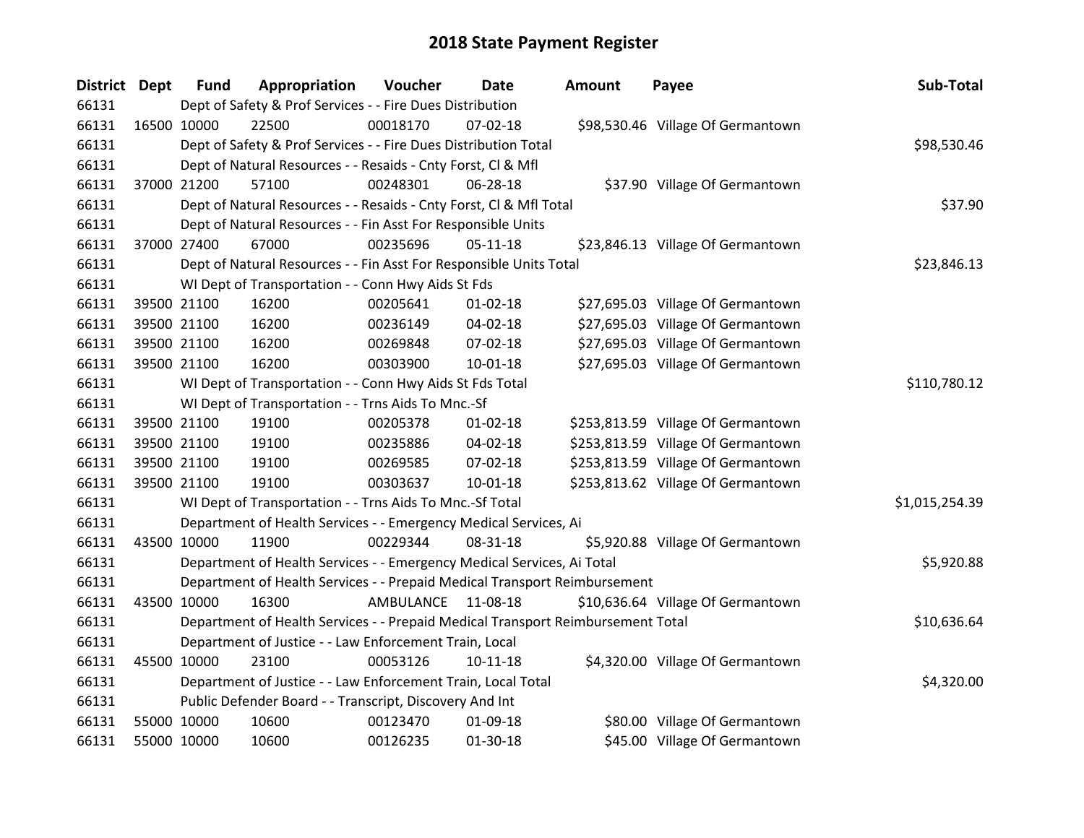| <b>District Dept</b> |             | <b>Fund</b> | Appropriation                                                                   | Voucher   | Date           | <b>Amount</b> | Payee                              | Sub-Total      |
|----------------------|-------------|-------------|---------------------------------------------------------------------------------|-----------|----------------|---------------|------------------------------------|----------------|
| 66131                |             |             | Dept of Safety & Prof Services - - Fire Dues Distribution                       |           |                |               |                                    |                |
| 66131                | 16500 10000 |             | 22500                                                                           | 00018170  | $07 - 02 - 18$ |               | \$98,530.46 Village Of Germantown  |                |
| 66131                |             |             | Dept of Safety & Prof Services - - Fire Dues Distribution Total                 |           |                |               |                                    | \$98,530.46    |
| 66131                |             |             | Dept of Natural Resources - - Resaids - Cnty Forst, Cl & Mfl                    |           |                |               |                                    |                |
| 66131                | 37000 21200 |             | 57100                                                                           | 00248301  | 06-28-18       |               | \$37.90 Village Of Germantown      |                |
| 66131                |             |             | Dept of Natural Resources - - Resaids - Cnty Forst, Cl & Mfl Total              |           |                |               |                                    | \$37.90        |
| 66131                |             |             | Dept of Natural Resources - - Fin Asst For Responsible Units                    |           |                |               |                                    |                |
| 66131                | 37000 27400 |             | 67000                                                                           | 00235696  | 05-11-18       |               | \$23,846.13 Village Of Germantown  |                |
| 66131                |             |             | Dept of Natural Resources - - Fin Asst For Responsible Units Total              |           |                |               |                                    | \$23,846.13    |
| 66131                |             |             | WI Dept of Transportation - - Conn Hwy Aids St Fds                              |           |                |               |                                    |                |
| 66131                |             | 39500 21100 | 16200                                                                           | 00205641  | $01 - 02 - 18$ |               | \$27,695.03 Village Of Germantown  |                |
| 66131                | 39500 21100 |             | 16200                                                                           | 00236149  | 04-02-18       |               | \$27,695.03 Village Of Germantown  |                |
| 66131                | 39500 21100 |             | 16200                                                                           | 00269848  | 07-02-18       |               | \$27,695.03 Village Of Germantown  |                |
| 66131                | 39500 21100 |             | 16200                                                                           | 00303900  | $10 - 01 - 18$ |               | \$27,695.03 Village Of Germantown  |                |
| 66131                |             |             | WI Dept of Transportation - - Conn Hwy Aids St Fds Total                        |           |                |               |                                    | \$110,780.12   |
| 66131                |             |             | WI Dept of Transportation - - Trns Aids To Mnc.-Sf                              |           |                |               |                                    |                |
| 66131                | 39500 21100 |             | 19100                                                                           | 00205378  | $01 - 02 - 18$ |               | \$253,813.59 Village Of Germantown |                |
| 66131                | 39500 21100 |             | 19100                                                                           | 00235886  | 04-02-18       |               | \$253,813.59 Village Of Germantown |                |
| 66131                |             | 39500 21100 | 19100                                                                           | 00269585  | 07-02-18       |               | \$253,813.59 Village Of Germantown |                |
| 66131                | 39500 21100 |             | 19100                                                                           | 00303637  | $10 - 01 - 18$ |               | \$253,813.62 Village Of Germantown |                |
| 66131                |             |             | WI Dept of Transportation - - Trns Aids To Mnc.-Sf Total                        |           |                |               |                                    | \$1,015,254.39 |
| 66131                |             |             | Department of Health Services - - Emergency Medical Services, Ai                |           |                |               |                                    |                |
| 66131                | 43500 10000 |             | 11900                                                                           | 00229344  | 08-31-18       |               | \$5,920.88 Village Of Germantown   |                |
| 66131                |             |             | Department of Health Services - - Emergency Medical Services, Ai Total          |           |                |               |                                    | \$5,920.88     |
| 66131                |             |             | Department of Health Services - - Prepaid Medical Transport Reimbursement       |           |                |               |                                    |                |
| 66131                | 43500 10000 |             | 16300                                                                           | AMBULANCE | 11-08-18       |               | \$10,636.64 Village Of Germantown  |                |
| 66131                |             |             | Department of Health Services - - Prepaid Medical Transport Reimbursement Total |           |                |               |                                    | \$10,636.64    |
| 66131                |             |             | Department of Justice - - Law Enforcement Train, Local                          |           |                |               |                                    |                |
| 66131                | 45500 10000 |             | 23100                                                                           | 00053126  | $10-11-18$     |               | \$4,320.00 Village Of Germantown   |                |
| 66131                |             |             | Department of Justice - - Law Enforcement Train, Local Total                    |           |                |               |                                    | \$4,320.00     |
| 66131                |             |             | Public Defender Board - - Transcript, Discovery And Int                         |           |                |               |                                    |                |
| 66131                | 55000 10000 |             | 10600                                                                           | 00123470  | 01-09-18       |               | \$80.00 Village Of Germantown      |                |
| 66131                | 55000 10000 |             | 10600                                                                           | 00126235  | 01-30-18       |               | \$45.00 Village Of Germantown      |                |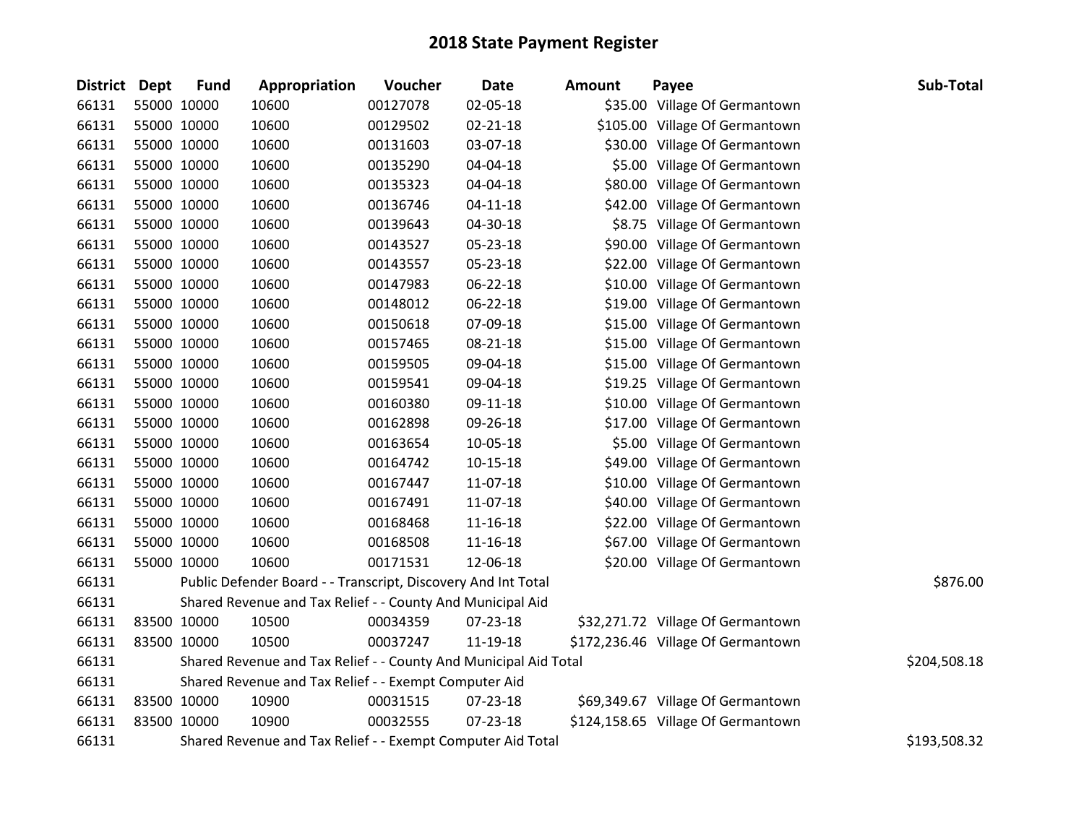| District Dept |             | <b>Fund</b> | Appropriation                                                    | Voucher  | <b>Date</b>    | <b>Amount</b> | Payee                              | Sub-Total    |
|---------------|-------------|-------------|------------------------------------------------------------------|----------|----------------|---------------|------------------------------------|--------------|
| 66131         |             | 55000 10000 | 10600                                                            | 00127078 | 02-05-18       |               | \$35.00 Village Of Germantown      |              |
| 66131         | 55000 10000 |             | 10600                                                            | 00129502 | $02 - 21 - 18$ |               | \$105.00 Village Of Germantown     |              |
| 66131         | 55000 10000 |             | 10600                                                            | 00131603 | 03-07-18       |               | \$30.00 Village Of Germantown      |              |
| 66131         | 55000 10000 |             | 10600                                                            | 00135290 | 04-04-18       |               | \$5.00 Village Of Germantown       |              |
| 66131         | 55000 10000 |             | 10600                                                            | 00135323 | 04-04-18       |               | \$80.00 Village Of Germantown      |              |
| 66131         |             | 55000 10000 | 10600                                                            | 00136746 | $04 - 11 - 18$ |               | \$42.00 Village Of Germantown      |              |
| 66131         |             | 55000 10000 | 10600                                                            | 00139643 | 04-30-18       |               | \$8.75 Village Of Germantown       |              |
| 66131         |             | 55000 10000 | 10600                                                            | 00143527 | 05-23-18       |               | \$90.00 Village Of Germantown      |              |
| 66131         |             | 55000 10000 | 10600                                                            | 00143557 | 05-23-18       |               | \$22.00 Village Of Germantown      |              |
| 66131         |             | 55000 10000 | 10600                                                            | 00147983 | 06-22-18       |               | \$10.00 Village Of Germantown      |              |
| 66131         |             | 55000 10000 | 10600                                                            | 00148012 | 06-22-18       |               | \$19.00 Village Of Germantown      |              |
| 66131         |             | 55000 10000 | 10600                                                            | 00150618 | 07-09-18       |               | \$15.00 Village Of Germantown      |              |
| 66131         |             | 55000 10000 | 10600                                                            | 00157465 | 08-21-18       |               | \$15.00 Village Of Germantown      |              |
| 66131         | 55000 10000 |             | 10600                                                            | 00159505 | 09-04-18       |               | \$15.00 Village Of Germantown      |              |
| 66131         | 55000 10000 |             | 10600                                                            | 00159541 | 09-04-18       |               | \$19.25 Village Of Germantown      |              |
| 66131         |             | 55000 10000 | 10600                                                            | 00160380 | 09-11-18       |               | \$10.00 Village Of Germantown      |              |
| 66131         |             | 55000 10000 | 10600                                                            | 00162898 | 09-26-18       |               | \$17.00 Village Of Germantown      |              |
| 66131         |             | 55000 10000 | 10600                                                            | 00163654 | 10-05-18       |               | \$5.00 Village Of Germantown       |              |
| 66131         |             | 55000 10000 | 10600                                                            | 00164742 | $10 - 15 - 18$ |               | \$49.00 Village Of Germantown      |              |
| 66131         |             | 55000 10000 | 10600                                                            | 00167447 | 11-07-18       |               | \$10.00 Village Of Germantown      |              |
| 66131         |             | 55000 10000 | 10600                                                            | 00167491 | 11-07-18       |               | \$40.00 Village Of Germantown      |              |
| 66131         |             | 55000 10000 | 10600                                                            | 00168468 | 11-16-18       |               | \$22.00 Village Of Germantown      |              |
| 66131         |             | 55000 10000 | 10600                                                            | 00168508 | 11-16-18       |               | \$67.00 Village Of Germantown      |              |
| 66131         |             | 55000 10000 | 10600                                                            | 00171531 | 12-06-18       |               | \$20.00 Village Of Germantown      |              |
| 66131         |             |             | Public Defender Board - - Transcript, Discovery And Int Total    |          |                |               |                                    | \$876.00     |
| 66131         |             |             | Shared Revenue and Tax Relief - - County And Municipal Aid       |          |                |               |                                    |              |
| 66131         |             | 83500 10000 | 10500                                                            | 00034359 | 07-23-18       |               | \$32,271.72 Village Of Germantown  |              |
| 66131         | 83500 10000 |             | 10500                                                            | 00037247 | 11-19-18       |               | \$172,236.46 Village Of Germantown |              |
| 66131         |             |             | Shared Revenue and Tax Relief - - County And Municipal Aid Total |          |                |               |                                    | \$204,508.18 |
| 66131         |             |             | Shared Revenue and Tax Relief - - Exempt Computer Aid            |          |                |               |                                    |              |
| 66131         |             | 83500 10000 | 10900                                                            | 00031515 | 07-23-18       |               | \$69,349.67 Village Of Germantown  |              |
| 66131         |             | 83500 10000 | 10900                                                            | 00032555 | 07-23-18       |               | \$124,158.65 Village Of Germantown |              |
| 66131         |             |             | Shared Revenue and Tax Relief - - Exempt Computer Aid Total      |          |                |               |                                    | \$193,508.32 |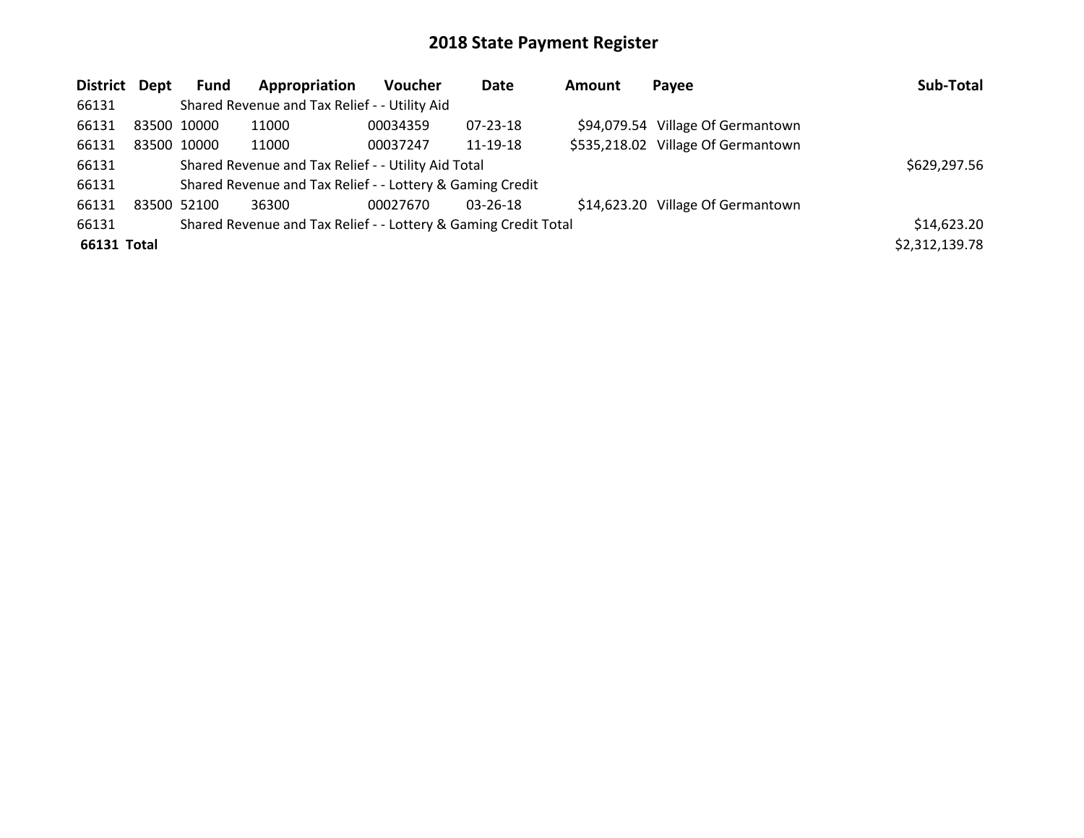| District Dept |             | <b>Fund</b>                                         | Appropriation                                                   | <b>Voucher</b> | Date           | Amount | Payee                              | Sub-Total      |
|---------------|-------------|-----------------------------------------------------|-----------------------------------------------------------------|----------------|----------------|--------|------------------------------------|----------------|
| 66131         |             |                                                     | Shared Revenue and Tax Relief - - Utility Aid                   |                |                |        |                                    |                |
| 66131         | 83500 10000 |                                                     | 11000                                                           | 00034359       | $07 - 23 - 18$ |        | \$94,079.54 Village Of Germantown  |                |
| 66131         | 83500 10000 |                                                     | 11000                                                           | 00037247       | 11-19-18       |        | \$535,218.02 Village Of Germantown |                |
| 66131         |             | Shared Revenue and Tax Relief - - Utility Aid Total | \$629,297.56                                                    |                |                |        |                                    |                |
| 66131         |             |                                                     | Shared Revenue and Tax Relief - - Lottery & Gaming Credit       |                |                |        |                                    |                |
| 66131         | 83500 52100 |                                                     | 36300                                                           | 00027670       | $03 - 26 - 18$ |        | \$14,623.20 Village Of Germantown  |                |
| 66131         |             |                                                     | Shared Revenue and Tax Relief - - Lottery & Gaming Credit Total |                |                |        |                                    | \$14,623.20    |
| 66131 Total   |             |                                                     |                                                                 |                |                |        |                                    | \$2,312,139.78 |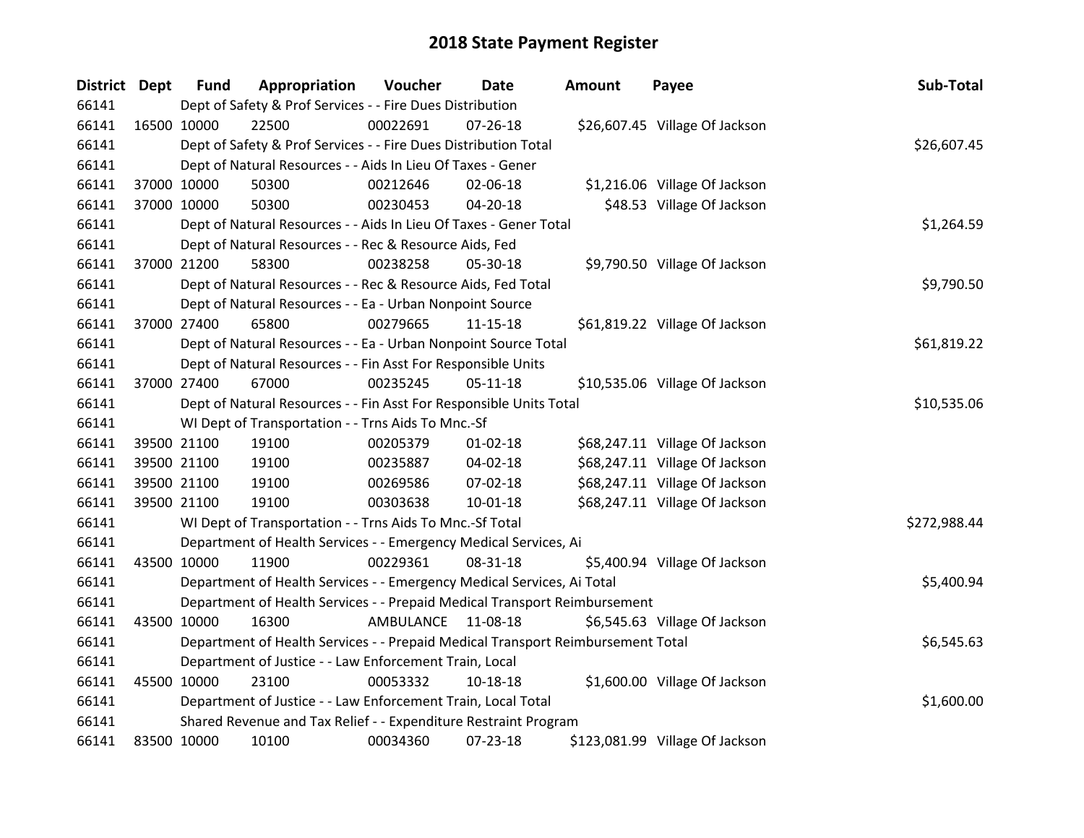| <b>District Dept</b> |             | <b>Fund</b> | Appropriation                                                                   | Voucher   | Date           | <b>Amount</b> | Payee                           | Sub-Total    |
|----------------------|-------------|-------------|---------------------------------------------------------------------------------|-----------|----------------|---------------|---------------------------------|--------------|
| 66141                |             |             | Dept of Safety & Prof Services - - Fire Dues Distribution                       |           |                |               |                                 |              |
| 66141                | 16500 10000 |             | 22500                                                                           | 00022691  | $07 - 26 - 18$ |               | \$26,607.45 Village Of Jackson  |              |
| 66141                |             |             | Dept of Safety & Prof Services - - Fire Dues Distribution Total                 |           |                |               |                                 | \$26,607.45  |
| 66141                |             |             | Dept of Natural Resources - - Aids In Lieu Of Taxes - Gener                     |           |                |               |                                 |              |
| 66141                |             | 37000 10000 | 50300                                                                           | 00212646  | 02-06-18       |               | \$1,216.06 Village Of Jackson   |              |
| 66141                |             | 37000 10000 | 50300                                                                           | 00230453  | 04-20-18       |               | \$48.53 Village Of Jackson      |              |
| 66141                |             |             | Dept of Natural Resources - - Aids In Lieu Of Taxes - Gener Total               |           |                |               |                                 | \$1,264.59   |
| 66141                |             |             | Dept of Natural Resources - - Rec & Resource Aids, Fed                          |           |                |               |                                 |              |
| 66141                |             | 37000 21200 | 58300                                                                           | 00238258  | 05-30-18       |               | \$9,790.50 Village Of Jackson   |              |
| 66141                |             |             | Dept of Natural Resources - - Rec & Resource Aids, Fed Total                    |           |                |               |                                 | \$9,790.50   |
| 66141                |             |             | Dept of Natural Resources - - Ea - Urban Nonpoint Source                        |           |                |               |                                 |              |
| 66141                |             | 37000 27400 | 65800                                                                           | 00279665  | $11 - 15 - 18$ |               | \$61,819.22 Village Of Jackson  |              |
| 66141                |             |             | Dept of Natural Resources - - Ea - Urban Nonpoint Source Total                  |           |                |               |                                 | \$61,819.22  |
| 66141                |             |             | Dept of Natural Resources - - Fin Asst For Responsible Units                    |           |                |               |                                 |              |
| 66141                |             | 37000 27400 | 67000                                                                           | 00235245  | $05-11-18$     |               | \$10,535.06 Village Of Jackson  |              |
| 66141                |             |             | Dept of Natural Resources - - Fin Asst For Responsible Units Total              |           |                |               |                                 | \$10,535.06  |
| 66141                |             |             | WI Dept of Transportation - - Trns Aids To Mnc.-Sf                              |           |                |               |                                 |              |
| 66141                | 39500 21100 |             | 19100                                                                           | 00205379  | $01 - 02 - 18$ |               | \$68,247.11 Village Of Jackson  |              |
| 66141                | 39500 21100 |             | 19100                                                                           | 00235887  | 04-02-18       |               | \$68,247.11 Village Of Jackson  |              |
| 66141                |             | 39500 21100 | 19100                                                                           | 00269586  | 07-02-18       |               | \$68,247.11 Village Of Jackson  |              |
| 66141                |             | 39500 21100 | 19100                                                                           | 00303638  | 10-01-18       |               | \$68,247.11 Village Of Jackson  |              |
| 66141                |             |             | WI Dept of Transportation - - Trns Aids To Mnc.-Sf Total                        |           |                |               |                                 | \$272,988.44 |
| 66141                |             |             | Department of Health Services - - Emergency Medical Services, Ai                |           |                |               |                                 |              |
| 66141                | 43500 10000 |             | 11900                                                                           | 00229361  | 08-31-18       |               | \$5,400.94 Village Of Jackson   |              |
| 66141                |             |             | Department of Health Services - - Emergency Medical Services, Ai Total          |           |                |               |                                 | \$5,400.94   |
| 66141                |             |             | Department of Health Services - - Prepaid Medical Transport Reimbursement       |           |                |               |                                 |              |
| 66141                | 43500 10000 |             | 16300                                                                           | AMBULANCE | 11-08-18       |               | \$6,545.63 Village Of Jackson   |              |
| 66141                |             |             | Department of Health Services - - Prepaid Medical Transport Reimbursement Total |           |                |               |                                 | \$6,545.63   |
| 66141                |             |             | Department of Justice - - Law Enforcement Train, Local                          |           |                |               |                                 |              |
| 66141                | 45500 10000 |             | 23100                                                                           | 00053332  | 10-18-18       |               | \$1,600.00 Village Of Jackson   |              |
| 66141                |             |             | Department of Justice - - Law Enforcement Train, Local Total                    |           |                |               |                                 | \$1,600.00   |
| 66141                |             |             | Shared Revenue and Tax Relief - - Expenditure Restraint Program                 |           |                |               |                                 |              |
| 66141                | 83500 10000 |             | 10100                                                                           | 00034360  | 07-23-18       |               | \$123,081.99 Village Of Jackson |              |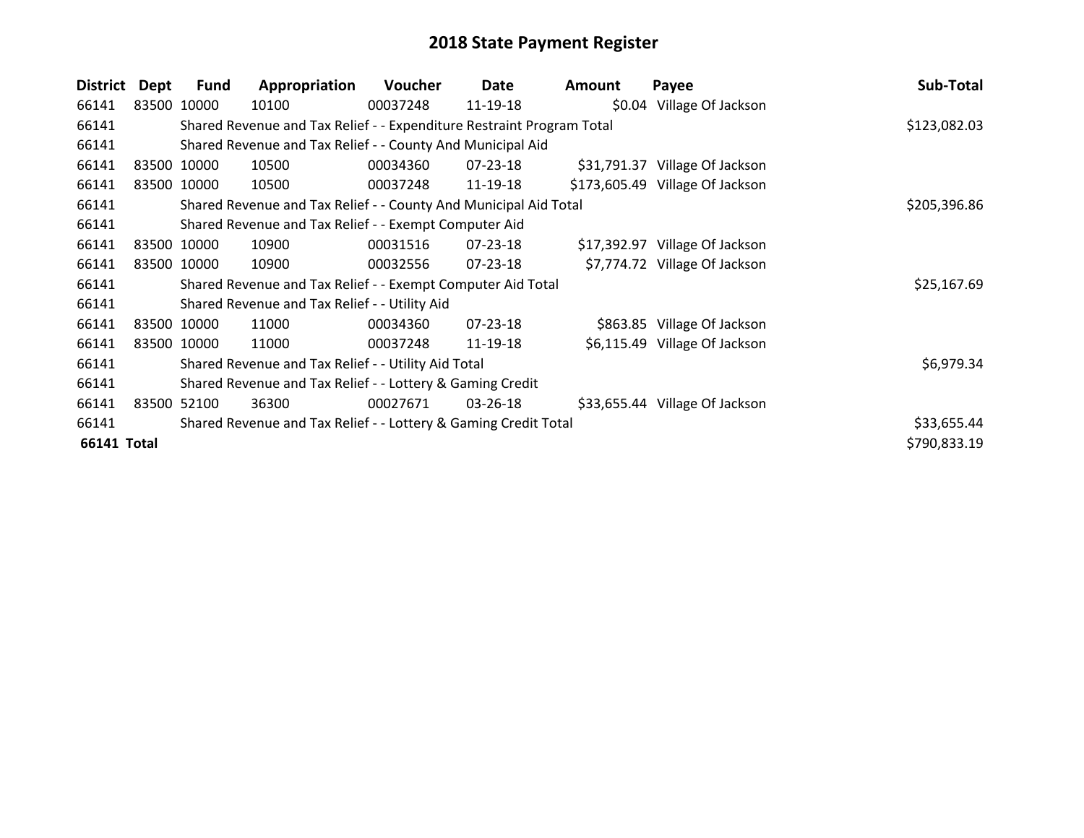| District           | Dept | <b>Fund</b> | Appropriation                                                         | <b>Voucher</b> | Date           | Amount | Payee                           | Sub-Total    |
|--------------------|------|-------------|-----------------------------------------------------------------------|----------------|----------------|--------|---------------------------------|--------------|
| 66141              |      | 83500 10000 | 10100                                                                 | 00037248       | 11-19-18       |        | \$0.04 Village Of Jackson       |              |
| 66141              |      |             | Shared Revenue and Tax Relief - - Expenditure Restraint Program Total |                |                |        |                                 | \$123,082.03 |
| 66141              |      |             | Shared Revenue and Tax Relief - - County And Municipal Aid            |                |                |        |                                 |              |
| 66141              |      | 83500 10000 | 10500                                                                 | 00034360       | 07-23-18       |        | \$31,791.37 Village Of Jackson  |              |
| 66141              |      | 83500 10000 | 10500                                                                 | 00037248       | 11-19-18       |        | \$173,605.49 Village Of Jackson |              |
| 66141              |      |             | Shared Revenue and Tax Relief - - County And Municipal Aid Total      |                |                |        |                                 | \$205,396.86 |
| 66141              |      |             | Shared Revenue and Tax Relief - - Exempt Computer Aid                 |                |                |        |                                 |              |
| 66141              |      | 83500 10000 | 10900                                                                 | 00031516       | 07-23-18       |        | \$17,392.97 Village Of Jackson  |              |
| 66141              |      | 83500 10000 | 10900                                                                 | 00032556       | 07-23-18       |        | \$7,774.72 Village Of Jackson   |              |
| 66141              |      |             | Shared Revenue and Tax Relief - - Exempt Computer Aid Total           |                |                |        |                                 | \$25,167.69  |
| 66141              |      |             | Shared Revenue and Tax Relief - - Utility Aid                         |                |                |        |                                 |              |
| 66141              |      | 83500 10000 | 11000                                                                 | 00034360       | $07 - 23 - 18$ |        | \$863.85 Village Of Jackson     |              |
| 66141              |      | 83500 10000 | 11000                                                                 | 00037248       | 11-19-18       |        | \$6,115.49 Village Of Jackson   |              |
| 66141              |      |             | Shared Revenue and Tax Relief - - Utility Aid Total                   |                |                |        |                                 | \$6,979.34   |
| 66141              |      |             | Shared Revenue and Tax Relief - - Lottery & Gaming Credit             |                |                |        |                                 |              |
| 66141              |      | 83500 52100 | 36300                                                                 | 00027671       | 03-26-18       |        | \$33,655.44 Village Of Jackson  |              |
| 66141              |      |             | Shared Revenue and Tax Relief - - Lottery & Gaming Credit Total       |                |                |        |                                 | \$33,655.44  |
| <b>66141 Total</b> |      |             |                                                                       |                |                |        |                                 | \$790,833.19 |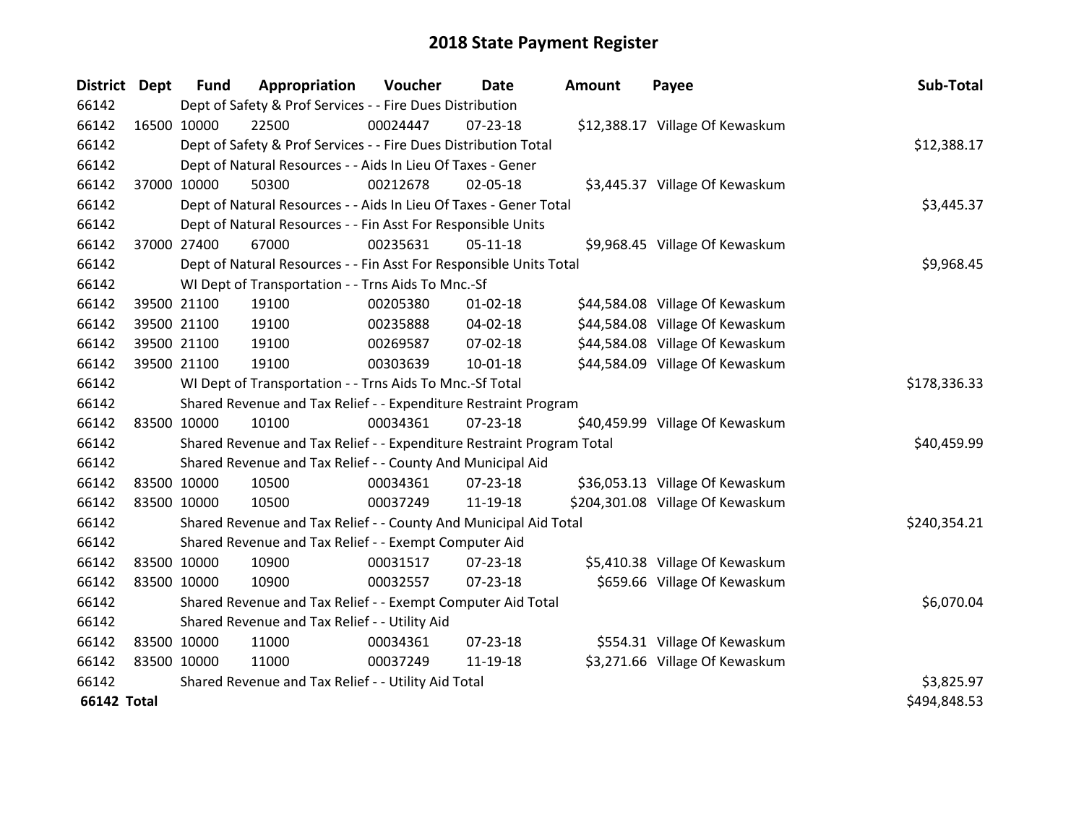| District Dept      |             | <b>Fund</b> | Appropriation                                                         | Voucher      | <b>Date</b>    | <b>Amount</b> | Payee                            | Sub-Total    |
|--------------------|-------------|-------------|-----------------------------------------------------------------------|--------------|----------------|---------------|----------------------------------|--------------|
| 66142              |             |             | Dept of Safety & Prof Services - - Fire Dues Distribution             |              |                |               |                                  |              |
| 66142              | 16500 10000 |             | 22500                                                                 | 00024447     | 07-23-18       |               | \$12,388.17 Village Of Kewaskum  |              |
| 66142              |             |             | Dept of Safety & Prof Services - - Fire Dues Distribution Total       |              |                |               |                                  | \$12,388.17  |
| 66142              |             |             | Dept of Natural Resources - - Aids In Lieu Of Taxes - Gener           |              |                |               |                                  |              |
| 66142              | 37000 10000 |             | 50300                                                                 | 00212678     | 02-05-18       |               | \$3,445.37 Village Of Kewaskum   |              |
| 66142              |             |             | Dept of Natural Resources - - Aids In Lieu Of Taxes - Gener Total     |              | \$3,445.37     |               |                                  |              |
| 66142              |             |             | Dept of Natural Resources - - Fin Asst For Responsible Units          |              |                |               |                                  |              |
| 66142              | 37000 27400 |             | 67000                                                                 | 00235631     | $05 - 11 - 18$ |               | \$9,968.45 Village Of Kewaskum   |              |
| 66142              |             |             | Dept of Natural Resources - - Fin Asst For Responsible Units Total    |              |                |               |                                  | \$9,968.45   |
| 66142              |             |             | WI Dept of Transportation - - Trns Aids To Mnc.-Sf                    |              |                |               |                                  |              |
| 66142              |             | 39500 21100 | 19100                                                                 | 00205380     | $01 - 02 - 18$ |               | \$44,584.08 Village Of Kewaskum  |              |
| 66142              |             | 39500 21100 | 19100                                                                 | 00235888     | 04-02-18       |               | \$44,584.08 Village Of Kewaskum  |              |
| 66142              |             | 39500 21100 | 19100                                                                 | 00269587     | 07-02-18       |               | \$44,584.08 Village Of Kewaskum  |              |
| 66142              | 39500 21100 |             | 19100                                                                 | 00303639     | 10-01-18       |               | \$44,584.09 Village Of Kewaskum  |              |
| 66142              |             |             | WI Dept of Transportation - - Trns Aids To Mnc.-Sf Total              | \$178,336.33 |                |               |                                  |              |
| 66142              |             |             | Shared Revenue and Tax Relief - - Expenditure Restraint Program       |              |                |               |                                  |              |
| 66142              | 83500 10000 |             | 10100                                                                 | 00034361     | $07 - 23 - 18$ |               | \$40,459.99 Village Of Kewaskum  |              |
| 66142              |             |             | Shared Revenue and Tax Relief - - Expenditure Restraint Program Total |              |                |               |                                  | \$40,459.99  |
| 66142              |             |             | Shared Revenue and Tax Relief - - County And Municipal Aid            |              |                |               |                                  |              |
| 66142              | 83500 10000 |             | 10500                                                                 | 00034361     | 07-23-18       |               | \$36,053.13 Village Of Kewaskum  |              |
| 66142              | 83500 10000 |             | 10500                                                                 | 00037249     | 11-19-18       |               | \$204,301.08 Village Of Kewaskum |              |
| 66142              |             |             | Shared Revenue and Tax Relief - - County And Municipal Aid Total      |              |                |               |                                  | \$240,354.21 |
| 66142              |             |             | Shared Revenue and Tax Relief - - Exempt Computer Aid                 |              |                |               |                                  |              |
| 66142              | 83500 10000 |             | 10900                                                                 | 00031517     | 07-23-18       |               | \$5,410.38 Village Of Kewaskum   |              |
| 66142              | 83500 10000 |             | 10900                                                                 | 00032557     | 07-23-18       |               | \$659.66 Village Of Kewaskum     |              |
| 66142              |             |             | Shared Revenue and Tax Relief - - Exempt Computer Aid Total           |              |                |               |                                  | \$6,070.04   |
| 66142              |             |             | Shared Revenue and Tax Relief - - Utility Aid                         |              |                |               |                                  |              |
| 66142              | 83500 10000 |             | 11000                                                                 | 00034361     | 07-23-18       |               | \$554.31 Village Of Kewaskum     |              |
| 66142              | 83500 10000 |             | 11000                                                                 | 00037249     | 11-19-18       |               | \$3,271.66 Village Of Kewaskum   |              |
| 66142              |             |             | Shared Revenue and Tax Relief - - Utility Aid Total                   |              |                |               |                                  | \$3,825.97   |
| <b>66142 Total</b> |             |             |                                                                       |              |                |               |                                  | \$494,848.53 |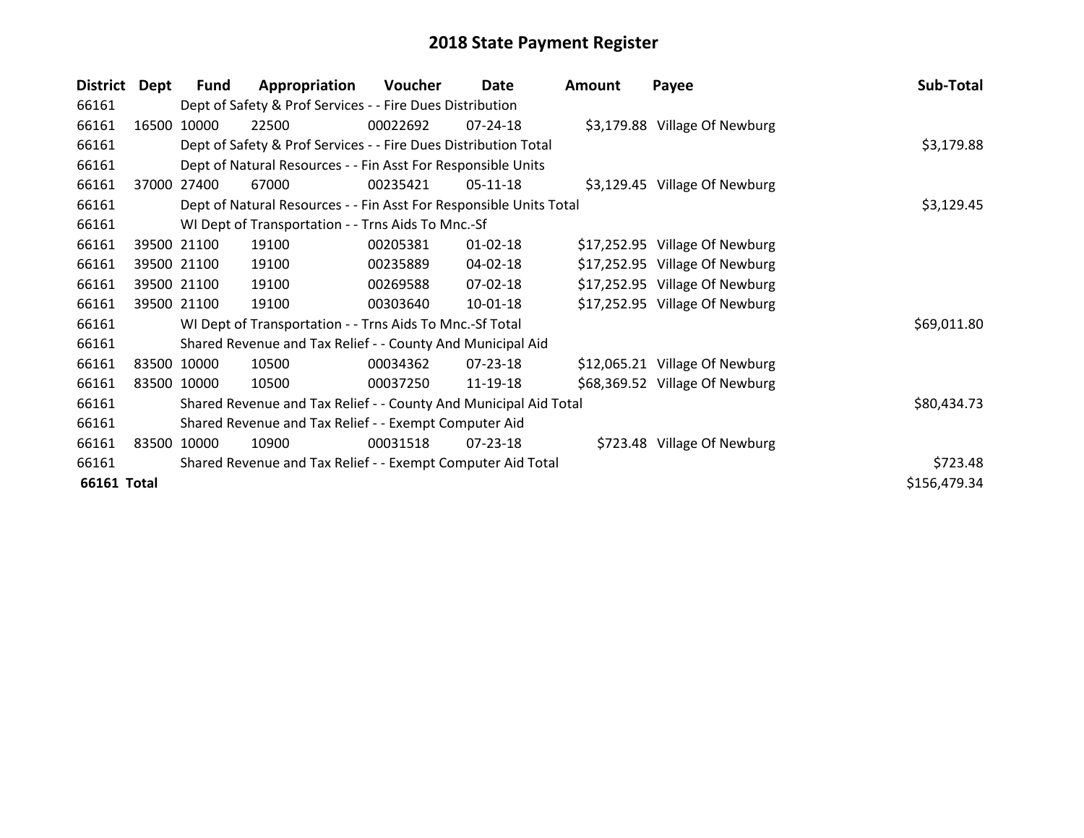| <b>District</b> | <b>Dept</b> | Fund        | Appropriation                                                      | Voucher    | Date           | <b>Amount</b> | Payee                          | Sub-Total    |
|-----------------|-------------|-------------|--------------------------------------------------------------------|------------|----------------|---------------|--------------------------------|--------------|
| 66161           |             |             | Dept of Safety & Prof Services - - Fire Dues Distribution          |            |                |               |                                |              |
| 66161           | 16500       | 10000       | 22500                                                              | 00022692   | $07 - 24 - 18$ |               | \$3,179.88 Village Of Newburg  |              |
| 66161           |             |             | Dept of Safety & Prof Services - - Fire Dues Distribution Total    |            | \$3,179.88     |               |                                |              |
| 66161           |             |             | Dept of Natural Resources - - Fin Asst For Responsible Units       |            |                |               |                                |              |
| 66161           | 37000       | 27400       | 67000                                                              | 00235421   | $05-11-18$     |               | \$3,129.45 Village Of Newburg  |              |
| 66161           |             |             | Dept of Natural Resources - - Fin Asst For Responsible Units Total | \$3,129.45 |                |               |                                |              |
| 66161           |             |             | WI Dept of Transportation - - Trns Aids To Mnc.-Sf                 |            |                |               |                                |              |
| 66161           |             | 39500 21100 | 19100                                                              | 00205381   | $01 - 02 - 18$ |               | \$17,252.95 Village Of Newburg |              |
| 66161           |             | 39500 21100 | 19100                                                              | 00235889   | 04-02-18       |               | \$17,252.95 Village Of Newburg |              |
| 66161           |             | 39500 21100 | 19100                                                              | 00269588   | $07 - 02 - 18$ |               | \$17,252.95 Village Of Newburg |              |
| 66161           |             | 39500 21100 | 19100                                                              | 00303640   | $10-01-18$     |               | \$17,252.95 Village Of Newburg |              |
| 66161           |             |             | WI Dept of Transportation - - Trns Aids To Mnc.-Sf Total           |            |                |               |                                | \$69,011.80  |
| 66161           |             |             | Shared Revenue and Tax Relief - - County And Municipal Aid         |            |                |               |                                |              |
| 66161           |             | 83500 10000 | 10500                                                              | 00034362   | 07-23-18       |               | \$12,065.21 Village Of Newburg |              |
| 66161           |             | 83500 10000 | 10500                                                              | 00037250   | 11-19-18       |               | \$68,369.52 Village Of Newburg |              |
| 66161           |             |             | Shared Revenue and Tax Relief - - County And Municipal Aid Total   |            |                |               |                                | \$80,434.73  |
| 66161           |             |             | Shared Revenue and Tax Relief - - Exempt Computer Aid              |            |                |               |                                |              |
| 66161           |             | 83500 10000 | 10900                                                              | 00031518   | 07-23-18       |               | \$723.48 Village Of Newburg    |              |
| 66161           |             |             | Shared Revenue and Tax Relief - - Exempt Computer Aid Total        | \$723.48   |                |               |                                |              |
| 66161 Total     |             |             |                                                                    |            |                |               |                                | \$156,479.34 |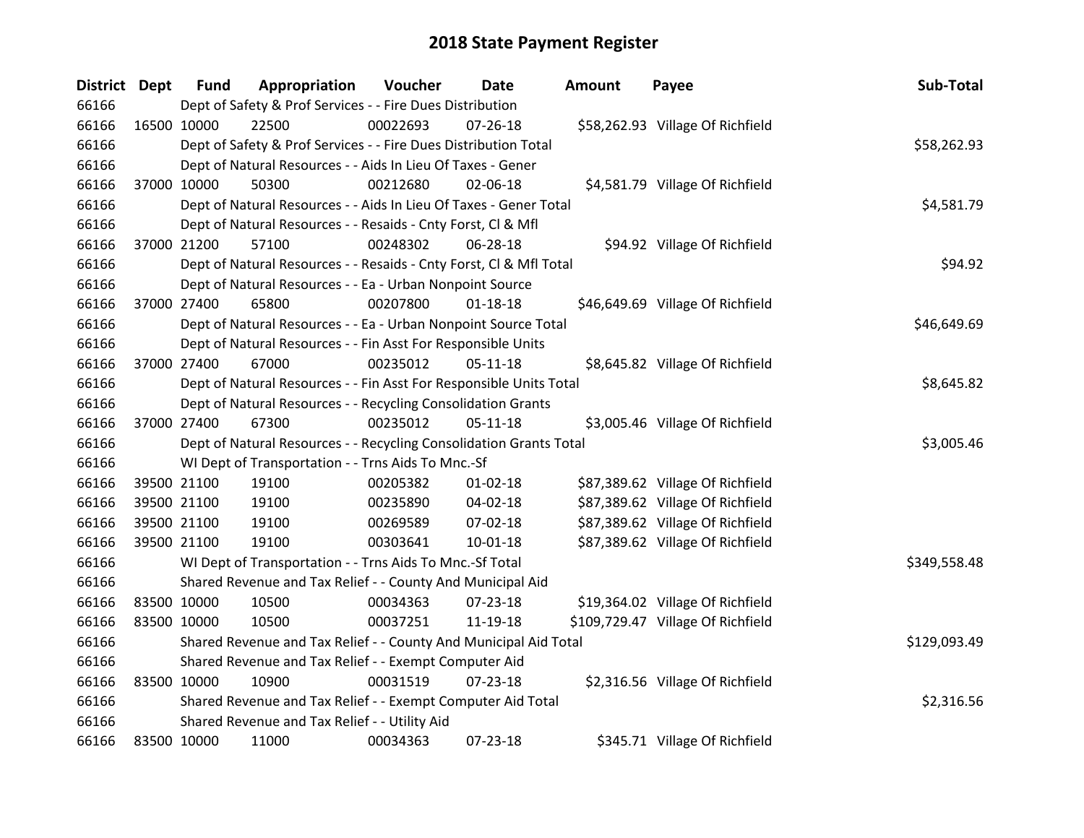| <b>District Dept</b> |             | <b>Fund</b> | Appropriation                                                      | Voucher    | Date           | Amount | Payee                             | Sub-Total    |
|----------------------|-------------|-------------|--------------------------------------------------------------------|------------|----------------|--------|-----------------------------------|--------------|
| 66166                |             |             | Dept of Safety & Prof Services - - Fire Dues Distribution          |            |                |        |                                   |              |
| 66166                | 16500 10000 |             | 22500                                                              | 00022693   | $07 - 26 - 18$ |        | \$58,262.93 Village Of Richfield  |              |
| 66166                |             |             | Dept of Safety & Prof Services - - Fire Dues Distribution Total    |            |                |        |                                   | \$58,262.93  |
| 66166                |             |             | Dept of Natural Resources - - Aids In Lieu Of Taxes - Gener        |            |                |        |                                   |              |
| 66166                | 37000 10000 |             | 50300                                                              | 00212680   | 02-06-18       |        | \$4,581.79 Village Of Richfield   |              |
| 66166                |             |             | Dept of Natural Resources - - Aids In Lieu Of Taxes - Gener Total  |            |                |        |                                   | \$4,581.79   |
| 66166                |             |             | Dept of Natural Resources - - Resaids - Cnty Forst, Cl & Mfl       |            |                |        |                                   |              |
| 66166                | 37000 21200 |             | 57100                                                              | 00248302   | 06-28-18       |        | \$94.92 Village Of Richfield      |              |
| 66166                |             |             | Dept of Natural Resources - - Resaids - Cnty Forst, CI & Mfl Total |            |                |        |                                   | \$94.92      |
| 66166                |             |             | Dept of Natural Resources - - Ea - Urban Nonpoint Source           |            |                |        |                                   |              |
| 66166                |             | 37000 27400 | 65800                                                              | 00207800   | $01 - 18 - 18$ |        | \$46,649.69 Village Of Richfield  |              |
| 66166                |             |             | Dept of Natural Resources - - Ea - Urban Nonpoint Source Total     |            |                |        |                                   | \$46,649.69  |
| 66166                |             |             | Dept of Natural Resources - - Fin Asst For Responsible Units       |            |                |        |                                   |              |
| 66166                | 37000 27400 |             | 67000                                                              | 00235012   | $05-11-18$     |        | \$8,645.82 Village Of Richfield   |              |
| 66166                |             |             | Dept of Natural Resources - - Fin Asst For Responsible Units Total | \$8,645.82 |                |        |                                   |              |
| 66166                |             |             | Dept of Natural Resources - - Recycling Consolidation Grants       |            |                |        |                                   |              |
| 66166                | 37000 27400 |             | 67300                                                              | 00235012   | $05 - 11 - 18$ |        | \$3,005.46 Village Of Richfield   |              |
| 66166                |             |             | Dept of Natural Resources - - Recycling Consolidation Grants Total |            |                |        |                                   | \$3,005.46   |
| 66166                |             |             | WI Dept of Transportation - - Trns Aids To Mnc.-Sf                 |            |                |        |                                   |              |
| 66166                |             | 39500 21100 | 19100                                                              | 00205382   | $01 - 02 - 18$ |        | \$87,389.62 Village Of Richfield  |              |
| 66166                |             | 39500 21100 | 19100                                                              | 00235890   | 04-02-18       |        | \$87,389.62 Village Of Richfield  |              |
| 66166                | 39500 21100 |             | 19100                                                              | 00269589   | 07-02-18       |        | \$87,389.62 Village Of Richfield  |              |
| 66166                | 39500 21100 |             | 19100                                                              | 00303641   | 10-01-18       |        | \$87,389.62 Village Of Richfield  |              |
| 66166                |             |             | WI Dept of Transportation - - Trns Aids To Mnc.-Sf Total           |            |                |        |                                   | \$349,558.48 |
| 66166                |             |             | Shared Revenue and Tax Relief - - County And Municipal Aid         |            |                |        |                                   |              |
| 66166                | 83500 10000 |             | 10500                                                              | 00034363   | 07-23-18       |        | \$19,364.02 Village Of Richfield  |              |
| 66166                | 83500 10000 |             | 10500                                                              | 00037251   | 11-19-18       |        | \$109,729.47 Village Of Richfield |              |
| 66166                |             |             | Shared Revenue and Tax Relief - - County And Municipal Aid Total   |            |                |        |                                   | \$129,093.49 |
| 66166                |             |             | Shared Revenue and Tax Relief - - Exempt Computer Aid              |            |                |        |                                   |              |
| 66166                | 83500 10000 |             | 10900                                                              | 00031519   | 07-23-18       |        | \$2,316.56 Village Of Richfield   |              |
| 66166                |             |             | Shared Revenue and Tax Relief - - Exempt Computer Aid Total        |            |                |        |                                   | \$2,316.56   |
| 66166                |             |             | Shared Revenue and Tax Relief - - Utility Aid                      |            |                |        |                                   |              |
| 66166                | 83500 10000 |             | 11000                                                              | 00034363   | 07-23-18       |        | \$345.71 Village Of Richfield     |              |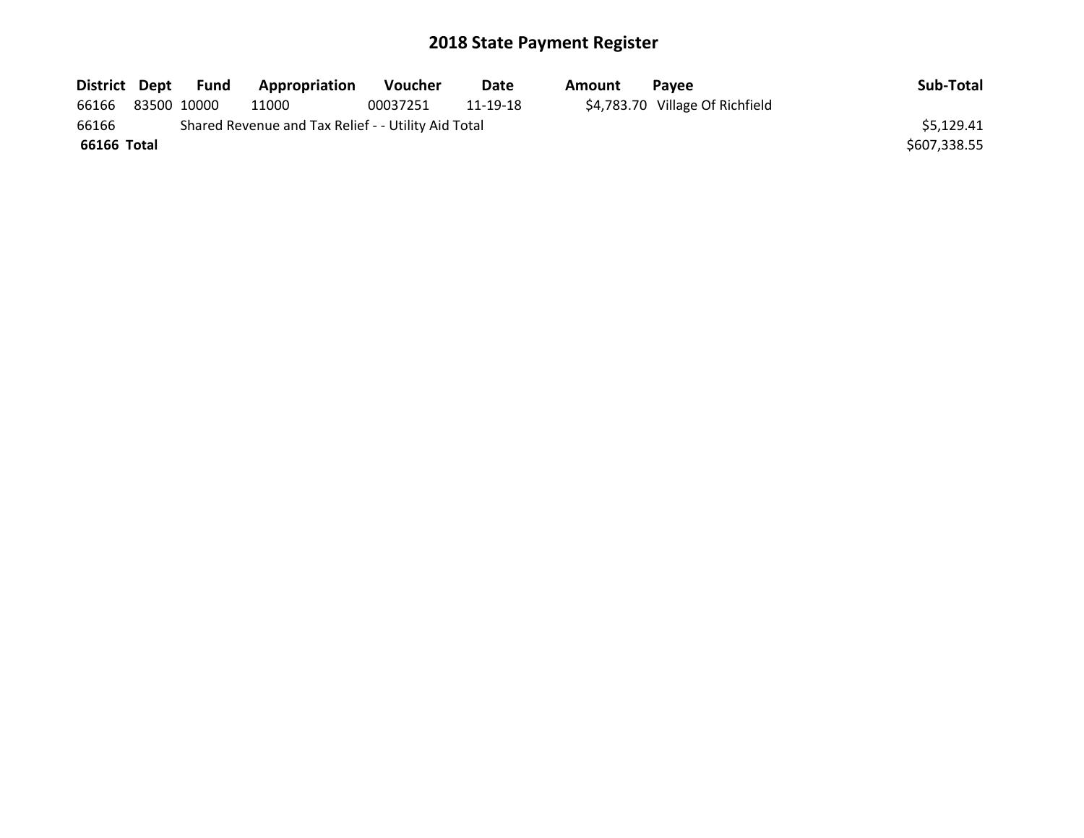| District Dept |             | Fund | Appropriation                                       | <b>Voucher</b> | Date     | Amount | <b>Pavee</b>                    | Sub-Total    |
|---------------|-------------|------|-----------------------------------------------------|----------------|----------|--------|---------------------------------|--------------|
| 66166         | 83500 10000 |      | 11000                                               | 00037251       | 11-19-18 |        | \$4,783.70 Village Of Richfield |              |
| 66166         |             |      | Shared Revenue and Tax Relief - - Utility Aid Total |                |          |        |                                 | \$5,129.41   |
| 66166 Total   |             |      |                                                     |                |          |        |                                 | \$607,338.55 |
|               |             |      |                                                     |                |          |        |                                 |              |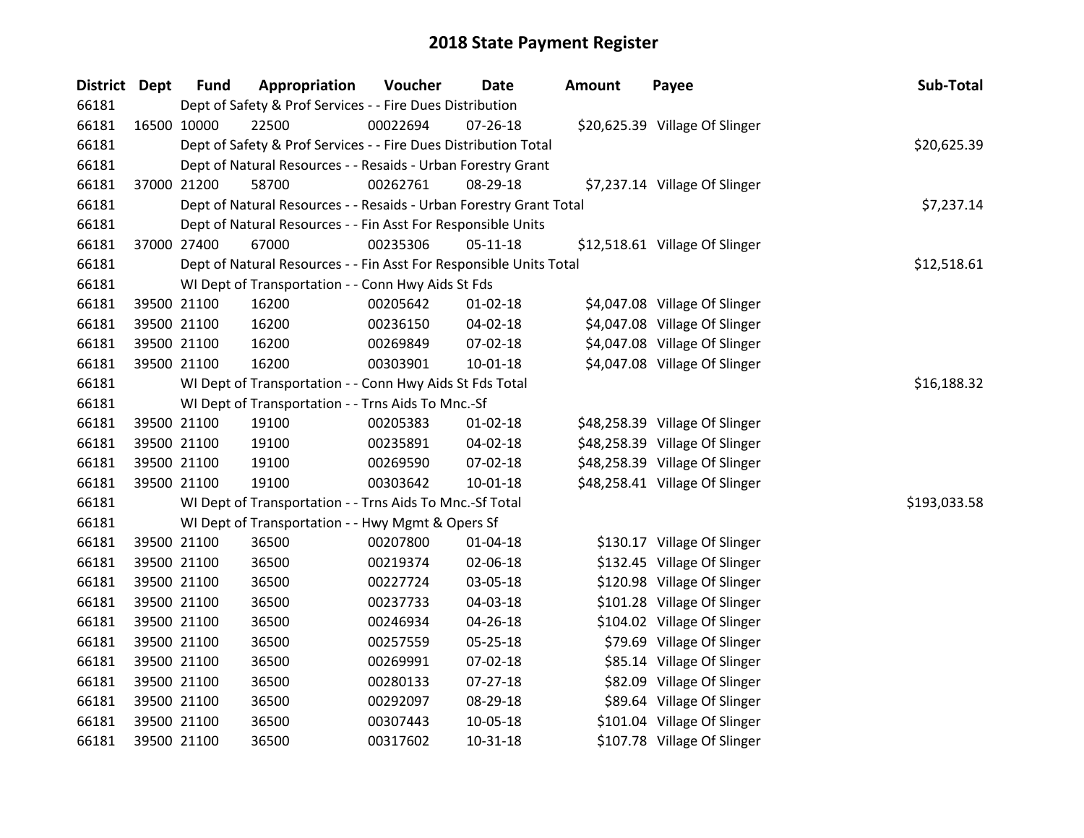| District Dept |             | <b>Fund</b> | Appropriation                                                      | Voucher     | Date           | Amount | Payee                          | Sub-Total    |
|---------------|-------------|-------------|--------------------------------------------------------------------|-------------|----------------|--------|--------------------------------|--------------|
| 66181         |             |             | Dept of Safety & Prof Services - - Fire Dues Distribution          |             |                |        |                                |              |
| 66181         | 16500 10000 |             | 22500                                                              | 00022694    | 07-26-18       |        | \$20,625.39 Village Of Slinger |              |
| 66181         |             |             | Dept of Safety & Prof Services - - Fire Dues Distribution Total    |             |                |        |                                | \$20,625.39  |
| 66181         |             |             | Dept of Natural Resources - - Resaids - Urban Forestry Grant       |             |                |        |                                |              |
| 66181         | 37000 21200 |             | 58700                                                              | 00262761    | 08-29-18       |        | \$7,237.14 Village Of Slinger  |              |
| 66181         |             |             | Dept of Natural Resources - - Resaids - Urban Forestry Grant Total |             |                |        |                                | \$7,237.14   |
| 66181         |             |             | Dept of Natural Resources - - Fin Asst For Responsible Units       |             |                |        |                                |              |
| 66181         | 37000 27400 |             | 67000                                                              | 00235306    | $05 - 11 - 18$ |        | \$12,518.61 Village Of Slinger |              |
| 66181         |             |             | Dept of Natural Resources - - Fin Asst For Responsible Units Total |             |                |        |                                | \$12,518.61  |
| 66181         |             |             | WI Dept of Transportation - - Conn Hwy Aids St Fds                 |             |                |        |                                |              |
| 66181         | 39500 21100 |             | 16200                                                              | 00205642    | $01 - 02 - 18$ |        | \$4,047.08 Village Of Slinger  |              |
| 66181         | 39500 21100 |             | 16200                                                              | 00236150    | 04-02-18       |        | \$4,047.08 Village Of Slinger  |              |
| 66181         | 39500 21100 |             | 16200                                                              | 00269849    | 07-02-18       |        | \$4,047.08 Village Of Slinger  |              |
| 66181         | 39500 21100 |             | 16200                                                              | 00303901    | 10-01-18       |        | \$4,047.08 Village Of Slinger  |              |
| 66181         |             |             | WI Dept of Transportation - - Conn Hwy Aids St Fds Total           | \$16,188.32 |                |        |                                |              |
| 66181         |             |             | WI Dept of Transportation - - Trns Aids To Mnc.-Sf                 |             |                |        |                                |              |
| 66181         | 39500 21100 |             | 19100                                                              | 00205383    | 01-02-18       |        | \$48,258.39 Village Of Slinger |              |
| 66181         | 39500 21100 |             | 19100                                                              | 00235891    | 04-02-18       |        | \$48,258.39 Village Of Slinger |              |
| 66181         | 39500 21100 |             | 19100                                                              | 00269590    | 07-02-18       |        | \$48,258.39 Village Of Slinger |              |
| 66181         | 39500 21100 |             | 19100                                                              | 00303642    | $10 - 01 - 18$ |        | \$48,258.41 Village Of Slinger |              |
| 66181         |             |             | WI Dept of Transportation - - Trns Aids To Mnc.-Sf Total           |             |                |        |                                | \$193,033.58 |
| 66181         |             |             | WI Dept of Transportation - - Hwy Mgmt & Opers Sf                  |             |                |        |                                |              |
| 66181         | 39500 21100 |             | 36500                                                              | 00207800    | 01-04-18       |        | \$130.17 Village Of Slinger    |              |
| 66181         | 39500 21100 |             | 36500                                                              | 00219374    | 02-06-18       |        | \$132.45 Village Of Slinger    |              |
| 66181         | 39500 21100 |             | 36500                                                              | 00227724    | 03-05-18       |        | \$120.98 Village Of Slinger    |              |
| 66181         |             | 39500 21100 | 36500                                                              | 00237733    | 04-03-18       |        | \$101.28 Village Of Slinger    |              |
| 66181         | 39500 21100 |             | 36500                                                              | 00246934    | 04-26-18       |        | \$104.02 Village Of Slinger    |              |
| 66181         | 39500 21100 |             | 36500                                                              | 00257559    | 05-25-18       |        | \$79.69 Village Of Slinger     |              |
| 66181         | 39500 21100 |             | 36500                                                              | 00269991    | 07-02-18       |        | \$85.14 Village Of Slinger     |              |
| 66181         | 39500 21100 |             | 36500                                                              | 00280133    | 07-27-18       |        | \$82.09 Village Of Slinger     |              |
| 66181         | 39500 21100 |             | 36500                                                              | 00292097    | 08-29-18       |        | \$89.64 Village Of Slinger     |              |
| 66181         | 39500 21100 |             | 36500                                                              | 00307443    | 10-05-18       |        | \$101.04 Village Of Slinger    |              |
| 66181         | 39500 21100 |             | 36500                                                              | 00317602    | 10-31-18       |        | \$107.78 Village Of Slinger    |              |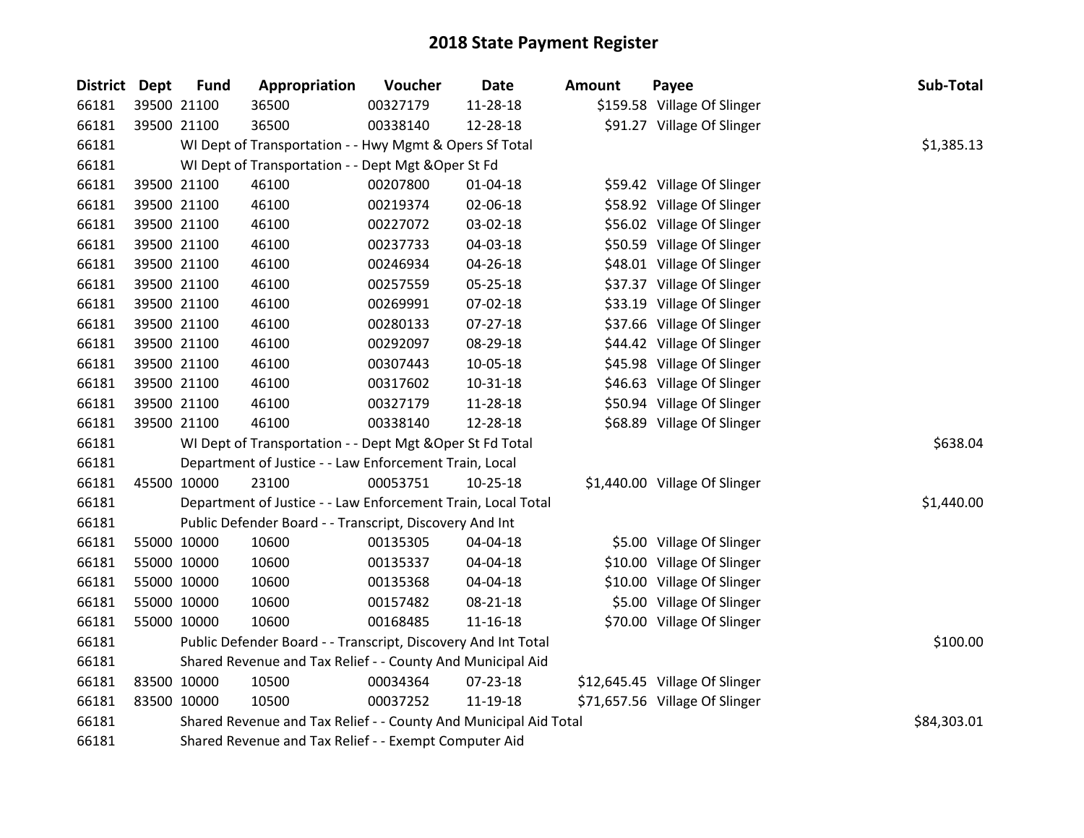| <b>District</b> | <b>Dept</b> | <b>Fund</b> | Appropriation                                                    | Voucher  | Date           | <b>Amount</b> | Payee                          | Sub-Total   |
|-----------------|-------------|-------------|------------------------------------------------------------------|----------|----------------|---------------|--------------------------------|-------------|
| 66181           |             | 39500 21100 | 36500                                                            | 00327179 | 11-28-18       |               | \$159.58 Village Of Slinger    |             |
| 66181           |             | 39500 21100 | 36500                                                            | 00338140 | 12-28-18       |               | \$91.27 Village Of Slinger     |             |
| 66181           |             |             | WI Dept of Transportation - - Hwy Mgmt & Opers Sf Total          |          |                |               |                                | \$1,385.13  |
| 66181           |             |             | WI Dept of Transportation - - Dept Mgt & Oper St Fd              |          |                |               |                                |             |
| 66181           |             | 39500 21100 | 46100                                                            | 00207800 | $01 - 04 - 18$ |               | \$59.42 Village Of Slinger     |             |
| 66181           |             | 39500 21100 | 46100                                                            | 00219374 | 02-06-18       |               | \$58.92 Village Of Slinger     |             |
| 66181           |             | 39500 21100 | 46100                                                            | 00227072 | 03-02-18       |               | \$56.02 Village Of Slinger     |             |
| 66181           |             | 39500 21100 | 46100                                                            | 00237733 | 04-03-18       |               | \$50.59 Village Of Slinger     |             |
| 66181           |             | 39500 21100 | 46100                                                            | 00246934 | 04-26-18       |               | \$48.01 Village Of Slinger     |             |
| 66181           |             | 39500 21100 | 46100                                                            | 00257559 | 05-25-18       |               | \$37.37 Village Of Slinger     |             |
| 66181           |             | 39500 21100 | 46100                                                            | 00269991 | 07-02-18       |               | \$33.19 Village Of Slinger     |             |
| 66181           |             | 39500 21100 | 46100                                                            | 00280133 | 07-27-18       |               | \$37.66 Village Of Slinger     |             |
| 66181           |             | 39500 21100 | 46100                                                            | 00292097 | 08-29-18       |               | \$44.42 Village Of Slinger     |             |
| 66181           |             | 39500 21100 | 46100                                                            | 00307443 | 10-05-18       |               | \$45.98 Village Of Slinger     |             |
| 66181           |             | 39500 21100 | 46100                                                            | 00317602 | $10 - 31 - 18$ |               | \$46.63 Village Of Slinger     |             |
| 66181           |             | 39500 21100 | 46100                                                            | 00327179 | 11-28-18       |               | \$50.94 Village Of Slinger     |             |
| 66181           |             | 39500 21100 | 46100                                                            | 00338140 | 12-28-18       |               | \$68.89 Village Of Slinger     |             |
| 66181           |             |             | WI Dept of Transportation - - Dept Mgt & Oper St Fd Total        |          |                |               |                                | \$638.04    |
| 66181           |             |             | Department of Justice - - Law Enforcement Train, Local           |          |                |               |                                |             |
| 66181           |             | 45500 10000 | 23100                                                            | 00053751 | 10-25-18       |               | \$1,440.00 Village Of Slinger  |             |
| 66181           |             |             | Department of Justice - - Law Enforcement Train, Local Total     |          |                |               |                                | \$1,440.00  |
| 66181           |             |             | Public Defender Board - - Transcript, Discovery And Int          |          |                |               |                                |             |
| 66181           |             | 55000 10000 | 10600                                                            | 00135305 | 04-04-18       |               | \$5.00 Village Of Slinger      |             |
| 66181           |             | 55000 10000 | 10600                                                            | 00135337 | 04-04-18       |               | \$10.00 Village Of Slinger     |             |
| 66181           |             | 55000 10000 | 10600                                                            | 00135368 | 04-04-18       |               | \$10.00 Village Of Slinger     |             |
| 66181           |             | 55000 10000 | 10600                                                            | 00157482 | 08-21-18       |               | \$5.00 Village Of Slinger      |             |
| 66181           |             | 55000 10000 | 10600                                                            | 00168485 | $11 - 16 - 18$ |               | \$70.00 Village Of Slinger     |             |
| 66181           |             |             | Public Defender Board - - Transcript, Discovery And Int Total    |          |                |               |                                | \$100.00    |
| 66181           |             |             | Shared Revenue and Tax Relief - - County And Municipal Aid       |          |                |               |                                |             |
| 66181           |             | 83500 10000 | 10500                                                            | 00034364 | 07-23-18       |               | \$12,645.45 Village Of Slinger |             |
| 66181           |             | 83500 10000 | 10500                                                            | 00037252 | 11-19-18       |               | \$71,657.56 Village Of Slinger |             |
| 66181           |             |             | Shared Revenue and Tax Relief - - County And Municipal Aid Total |          |                |               |                                | \$84,303.01 |
| 66181           |             |             | Shared Revenue and Tax Relief - - Exempt Computer Aid            |          |                |               |                                |             |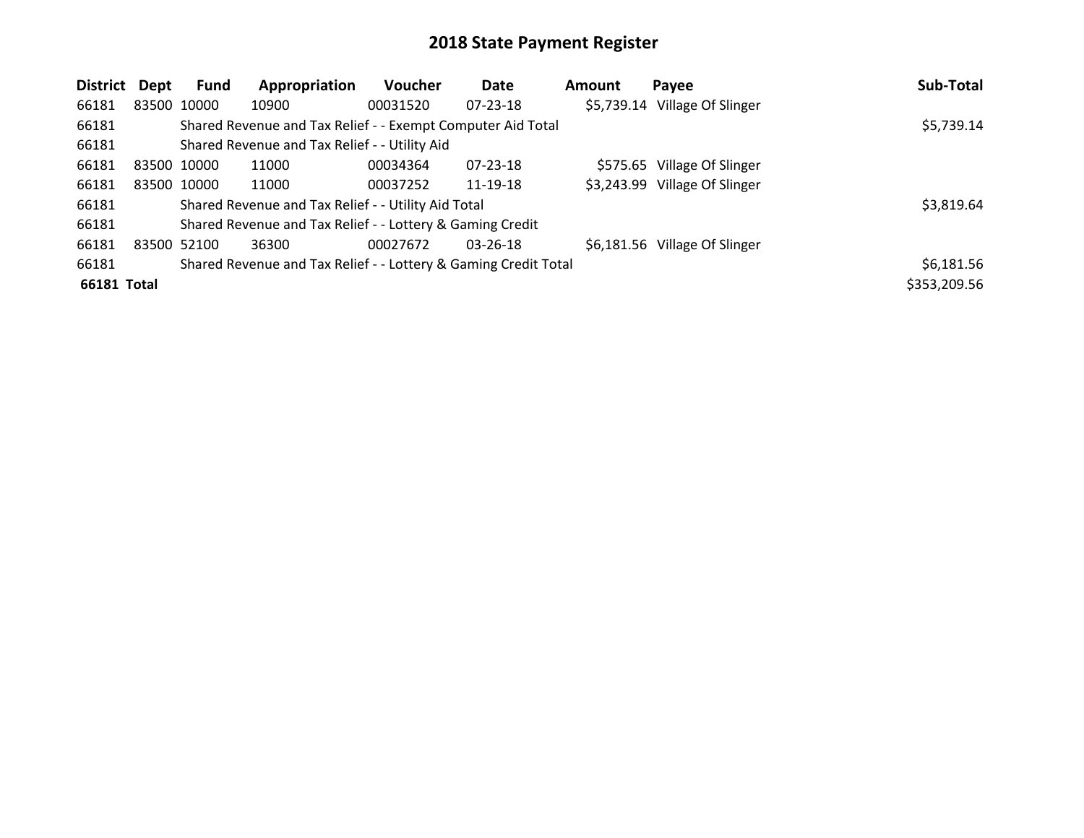| <b>District</b> | <b>Dept</b> | Fund        | Appropriation                                                   | Voucher  | Date           | <b>Amount</b> | Payee                         | Sub-Total    |
|-----------------|-------------|-------------|-----------------------------------------------------------------|----------|----------------|---------------|-------------------------------|--------------|
| 66181           | 83500 10000 |             | 10900                                                           | 00031520 | $07 - 23 - 18$ |               | \$5,739.14 Village Of Slinger |              |
| 66181           |             |             | Shared Revenue and Tax Relief - - Exempt Computer Aid Total     |          |                |               |                               | \$5,739.14   |
| 66181           |             |             | Shared Revenue and Tax Relief - - Utility Aid                   |          |                |               |                               |              |
| 66181           | 83500 10000 |             | 11000                                                           | 00034364 | $07 - 23 - 18$ |               | \$575.65 Village Of Slinger   |              |
| 66181           |             | 83500 10000 | 11000                                                           | 00037252 | 11-19-18       |               | \$3,243.99 Village Of Slinger |              |
| 66181           |             |             | Shared Revenue and Tax Relief - - Utility Aid Total             |          |                |               |                               | \$3,819.64   |
| 66181           |             |             | Shared Revenue and Tax Relief - - Lottery & Gaming Credit       |          |                |               |                               |              |
| 66181           | 83500 52100 |             | 36300                                                           | 00027672 | $03 - 26 - 18$ |               | \$6,181.56 Village Of Slinger |              |
| 66181           |             |             | Shared Revenue and Tax Relief - - Lottery & Gaming Credit Total |          |                |               |                               | \$6,181.56   |
| 66181 Total     |             |             |                                                                 |          |                |               |                               | \$353,209.56 |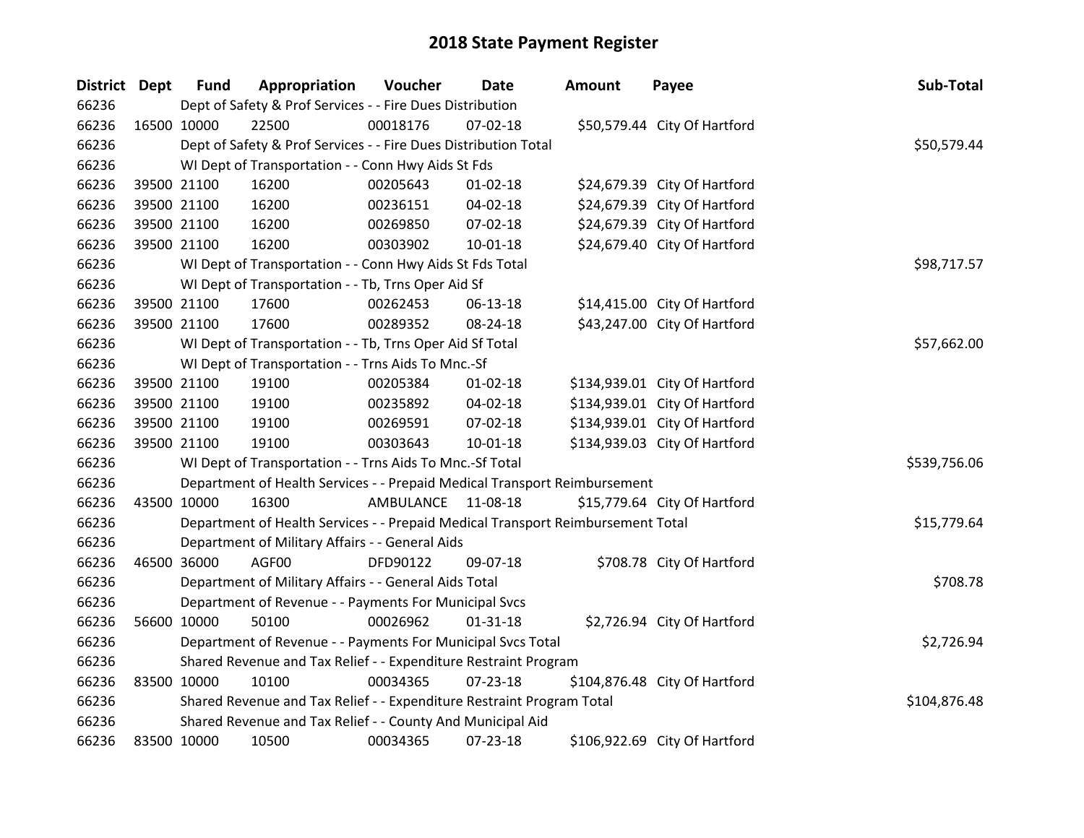| District Dept |             | <b>Fund</b> | Appropriation                                                                   | Voucher   | <b>Date</b>    | <b>Amount</b> | Payee                         | Sub-Total    |
|---------------|-------------|-------------|---------------------------------------------------------------------------------|-----------|----------------|---------------|-------------------------------|--------------|
| 66236         |             |             | Dept of Safety & Prof Services - - Fire Dues Distribution                       |           |                |               |                               |              |
| 66236         |             | 16500 10000 | 22500                                                                           | 00018176  | 07-02-18       |               | \$50,579.44 City Of Hartford  |              |
| 66236         |             |             | Dept of Safety & Prof Services - - Fire Dues Distribution Total                 |           |                |               |                               | \$50,579.44  |
| 66236         |             |             | WI Dept of Transportation - - Conn Hwy Aids St Fds                              |           |                |               |                               |              |
| 66236         |             | 39500 21100 | 16200                                                                           | 00205643  | $01 - 02 - 18$ |               | \$24,679.39 City Of Hartford  |              |
| 66236         |             | 39500 21100 | 16200                                                                           | 00236151  | 04-02-18       |               | \$24,679.39 City Of Hartford  |              |
| 66236         |             | 39500 21100 | 16200                                                                           | 00269850  | 07-02-18       |               | \$24,679.39 City Of Hartford  |              |
| 66236         |             | 39500 21100 | 16200                                                                           | 00303902  | $10 - 01 - 18$ |               | \$24,679.40 City Of Hartford  |              |
| 66236         |             |             | WI Dept of Transportation - - Conn Hwy Aids St Fds Total                        |           |                |               |                               | \$98,717.57  |
| 66236         |             |             | WI Dept of Transportation - - Tb, Trns Oper Aid Sf                              |           |                |               |                               |              |
| 66236         |             | 39500 21100 | 17600                                                                           | 00262453  | 06-13-18       |               | \$14,415.00 City Of Hartford  |              |
| 66236         |             | 39500 21100 | 17600                                                                           | 00289352  | 08-24-18       |               | \$43,247.00 City Of Hartford  |              |
| 66236         |             |             | WI Dept of Transportation - - Tb, Trns Oper Aid Sf Total                        |           |                |               |                               | \$57,662.00  |
| 66236         |             |             | WI Dept of Transportation - - Trns Aids To Mnc.-Sf                              |           |                |               |                               |              |
| 66236         |             | 39500 21100 | 19100                                                                           | 00205384  | $01 - 02 - 18$ |               | \$134,939.01 City Of Hartford |              |
| 66236         |             | 39500 21100 | 19100                                                                           | 00235892  | 04-02-18       |               | \$134,939.01 City Of Hartford |              |
| 66236         |             | 39500 21100 | 19100                                                                           | 00269591  | 07-02-18       |               | \$134,939.01 City Of Hartford |              |
| 66236         |             | 39500 21100 | 19100                                                                           | 00303643  | 10-01-18       |               | \$134,939.03 City Of Hartford |              |
| 66236         |             |             | WI Dept of Transportation - - Trns Aids To Mnc.-Sf Total                        |           |                |               |                               | \$539,756.06 |
| 66236         |             |             | Department of Health Services - - Prepaid Medical Transport Reimbursement       |           |                |               |                               |              |
| 66236         |             | 43500 10000 | 16300                                                                           | AMBULANCE | 11-08-18       |               | \$15,779.64 City Of Hartford  |              |
| 66236         |             |             | Department of Health Services - - Prepaid Medical Transport Reimbursement Total |           |                |               |                               | \$15,779.64  |
| 66236         |             |             | Department of Military Affairs - - General Aids                                 |           |                |               |                               |              |
| 66236         |             | 46500 36000 | AGF00                                                                           | DFD90122  | 09-07-18       |               | \$708.78 City Of Hartford     |              |
| 66236         |             |             | Department of Military Affairs - - General Aids Total                           |           |                |               |                               | \$708.78     |
| 66236         |             |             | Department of Revenue - - Payments For Municipal Svcs                           |           |                |               |                               |              |
| 66236         |             | 56600 10000 | 50100                                                                           | 00026962  | $01 - 31 - 18$ |               | \$2,726.94 City Of Hartford   |              |
| 66236         |             |             | Department of Revenue - - Payments For Municipal Svcs Total                     |           |                |               |                               | \$2,726.94   |
| 66236         |             |             | Shared Revenue and Tax Relief - - Expenditure Restraint Program                 |           |                |               |                               |              |
| 66236         |             | 83500 10000 | 10100                                                                           | 00034365  | 07-23-18       |               | \$104,876.48 City Of Hartford |              |
| 66236         |             |             | Shared Revenue and Tax Relief - - Expenditure Restraint Program Total           |           |                |               |                               | \$104,876.48 |
| 66236         |             |             | Shared Revenue and Tax Relief - - County And Municipal Aid                      |           |                |               |                               |              |
| 66236         | 83500 10000 |             | 10500                                                                           | 00034365  | 07-23-18       |               | \$106,922.69 City Of Hartford |              |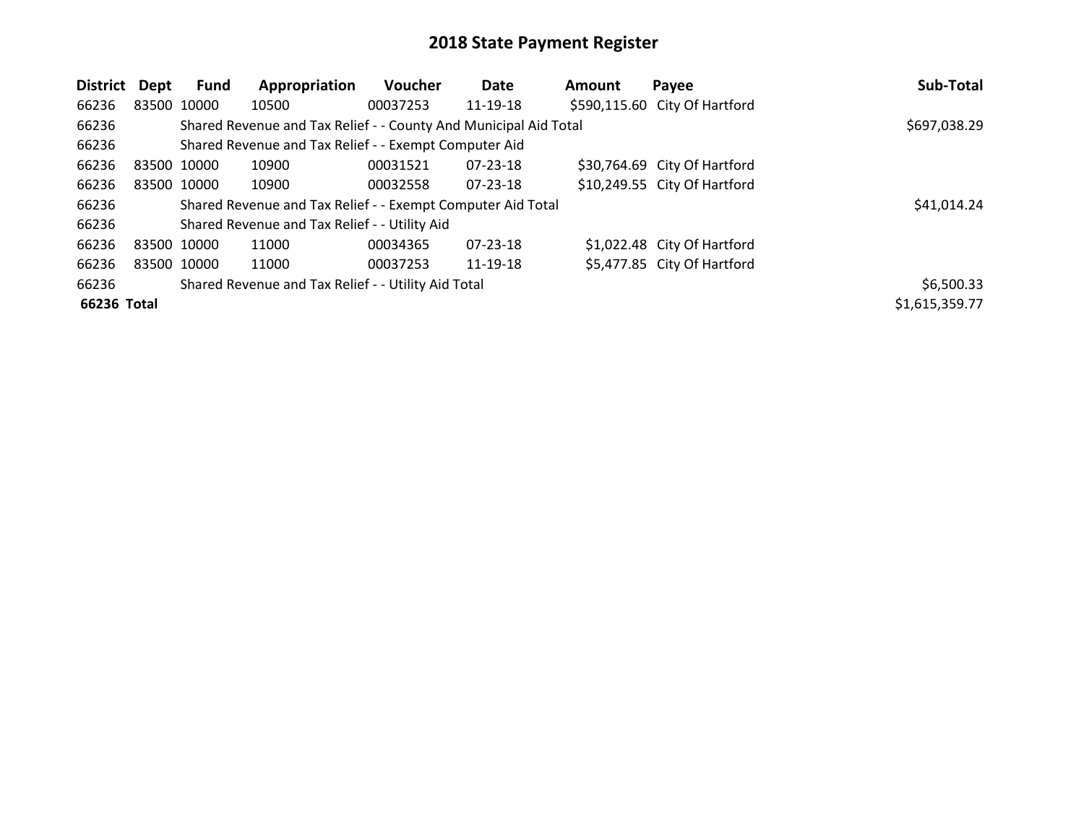| District Dept |             | Fund        | Appropriation                                                    | Voucher  | Date           | <b>Amount</b> | Payee                         | Sub-Total      |
|---------------|-------------|-------------|------------------------------------------------------------------|----------|----------------|---------------|-------------------------------|----------------|
| 66236         |             | 83500 10000 | 10500                                                            | 00037253 | 11-19-18       |               | \$590,115.60 City Of Hartford |                |
| 66236         |             |             | Shared Revenue and Tax Relief - - County And Municipal Aid Total |          |                |               |                               | \$697,038.29   |
| 66236         |             |             | Shared Revenue and Tax Relief - - Exempt Computer Aid            |          |                |               |                               |                |
| 66236         | 83500 10000 |             | 10900                                                            | 00031521 | 07-23-18       |               | \$30,764.69 City Of Hartford  |                |
| 66236         |             | 83500 10000 | 10900                                                            | 00032558 | $07 - 23 - 18$ |               | \$10,249.55 City Of Hartford  |                |
| 66236         |             |             | Shared Revenue and Tax Relief - - Exempt Computer Aid Total      |          |                |               |                               | \$41,014.24    |
| 66236         |             |             | Shared Revenue and Tax Relief - - Utility Aid                    |          |                |               |                               |                |
| 66236         | 83500 10000 |             | 11000                                                            | 00034365 | 07-23-18       |               | \$1,022.48 City Of Hartford   |                |
| 66236         |             | 83500 10000 | 11000                                                            | 00037253 | 11-19-18       |               | \$5,477.85 City Of Hartford   |                |
| 66236         |             |             | Shared Revenue and Tax Relief - - Utility Aid Total              |          |                |               |                               | \$6,500.33     |
| 66236 Total   |             |             |                                                                  |          |                |               |                               | \$1,615,359.77 |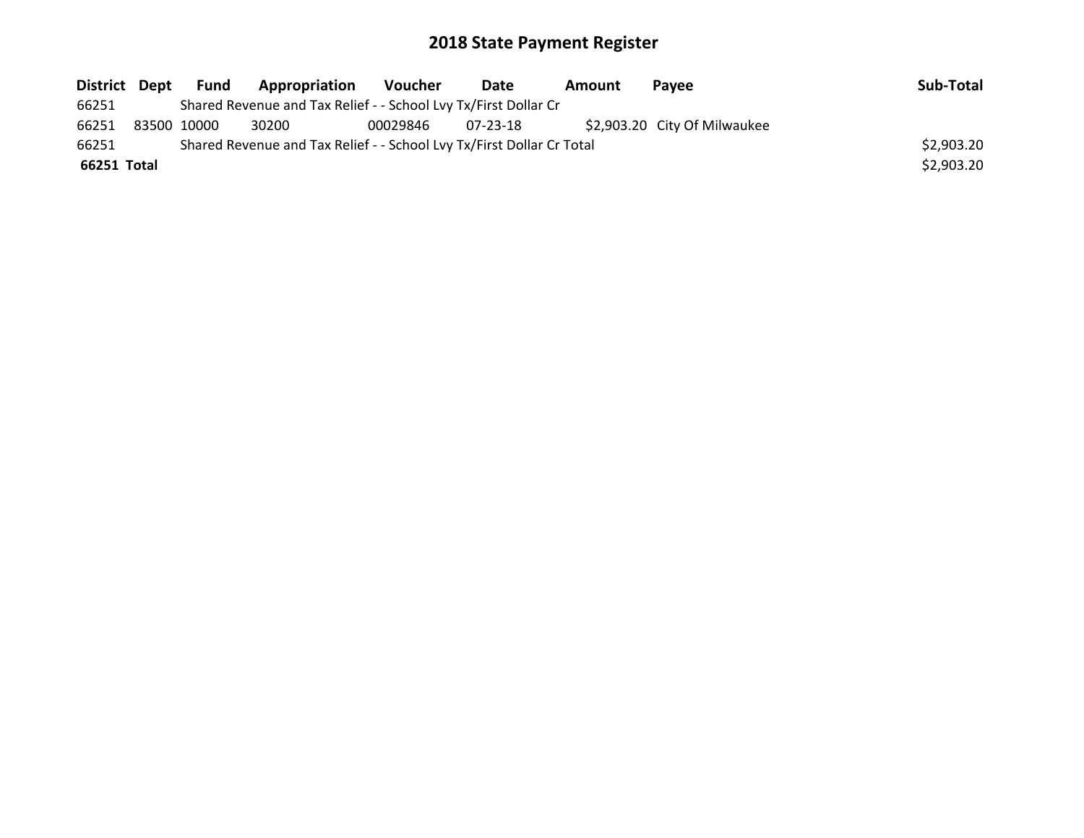|             |                                                                       | District Dept Fund | <b>Appropriation</b>                                            | Voucher  | Date     | Amount | <b>Pavee</b>                 | Sub-Total  |
|-------------|-----------------------------------------------------------------------|--------------------|-----------------------------------------------------------------|----------|----------|--------|------------------------------|------------|
| 66251       |                                                                       |                    | Shared Revenue and Tax Relief - - School Lvy Tx/First Dollar Cr |          |          |        |                              |            |
| 66251       | 83500 10000                                                           |                    | 30200                                                           | 00029846 | 07-23-18 |        | \$2,903.20 City Of Milwaukee |            |
| 66251       | Shared Revenue and Tax Relief - - School Lvy Tx/First Dollar Cr Total |                    |                                                                 |          |          |        |                              |            |
| 66251 Total |                                                                       |                    |                                                                 |          |          |        |                              | \$2,903.20 |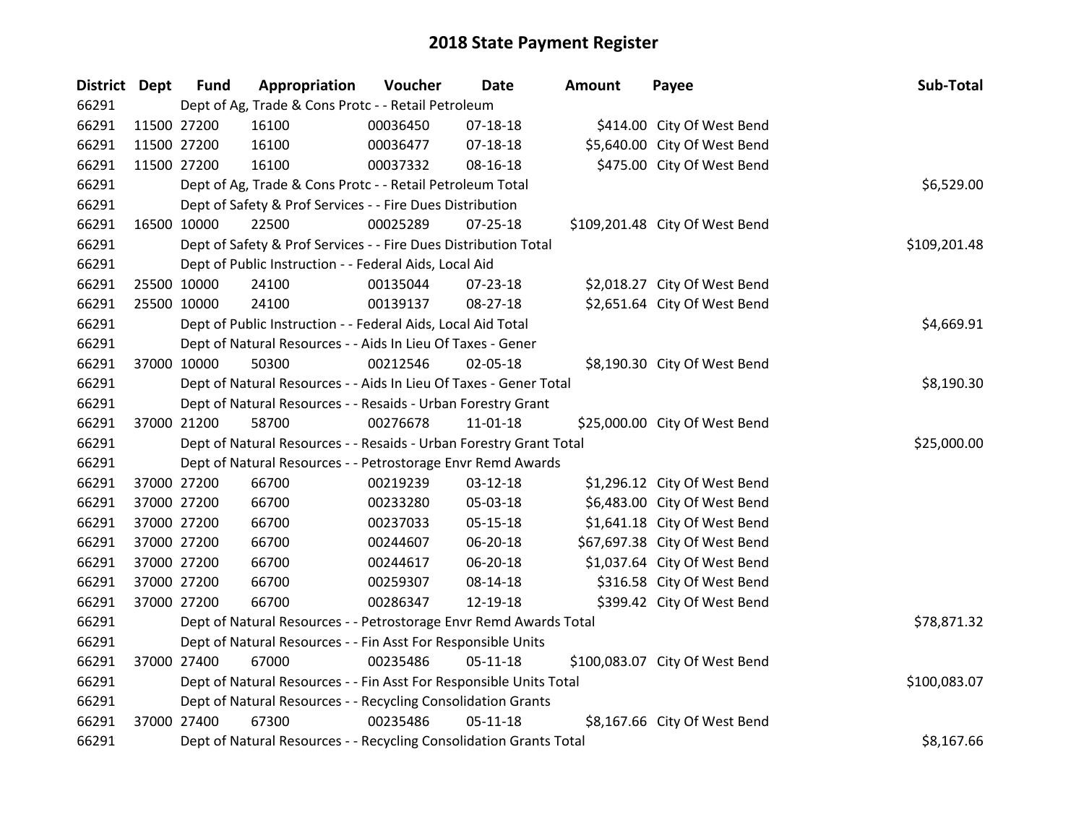| District Dept | <b>Fund</b>                                                  | Appropriation                                                      | Voucher  | <b>Date</b>    | Amount | Payee                          | Sub-Total    |
|---------------|--------------------------------------------------------------|--------------------------------------------------------------------|----------|----------------|--------|--------------------------------|--------------|
| 66291         |                                                              | Dept of Ag, Trade & Cons Protc - - Retail Petroleum                |          |                |        |                                |              |
| 66291         | 11500 27200                                                  | 16100                                                              | 00036450 | $07-18-18$     |        | \$414.00 City Of West Bend     |              |
| 66291         | 11500 27200                                                  | 16100                                                              | 00036477 | 07-18-18       |        | \$5,640.00 City Of West Bend   |              |
| 66291         | 11500 27200                                                  | 16100                                                              | 00037332 | 08-16-18       |        | \$475.00 City Of West Bend     |              |
| 66291         |                                                              | Dept of Ag, Trade & Cons Protc - - Retail Petroleum Total          |          |                |        |                                | \$6,529.00   |
| 66291         |                                                              | Dept of Safety & Prof Services - - Fire Dues Distribution          |          |                |        |                                |              |
| 66291         | 16500 10000                                                  | 22500                                                              | 00025289 | $07 - 25 - 18$ |        | \$109,201.48 City Of West Bend |              |
| 66291         |                                                              | Dept of Safety & Prof Services - - Fire Dues Distribution Total    |          |                |        |                                | \$109,201.48 |
| 66291         |                                                              | Dept of Public Instruction - - Federal Aids, Local Aid             |          |                |        |                                |              |
| 66291         | 25500 10000                                                  | 24100                                                              | 00135044 | $07 - 23 - 18$ |        | \$2,018.27 City Of West Bend   |              |
| 66291         | 25500 10000                                                  | 24100                                                              | 00139137 | 08-27-18       |        | \$2,651.64 City Of West Bend   |              |
| 66291         |                                                              | Dept of Public Instruction - - Federal Aids, Local Aid Total       |          |                |        |                                | \$4,669.91   |
| 66291         |                                                              | Dept of Natural Resources - - Aids In Lieu Of Taxes - Gener        |          |                |        |                                |              |
| 66291         | 37000 10000                                                  | 50300                                                              | 00212546 | 02-05-18       |        | \$8,190.30 City Of West Bend   |              |
| 66291         |                                                              | Dept of Natural Resources - - Aids In Lieu Of Taxes - Gener Total  |          |                |        |                                | \$8,190.30   |
| 66291         |                                                              | Dept of Natural Resources - - Resaids - Urban Forestry Grant       |          |                |        |                                |              |
| 66291         | 37000 21200                                                  | 58700                                                              | 00276678 | 11-01-18       |        | \$25,000.00 City Of West Bend  |              |
| 66291         |                                                              | Dept of Natural Resources - - Resaids - Urban Forestry Grant Total |          |                |        |                                | \$25,000.00  |
| 66291         |                                                              | Dept of Natural Resources - - Petrostorage Envr Remd Awards        |          |                |        |                                |              |
| 66291         | 37000 27200                                                  | 66700                                                              | 00219239 | 03-12-18       |        | \$1,296.12 City Of West Bend   |              |
| 66291         | 37000 27200                                                  | 66700                                                              | 00233280 | 05-03-18       |        | \$6,483.00 City Of West Bend   |              |
| 66291         | 37000 27200                                                  | 66700                                                              | 00237033 | 05-15-18       |        | \$1,641.18 City Of West Bend   |              |
| 66291         | 37000 27200                                                  | 66700                                                              | 00244607 | 06-20-18       |        | \$67,697.38 City Of West Bend  |              |
| 66291         | 37000 27200                                                  | 66700                                                              | 00244617 | 06-20-18       |        | \$1,037.64 City Of West Bend   |              |
| 66291         | 37000 27200                                                  | 66700                                                              | 00259307 | 08-14-18       |        | \$316.58 City Of West Bend     |              |
| 66291         | 37000 27200                                                  | 66700                                                              | 00286347 | 12-19-18       |        | \$399.42 City Of West Bend     |              |
| 66291         |                                                              | Dept of Natural Resources - - Petrostorage Envr Remd Awards Total  |          |                |        |                                | \$78,871.32  |
| 66291         | Dept of Natural Resources - - Fin Asst For Responsible Units |                                                                    |          |                |        |                                |              |
| 66291         | 37000 27400                                                  | 67000                                                              | 00235486 | 05-11-18       |        | \$100,083.07 City Of West Bend |              |
| 66291         |                                                              | Dept of Natural Resources - - Fin Asst For Responsible Units Total |          |                |        |                                | \$100,083.07 |
| 66291         |                                                              | Dept of Natural Resources - - Recycling Consolidation Grants       |          |                |        |                                |              |
| 66291         | 37000 27400                                                  | 67300                                                              | 00235486 | $05 - 11 - 18$ |        | \$8,167.66 City Of West Bend   |              |
| 66291         |                                                              | Dept of Natural Resources - - Recycling Consolidation Grants Total |          |                |        |                                | \$8,167.66   |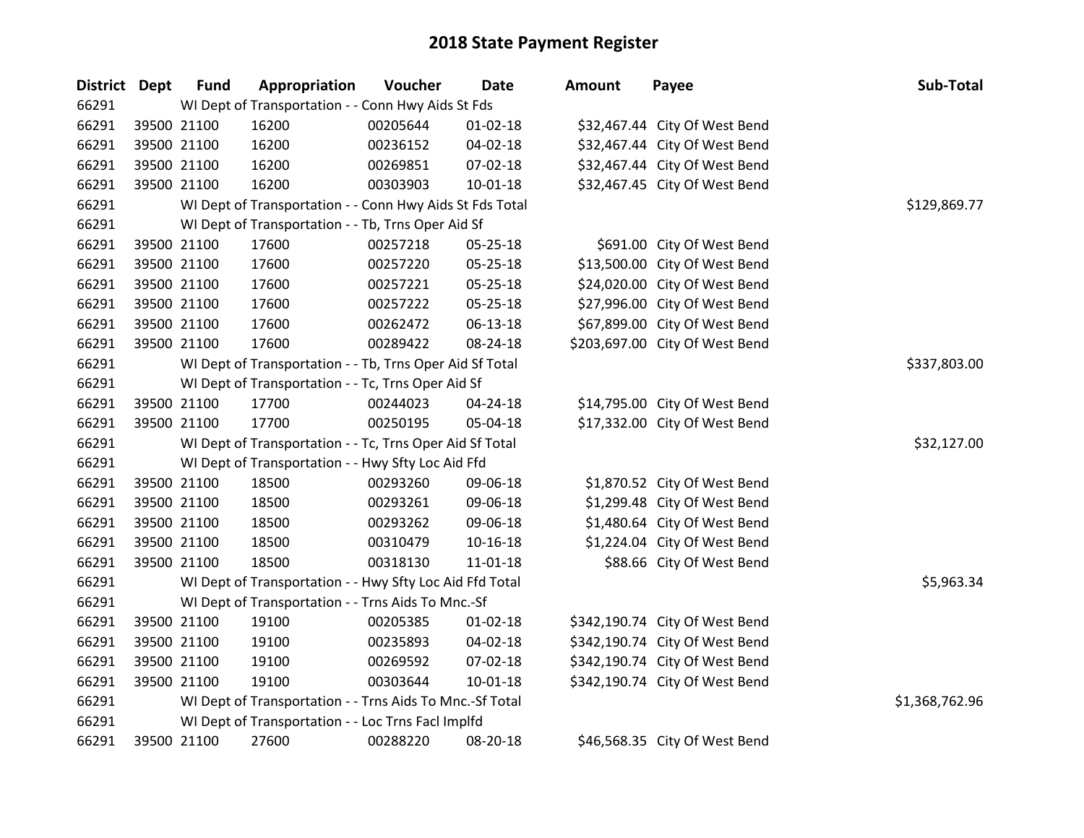| District Dept | <b>Fund</b> | Appropriation                                            | Voucher      | <b>Date</b>    | <b>Amount</b> | Payee                          | Sub-Total      |
|---------------|-------------|----------------------------------------------------------|--------------|----------------|---------------|--------------------------------|----------------|
| 66291         |             | WI Dept of Transportation - - Conn Hwy Aids St Fds       |              |                |               |                                |                |
| 66291         | 39500 21100 | 16200                                                    | 00205644     | $01 - 02 - 18$ |               | \$32,467.44 City Of West Bend  |                |
| 66291         | 39500 21100 | 16200                                                    | 00236152     | 04-02-18       |               | \$32,467.44 City Of West Bend  |                |
| 66291         | 39500 21100 | 16200                                                    | 00269851     | 07-02-18       |               | \$32,467.44 City Of West Bend  |                |
| 66291         | 39500 21100 | 16200                                                    | 00303903     | 10-01-18       |               | \$32,467.45 City Of West Bend  |                |
| 66291         |             | WI Dept of Transportation - - Conn Hwy Aids St Fds Total | \$129,869.77 |                |               |                                |                |
| 66291         |             | WI Dept of Transportation - - Tb, Trns Oper Aid Sf       |              |                |               |                                |                |
| 66291         | 39500 21100 | 17600                                                    | 00257218     | 05-25-18       |               | \$691.00 City Of West Bend     |                |
| 66291         | 39500 21100 | 17600                                                    | 00257220     | 05-25-18       |               | \$13,500.00 City Of West Bend  |                |
| 66291         | 39500 21100 | 17600                                                    | 00257221     | 05-25-18       |               | \$24,020.00 City Of West Bend  |                |
| 66291         | 39500 21100 | 17600                                                    | 00257222     | 05-25-18       |               | \$27,996.00 City Of West Bend  |                |
| 66291         | 39500 21100 | 17600                                                    | 00262472     | 06-13-18       |               | \$67,899.00 City Of West Bend  |                |
| 66291         | 39500 21100 | 17600                                                    | 00289422     | 08-24-18       |               | \$203,697.00 City Of West Bend |                |
| 66291         |             | WI Dept of Transportation - - Tb, Trns Oper Aid Sf Total |              |                |               |                                | \$337,803.00   |
| 66291         |             | WI Dept of Transportation - - Tc, Trns Oper Aid Sf       |              |                |               |                                |                |
| 66291         | 39500 21100 | 17700                                                    | 00244023     | 04-24-18       |               | \$14,795.00 City Of West Bend  |                |
| 66291         | 39500 21100 | 17700                                                    | 00250195     | 05-04-18       |               | \$17,332.00 City Of West Bend  |                |
| 66291         |             | WI Dept of Transportation - - Tc, Trns Oper Aid Sf Total |              |                |               |                                | \$32,127.00    |
| 66291         |             | WI Dept of Transportation - - Hwy Sfty Loc Aid Ffd       |              |                |               |                                |                |
| 66291         | 39500 21100 | 18500                                                    | 00293260     | 09-06-18       |               | \$1,870.52 City Of West Bend   |                |
| 66291         | 39500 21100 | 18500                                                    | 00293261     | 09-06-18       |               | \$1,299.48 City Of West Bend   |                |
| 66291         | 39500 21100 | 18500                                                    | 00293262     | 09-06-18       |               | \$1,480.64 City Of West Bend   |                |
| 66291         | 39500 21100 | 18500                                                    | 00310479     | $10 - 16 - 18$ |               | \$1,224.04 City Of West Bend   |                |
| 66291         | 39500 21100 | 18500                                                    | 00318130     | 11-01-18       |               | \$88.66 City Of West Bend      |                |
| 66291         |             | WI Dept of Transportation - - Hwy Sfty Loc Aid Ffd Total |              |                |               |                                | \$5,963.34     |
| 66291         |             | WI Dept of Transportation - - Trns Aids To Mnc.-Sf       |              |                |               |                                |                |
| 66291         | 39500 21100 | 19100                                                    | 00205385     | $01 - 02 - 18$ |               | \$342,190.74 City Of West Bend |                |
| 66291         | 39500 21100 | 19100                                                    | 00235893     | 04-02-18       |               | \$342,190.74 City Of West Bend |                |
| 66291         | 39500 21100 | 19100                                                    | 00269592     | 07-02-18       |               | \$342,190.74 City Of West Bend |                |
| 66291         | 39500 21100 | 19100                                                    | 00303644     | $10 - 01 - 18$ |               | \$342,190.74 City Of West Bend |                |
| 66291         |             | WI Dept of Transportation - - Trns Aids To Mnc.-Sf Total |              |                |               |                                | \$1,368,762.96 |
| 66291         |             | WI Dept of Transportation - - Loc Trns Facl Implfd       |              |                |               |                                |                |
| 66291         | 39500 21100 | 27600                                                    | 00288220     | 08-20-18       |               | \$46,568.35 City Of West Bend  |                |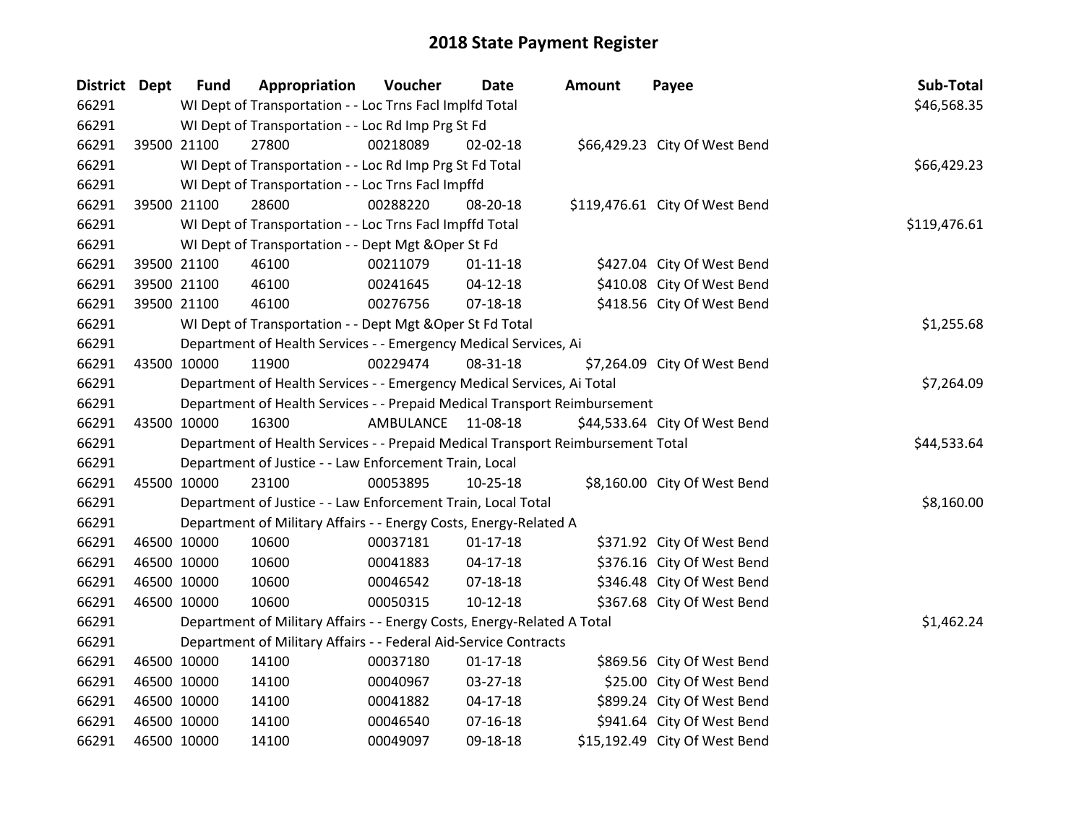| District Dept | <b>Fund</b> | Appropriation                                                                   | Voucher   | <b>Date</b>    | <b>Amount</b> | Payee                          | Sub-Total    |
|---------------|-------------|---------------------------------------------------------------------------------|-----------|----------------|---------------|--------------------------------|--------------|
| 66291         |             | WI Dept of Transportation - - Loc Trns Facl Implfd Total                        |           |                |               |                                | \$46,568.35  |
| 66291         |             | WI Dept of Transportation - - Loc Rd Imp Prg St Fd                              |           |                |               |                                |              |
| 66291         | 39500 21100 | 27800                                                                           | 00218089  | 02-02-18       |               | \$66,429.23 City Of West Bend  |              |
| 66291         |             | WI Dept of Transportation - - Loc Rd Imp Prg St Fd Total                        |           |                |               |                                | \$66,429.23  |
| 66291         |             | WI Dept of Transportation - - Loc Trns Facl Impffd                              |           |                |               |                                |              |
| 66291         | 39500 21100 | 28600                                                                           | 00288220  | 08-20-18       |               | \$119,476.61 City Of West Bend |              |
| 66291         |             | WI Dept of Transportation - - Loc Trns Facl Impffd Total                        |           |                |               |                                | \$119,476.61 |
| 66291         |             | WI Dept of Transportation - - Dept Mgt & Oper St Fd                             |           |                |               |                                |              |
| 66291         | 39500 21100 | 46100                                                                           | 00211079  | $01 - 11 - 18$ |               | \$427.04 City Of West Bend     |              |
| 66291         | 39500 21100 | 46100                                                                           | 00241645  | $04 - 12 - 18$ |               | \$410.08 City Of West Bend     |              |
| 66291         | 39500 21100 | 46100                                                                           | 00276756  | 07-18-18       |               | \$418.56 City Of West Bend     |              |
| 66291         |             | WI Dept of Transportation - - Dept Mgt & Oper St Fd Total                       |           |                |               |                                | \$1,255.68   |
| 66291         |             | Department of Health Services - - Emergency Medical Services, Ai                |           |                |               |                                |              |
| 66291         | 43500 10000 | 11900                                                                           | 00229474  | 08-31-18       |               | \$7,264.09 City Of West Bend   |              |
| 66291         |             | Department of Health Services - - Emergency Medical Services, Ai Total          |           |                |               |                                | \$7,264.09   |
| 66291         |             | Department of Health Services - - Prepaid Medical Transport Reimbursement       |           |                |               |                                |              |
| 66291         | 43500 10000 | 16300                                                                           | AMBULANCE | 11-08-18       |               | \$44,533.64 City Of West Bend  |              |
| 66291         |             | Department of Health Services - - Prepaid Medical Transport Reimbursement Total |           |                |               |                                | \$44,533.64  |
| 66291         |             | Department of Justice - - Law Enforcement Train, Local                          |           |                |               |                                |              |
| 66291         | 45500 10000 | 23100                                                                           | 00053895  | 10-25-18       |               | \$8,160.00 City Of West Bend   |              |
| 66291         |             | Department of Justice - - Law Enforcement Train, Local Total                    |           |                |               |                                | \$8,160.00   |
| 66291         |             | Department of Military Affairs - - Energy Costs, Energy-Related A               |           |                |               |                                |              |
| 66291         | 46500 10000 | 10600                                                                           | 00037181  | $01-17-18$     |               | \$371.92 City Of West Bend     |              |
| 66291         | 46500 10000 | 10600                                                                           | 00041883  | $04 - 17 - 18$ |               | \$376.16 City Of West Bend     |              |
| 66291         | 46500 10000 | 10600                                                                           | 00046542  | 07-18-18       |               | \$346.48 City Of West Bend     |              |
| 66291         | 46500 10000 | 10600                                                                           | 00050315  | $10-12-18$     |               | \$367.68 City Of West Bend     |              |
| 66291         |             | Department of Military Affairs - - Energy Costs, Energy-Related A Total         |           |                |               |                                | \$1,462.24   |
| 66291         |             | Department of Military Affairs - - Federal Aid-Service Contracts                |           |                |               |                                |              |
| 66291         | 46500 10000 | 14100                                                                           | 00037180  | $01 - 17 - 18$ |               | \$869.56 City Of West Bend     |              |
| 66291         | 46500 10000 | 14100                                                                           | 00040967  | 03-27-18       |               | \$25.00 City Of West Bend      |              |
| 66291         | 46500 10000 | 14100                                                                           | 00041882  | 04-17-18       |               | \$899.24 City Of West Bend     |              |
| 66291         | 46500 10000 | 14100                                                                           | 00046540  | $07 - 16 - 18$ |               | \$941.64 City Of West Bend     |              |
| 66291         | 46500 10000 | 14100                                                                           | 00049097  | 09-18-18       |               | \$15,192.49 City Of West Bend  |              |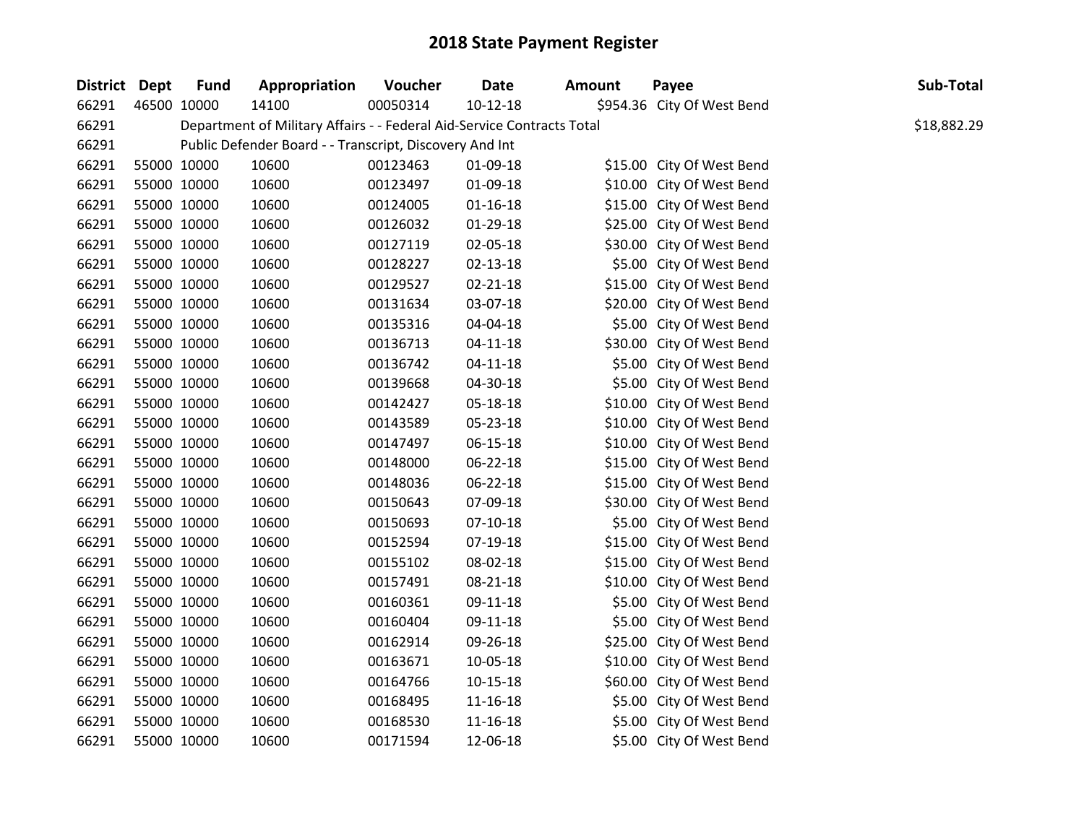| District Dept |             | <b>Fund</b> | Appropriation                                                          | Voucher  | <b>Date</b>    | <b>Amount</b> | Payee                      | Sub-Total   |
|---------------|-------------|-------------|------------------------------------------------------------------------|----------|----------------|---------------|----------------------------|-------------|
| 66291         | 46500 10000 |             | 14100                                                                  | 00050314 | $10 - 12 - 18$ |               | \$954.36 City Of West Bend |             |
| 66291         |             |             | Department of Military Affairs - - Federal Aid-Service Contracts Total |          |                |               |                            | \$18,882.29 |
| 66291         |             |             | Public Defender Board - - Transcript, Discovery And Int                |          |                |               |                            |             |
| 66291         |             | 55000 10000 | 10600                                                                  | 00123463 | 01-09-18       |               | \$15.00 City Of West Bend  |             |
| 66291         |             | 55000 10000 | 10600                                                                  | 00123497 | 01-09-18       |               | \$10.00 City Of West Bend  |             |
| 66291         |             | 55000 10000 | 10600                                                                  | 00124005 | $01 - 16 - 18$ |               | \$15.00 City Of West Bend  |             |
| 66291         |             | 55000 10000 | 10600                                                                  | 00126032 | 01-29-18       |               | \$25.00 City Of West Bend  |             |
| 66291         |             | 55000 10000 | 10600                                                                  | 00127119 | 02-05-18       |               | \$30.00 City Of West Bend  |             |
| 66291         |             | 55000 10000 | 10600                                                                  | 00128227 | 02-13-18       |               | \$5.00 City Of West Bend   |             |
| 66291         |             | 55000 10000 | 10600                                                                  | 00129527 | $02 - 21 - 18$ |               | \$15.00 City Of West Bend  |             |
| 66291         |             | 55000 10000 | 10600                                                                  | 00131634 | 03-07-18       |               | \$20.00 City Of West Bend  |             |
| 66291         |             | 55000 10000 | 10600                                                                  | 00135316 | 04-04-18       |               | \$5.00 City Of West Bend   |             |
| 66291         |             | 55000 10000 | 10600                                                                  | 00136713 | $04 - 11 - 18$ |               | \$30.00 City Of West Bend  |             |
| 66291         |             | 55000 10000 | 10600                                                                  | 00136742 | $04 - 11 - 18$ |               | \$5.00 City Of West Bend   |             |
| 66291         |             | 55000 10000 | 10600                                                                  | 00139668 | 04-30-18       |               | \$5.00 City Of West Bend   |             |
| 66291         |             | 55000 10000 | 10600                                                                  | 00142427 | 05-18-18       |               | \$10.00 City Of West Bend  |             |
| 66291         |             | 55000 10000 | 10600                                                                  | 00143589 | 05-23-18       |               | \$10.00 City Of West Bend  |             |
| 66291         |             | 55000 10000 | 10600                                                                  | 00147497 | $06 - 15 - 18$ |               | \$10.00 City Of West Bend  |             |
| 66291         |             | 55000 10000 | 10600                                                                  | 00148000 | 06-22-18       |               | \$15.00 City Of West Bend  |             |
| 66291         |             | 55000 10000 | 10600                                                                  | 00148036 | 06-22-18       |               | \$15.00 City Of West Bend  |             |
| 66291         |             | 55000 10000 | 10600                                                                  | 00150643 | 07-09-18       |               | \$30.00 City Of West Bend  |             |
| 66291         |             | 55000 10000 | 10600                                                                  | 00150693 | $07-10-18$     |               | \$5.00 City Of West Bend   |             |
| 66291         |             | 55000 10000 | 10600                                                                  | 00152594 | 07-19-18       |               | \$15.00 City Of West Bend  |             |
| 66291         | 55000 10000 |             | 10600                                                                  | 00155102 | 08-02-18       |               | \$15.00 City Of West Bend  |             |
| 66291         |             | 55000 10000 | 10600                                                                  | 00157491 | 08-21-18       |               | \$10.00 City Of West Bend  |             |
| 66291         |             | 55000 10000 | 10600                                                                  | 00160361 | 09-11-18       |               | \$5.00 City Of West Bend   |             |
| 66291         |             | 55000 10000 | 10600                                                                  | 00160404 | 09-11-18       |               | \$5.00 City Of West Bend   |             |
| 66291         |             | 55000 10000 | 10600                                                                  | 00162914 | 09-26-18       |               | \$25.00 City Of West Bend  |             |
| 66291         |             | 55000 10000 | 10600                                                                  | 00163671 | 10-05-18       |               | \$10.00 City Of West Bend  |             |
| 66291         |             | 55000 10000 | 10600                                                                  | 00164766 | $10 - 15 - 18$ |               | \$60.00 City Of West Bend  |             |
| 66291         |             | 55000 10000 | 10600                                                                  | 00168495 | 11-16-18       |               | \$5.00 City Of West Bend   |             |
| 66291         |             | 55000 10000 | 10600                                                                  | 00168530 | $11 - 16 - 18$ |               | \$5.00 City Of West Bend   |             |
| 66291         |             | 55000 10000 | 10600                                                                  | 00171594 | 12-06-18       |               | \$5.00 City Of West Bend   |             |